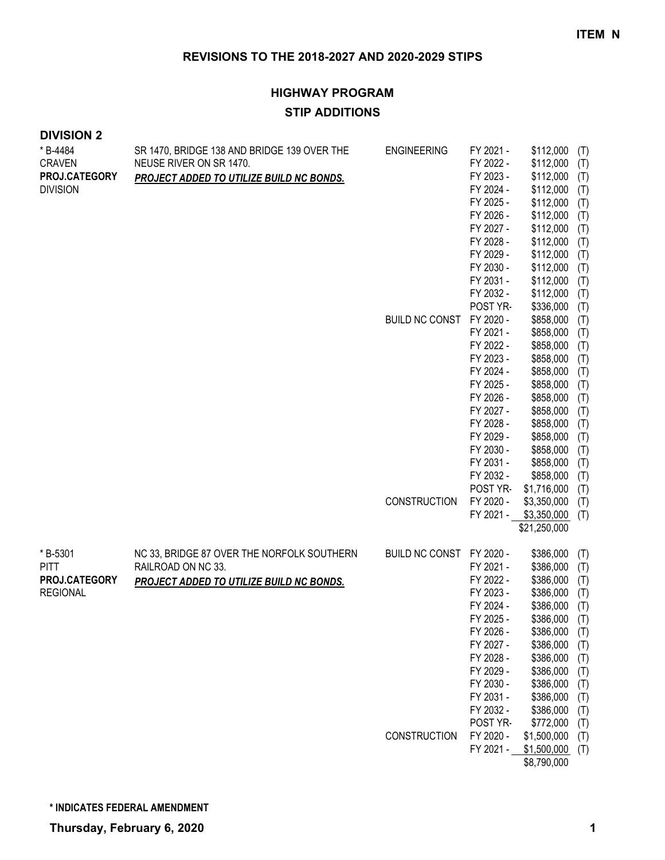# **HIGHWAY PROGRAM STIP ADDITIONS**

| <b>DIVISION 2</b> |                                             |                          |                        |                            |            |
|-------------------|---------------------------------------------|--------------------------|------------------------|----------------------------|------------|
| * B-4484          | SR 1470, BRIDGE 138 AND BRIDGE 139 OVER THE | <b>ENGINEERING</b>       | FY 2021 -              | \$112,000                  | (T)        |
| <b>CRAVEN</b>     | NEUSE RIVER ON SR 1470.                     |                          | FY 2022 -              | \$112,000                  | (T)        |
| PROJ.CATEGORY     | PROJECT ADDED TO UTILIZE BUILD NC BONDS.    |                          | FY 2023 -              | \$112,000                  | (T)        |
| <b>DIVISION</b>   |                                             |                          | FY 2024 -              | \$112,000                  | (T)        |
|                   |                                             |                          | FY 2025 -              | \$112,000                  | (T)        |
|                   |                                             |                          | FY 2026 -              | \$112,000                  | (T)        |
|                   |                                             |                          | FY 2027 -              | \$112,000                  | (T)        |
|                   |                                             |                          | FY 2028 -              | \$112,000                  | (T)        |
|                   |                                             |                          | FY 2029 -              | \$112,000                  | (T)        |
|                   |                                             |                          | FY 2030 -              | \$112,000                  | (T)        |
|                   |                                             |                          | FY 2031 -              | \$112,000                  | (T)        |
|                   |                                             |                          | FY 2032 -              | \$112,000                  | (T)        |
|                   |                                             |                          | POST YR-               | \$336,000                  | (T)        |
|                   |                                             | BUILD NC CONST           | FY 2020 -<br>FY 2021 - | \$858,000<br>\$858,000     | (T)        |
|                   |                                             |                          | FY 2022 -              | \$858,000                  | (T)<br>(T) |
|                   |                                             |                          | FY 2023 -              | \$858,000                  | (T)        |
|                   |                                             |                          | FY 2024 -              | \$858,000                  | (T)        |
|                   |                                             |                          | FY 2025 -              | \$858,000                  | (T)        |
|                   |                                             |                          | FY 2026 -              | \$858,000                  | (T)        |
|                   |                                             |                          | FY 2027 -              | \$858,000                  | (T)        |
|                   |                                             |                          | FY 2028 -              | \$858,000                  | (T)        |
|                   |                                             |                          | FY 2029 -              | \$858,000                  | (T)        |
|                   |                                             |                          | FY 2030 -              | \$858,000                  | (T)        |
|                   |                                             |                          | FY 2031 -              | \$858,000                  | (T)        |
|                   |                                             |                          | FY 2032 -              | \$858,000                  | (T)        |
|                   |                                             |                          | POST YR-               | \$1,716,000                | (T)        |
|                   |                                             | <b>CONSTRUCTION</b>      | FY 2020 -              | \$3,350,000                | (T)        |
|                   |                                             |                          | FY 2021 -              | \$3,350,000                | (T)        |
|                   |                                             |                          |                        | \$21,250,000               |            |
| * B-5301          | NC 33, BRIDGE 87 OVER THE NORFOLK SOUTHERN  | BUILD NC CONST FY 2020 - |                        | \$386,000                  | (T)        |
| <b>PITT</b>       | RAILROAD ON NC 33.                          |                          | FY 2021 -              | \$386,000                  | (T)        |
| PROJ.CATEGORY     | PROJECT ADDED TO UTILIZE BUILD NC BONDS.    |                          | FY 2022 -              | \$386,000                  | (T)        |
| <b>REGIONAL</b>   |                                             |                          | FY 2023 -              | \$386,000                  | (T)        |
|                   |                                             |                          | FY 2024 -              | \$386,000                  | (T)        |
|                   |                                             |                          | FY 2025 -              | \$386,000                  | (T)        |
|                   |                                             |                          | FY 2026 -              | \$386,000                  | (T)        |
|                   |                                             |                          | FY 2027 -              | \$386,000                  | (T)        |
|                   |                                             |                          | FY 2028 -              | \$386,000                  | (T)        |
|                   |                                             |                          | FY 2029 -              | \$386,000                  | (T)        |
|                   |                                             |                          | FY 2030 -              | \$386,000                  | (T)        |
|                   |                                             |                          | FY 2031 -              | \$386,000                  | (T)        |
|                   |                                             |                          | FY 2032 -              | \$386,000                  | (T)        |
|                   |                                             | <b>CONSTRUCTION</b>      | POST YR-<br>FY 2020 -  | \$772,000                  | (T)        |
|                   |                                             |                          | FY 2021 -              | \$1,500,000<br>\$1,500,000 | (T)        |
|                   |                                             |                          |                        | \$8,790,000                | (T)        |
|                   |                                             |                          |                        |                            |            |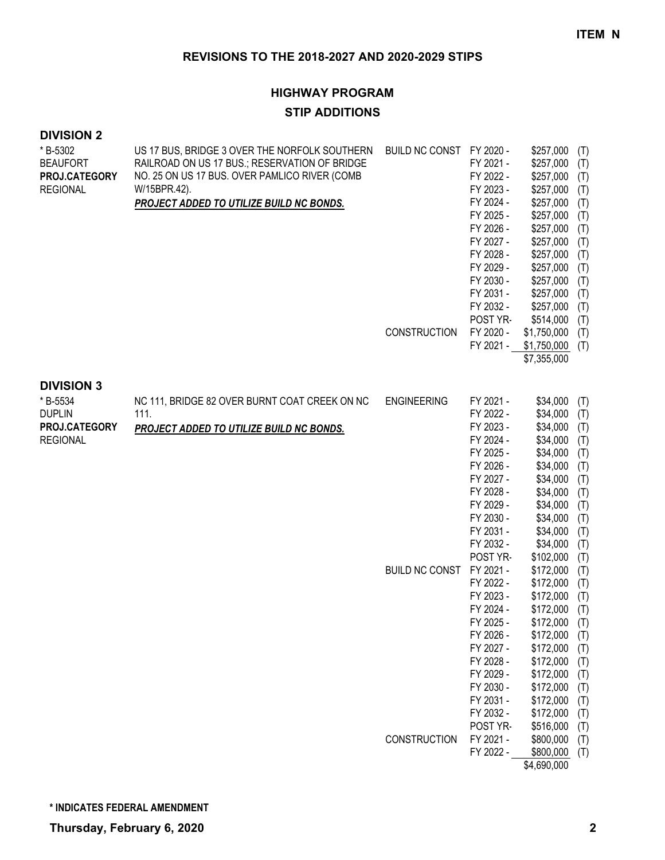#### **HIGHWAY PROGRAM**

#### **STIP ADDITIONS**

#### **DIVISION 2**  $*$  B-5302

| * B-5302<br><b>BEAUFORT</b><br>PROJ.CATEGORY<br><b>REGIONAL</b> | US 17 BUS, BRIDGE 3 OVER THE NORFOLK SOUTHERN<br>RAILROAD ON US 17 BUS.; RESERVATION OF BRIDGE<br>NO. 25 ON US 17 BUS. OVER PAMLICO RIVER (COMB<br>W/15BPR.42).<br><b>PROJECT ADDED TO UTILIZE BUILD NC BONDS.</b> | BUILD NC CONST FY 2020 -<br><b>CONSTRUCTION</b> | FY 2021 -<br>FY 2022 -<br>FY 2023 -<br>FY 2024 -<br>FY 2025 -<br>FY 2026 -<br>FY 2027 -<br>FY 2028 -<br>FY 2029 -<br>FY 2030 -<br>FY 2031 -<br>FY 2032 -<br>POST YR-<br>FY 2020 -<br>FY 2021 - | \$257,000<br>\$257,000<br>\$257,000<br>\$257,000<br>\$257,000<br>\$257,000<br>\$257,000<br>\$257,000<br>\$257,000<br>\$257,000<br>\$257,000<br>\$257,000<br>\$257,000<br>\$514,000<br>\$1,750,000<br>\$1,750,000<br>\$7,355,000 | (T)<br>(T)<br>(T)<br>(T)<br>(T)<br>(T)<br>(T)<br>(T)<br>(T)<br>(T)<br>(T)<br>(T)<br>(T)<br>(T)<br>(T)<br>(T) |
|-----------------------------------------------------------------|--------------------------------------------------------------------------------------------------------------------------------------------------------------------------------------------------------------------|-------------------------------------------------|------------------------------------------------------------------------------------------------------------------------------------------------------------------------------------------------|---------------------------------------------------------------------------------------------------------------------------------------------------------------------------------------------------------------------------------|--------------------------------------------------------------------------------------------------------------|
| <b>DIVISION 3</b><br>* B-5534                                   |                                                                                                                                                                                                                    |                                                 |                                                                                                                                                                                                |                                                                                                                                                                                                                                 |                                                                                                              |
| <b>DUPLIN</b>                                                   | NC 111, BRIDGE 82 OVER BURNT COAT CREEK ON NC<br>111.                                                                                                                                                              | <b>ENGINEERING</b>                              | FY 2021 -<br>FY 2022 -                                                                                                                                                                         | \$34,000<br>\$34,000                                                                                                                                                                                                            | (T)<br>(T)                                                                                                   |
| PROJ.CATEGORY                                                   | PROJECT ADDED TO UTILIZE BUILD NC BONDS.                                                                                                                                                                           |                                                 | FY 2023 -                                                                                                                                                                                      | \$34,000                                                                                                                                                                                                                        | (T)                                                                                                          |
| <b>REGIONAL</b>                                                 |                                                                                                                                                                                                                    |                                                 | FY 2024 -                                                                                                                                                                                      | \$34,000                                                                                                                                                                                                                        | (T)                                                                                                          |
|                                                                 |                                                                                                                                                                                                                    |                                                 | FY 2025 -                                                                                                                                                                                      | \$34,000                                                                                                                                                                                                                        | (T)                                                                                                          |
|                                                                 |                                                                                                                                                                                                                    |                                                 | FY 2026 -                                                                                                                                                                                      | \$34,000                                                                                                                                                                                                                        | (T)                                                                                                          |
|                                                                 |                                                                                                                                                                                                                    |                                                 | FY 2027 -                                                                                                                                                                                      | \$34,000                                                                                                                                                                                                                        | (T)                                                                                                          |
|                                                                 |                                                                                                                                                                                                                    |                                                 | FY 2028 -                                                                                                                                                                                      | \$34,000                                                                                                                                                                                                                        | (T)                                                                                                          |
|                                                                 |                                                                                                                                                                                                                    |                                                 | FY 2029 -                                                                                                                                                                                      | \$34,000                                                                                                                                                                                                                        | (T)                                                                                                          |
|                                                                 |                                                                                                                                                                                                                    |                                                 | FY 2030 -                                                                                                                                                                                      | \$34,000                                                                                                                                                                                                                        | (T)                                                                                                          |
|                                                                 |                                                                                                                                                                                                                    |                                                 | FY 2031 -                                                                                                                                                                                      | \$34,000                                                                                                                                                                                                                        | (T)                                                                                                          |
|                                                                 |                                                                                                                                                                                                                    |                                                 | FY 2032 -                                                                                                                                                                                      | \$34,000                                                                                                                                                                                                                        | (T)                                                                                                          |
|                                                                 |                                                                                                                                                                                                                    |                                                 | POST YR-                                                                                                                                                                                       | \$102,000                                                                                                                                                                                                                       | (T)                                                                                                          |
|                                                                 |                                                                                                                                                                                                                    | <b>BUILD NC CONST</b>                           | FY 2021 -                                                                                                                                                                                      | \$172,000                                                                                                                                                                                                                       | (T)                                                                                                          |
|                                                                 |                                                                                                                                                                                                                    |                                                 | FY 2022 -                                                                                                                                                                                      | \$172,000                                                                                                                                                                                                                       | (T)                                                                                                          |
|                                                                 |                                                                                                                                                                                                                    |                                                 | FY 2023 -                                                                                                                                                                                      | \$172,000                                                                                                                                                                                                                       | (T)                                                                                                          |
|                                                                 |                                                                                                                                                                                                                    |                                                 | FY 2024 -                                                                                                                                                                                      | \$172,000                                                                                                                                                                                                                       | (T)                                                                                                          |
|                                                                 |                                                                                                                                                                                                                    |                                                 | FY 2025 -                                                                                                                                                                                      | \$172,000                                                                                                                                                                                                                       | (T)                                                                                                          |
|                                                                 |                                                                                                                                                                                                                    |                                                 | FY 2026 -                                                                                                                                                                                      | $$172,000$ (T)                                                                                                                                                                                                                  |                                                                                                              |
|                                                                 |                                                                                                                                                                                                                    |                                                 | FY 2027 -<br>FY 2028 -                                                                                                                                                                         | \$172,000<br>\$172,000                                                                                                                                                                                                          | (T)                                                                                                          |
|                                                                 |                                                                                                                                                                                                                    |                                                 | FY 2029 -                                                                                                                                                                                      | \$172,000                                                                                                                                                                                                                       | (T)<br>(T)                                                                                                   |
|                                                                 |                                                                                                                                                                                                                    |                                                 | FY 2030 -                                                                                                                                                                                      | \$172,000                                                                                                                                                                                                                       | (T)                                                                                                          |
|                                                                 |                                                                                                                                                                                                                    |                                                 | FY 2031 -                                                                                                                                                                                      | \$172,000                                                                                                                                                                                                                       | (T)                                                                                                          |
|                                                                 |                                                                                                                                                                                                                    |                                                 | FY 2032 -                                                                                                                                                                                      | \$172,000                                                                                                                                                                                                                       | (T)                                                                                                          |
|                                                                 |                                                                                                                                                                                                                    |                                                 | POST YR-                                                                                                                                                                                       | \$516,000                                                                                                                                                                                                                       | (T)                                                                                                          |
|                                                                 |                                                                                                                                                                                                                    | CONSTRUCTION                                    | FY 2021 -                                                                                                                                                                                      | \$800,000                                                                                                                                                                                                                       | (T)                                                                                                          |
|                                                                 |                                                                                                                                                                                                                    |                                                 | FY 2022 -                                                                                                                                                                                      | \$800,000                                                                                                                                                                                                                       | (T)                                                                                                          |
|                                                                 |                                                                                                                                                                                                                    |                                                 |                                                                                                                                                                                                | \$4,690,000                                                                                                                                                                                                                     |                                                                                                              |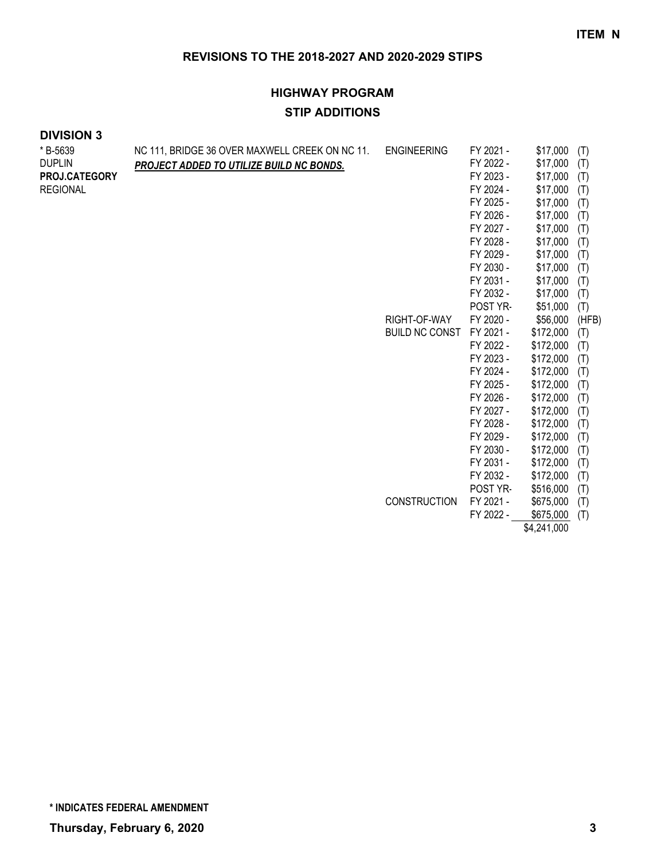# **HIGHWAY PROGRAM STIP ADDITIONS**

#### **DIVISION 3**

| * B-5639<br><b>DUPLIN</b><br>PROJ.CATEGORY<br><b>REGIONAL</b> | NC 111, BRIDGE 36 OVER MAXWELL CREEK ON NC 11.<br>PROJECT ADDED TO UTILIZE BUILD NC BONDS. | <b>ENGINEERING</b><br>RIGHT-OF-WAY<br><b>BUILD NC CONST</b> | FY 2021 -<br>FY 2022 -<br>FY 2023 -<br>FY 2024 -<br>FY 2025 -<br>FY 2026 -<br>FY 2027 -<br>FY 2028 -<br>FY 2029 -<br>FY 2030 -<br>FY 2031 -<br>FY 2032 -<br>POST YR-<br>FY 2020 -<br>FY 2021 -<br>FY 2022 -<br>FY 2023 -<br>FY 2024 -<br>FY 2025 -<br>FY 2026 -<br>FY 2027 -<br>FY 2028 -<br>FY 2029 - | \$17,000<br>\$17,000<br>\$17,000<br>\$17,000<br>\$17,000<br>\$17,000<br>\$17,000<br>\$17,000<br>\$17,000<br>\$17,000<br>\$17,000<br>\$17,000<br>\$51,000<br>\$56,000<br>\$172,000<br>\$172,000<br>\$172,000<br>\$172,000<br>\$172,000<br>\$172,000<br>\$172,000<br>\$172,000<br>\$172,000 | (T)<br>(T)<br>(T)<br>(T)<br>(T)<br>(T)<br>(T)<br>(T)<br>(T)<br>(T)<br>(T)<br>(T)<br>(T)<br>(HFB)<br>(T)<br>(T)<br>(T)<br>(T)<br>(T)<br>(T)<br>(T)<br>(T)<br>(T) |
|---------------------------------------------------------------|--------------------------------------------------------------------------------------------|-------------------------------------------------------------|--------------------------------------------------------------------------------------------------------------------------------------------------------------------------------------------------------------------------------------------------------------------------------------------------------|-------------------------------------------------------------------------------------------------------------------------------------------------------------------------------------------------------------------------------------------------------------------------------------------|-----------------------------------------------------------------------------------------------------------------------------------------------------------------|
|                                                               |                                                                                            |                                                             | FY 2030 -                                                                                                                                                                                                                                                                                              | \$172,000                                                                                                                                                                                                                                                                                 | (T)                                                                                                                                                             |
|                                                               |                                                                                            | <b>CONSTRUCTION</b>                                         | FY 2031 -<br>FY 2032 -<br>POST YR-<br>FY 2021 -                                                                                                                                                                                                                                                        | \$172,000<br>\$172,000<br>\$516,000<br>\$675,000                                                                                                                                                                                                                                          | (T)<br>(T)<br>(T)<br>(T)                                                                                                                                        |
|                                                               |                                                                                            |                                                             | FY 2022 -                                                                                                                                                                                                                                                                                              | \$675,000<br>\$4,241,000                                                                                                                                                                                                                                                                  | (T)                                                                                                                                                             |

**\* INDICATES FEDERAL AMENDMENT**

**Thursday, February 6, 2020 3**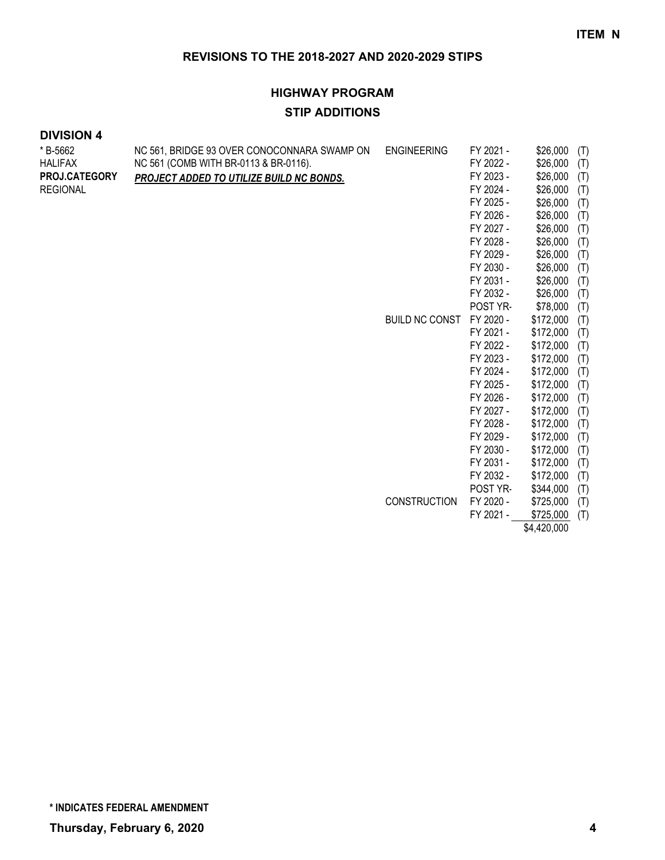# **HIGHWAY PROGRAM STIP ADDITIONS**

| *B-5662<br><b>HALIFAX</b><br>PROJ.CATEGORY<br><b>REGIONAL</b> | NC 561, BRIDGE 93 OVER CONOCONNARA SWAMP ON<br>NC 561 (COMB WITH BR-0113 & BR-0116).<br><b>PROJECT ADDED TO UTILIZE BUILD NC BONDS.</b> | <b>ENGINEERING</b><br>BUILD NC CONST | FY 2021 -<br>FY 2022 -<br>FY 2023 -<br>FY 2024 -<br>FY 2025 -<br>FY 2026 -<br>FY 2027 -<br>FY 2028 -<br>FY 2029 -<br>FY 2030 -<br>FY 2031 -<br>FY 2032 -<br>POST YR-<br>FY 2020 -<br>FY 2021 -<br>FY 2022 - | \$26,000<br>\$26,000<br>\$26,000<br>\$26,000<br>\$26,000<br>\$26,000<br>\$26,000<br>\$26,000<br>\$26,000<br>\$26,000<br>\$26,000<br>\$26,000<br>\$78,000<br>\$172,000<br>\$172,000<br>\$172,000 | (T)<br>(T)<br>(T)<br>(T)<br>(T)<br>(T)<br>(T)<br>(T)<br>(T)<br>(T)<br>(T)<br>(T)<br>(T)<br>(T)<br>(T)<br>(T) |
|---------------------------------------------------------------|-----------------------------------------------------------------------------------------------------------------------------------------|--------------------------------------|-------------------------------------------------------------------------------------------------------------------------------------------------------------------------------------------------------------|-------------------------------------------------------------------------------------------------------------------------------------------------------------------------------------------------|--------------------------------------------------------------------------------------------------------------|
|                                                               |                                                                                                                                         | <b>CONSTRUCTION</b>                  | FY 2024 -<br>FY 2025 -<br>FY 2026 -<br>FY 2027 -<br>FY 2028 -<br>FY 2029 -<br>FY 2030 -<br>FY 2031 -<br>FY 2032 -<br>POST YR-<br>FY 2020 -<br>FY 2021 -                                                     | \$172,000<br>\$172,000<br>\$172,000<br>\$172,000<br>\$172,000<br>\$172,000<br>\$172,000<br>\$172,000<br>\$172,000<br>\$344,000<br>\$725,000<br>\$725,000<br>\$4,420,000                         | (T)<br>(T)<br>(T)<br>(T)<br>(T)<br>(T)<br>(T)<br>(T)<br>(T)<br>(T)<br>(T)<br>(T)                             |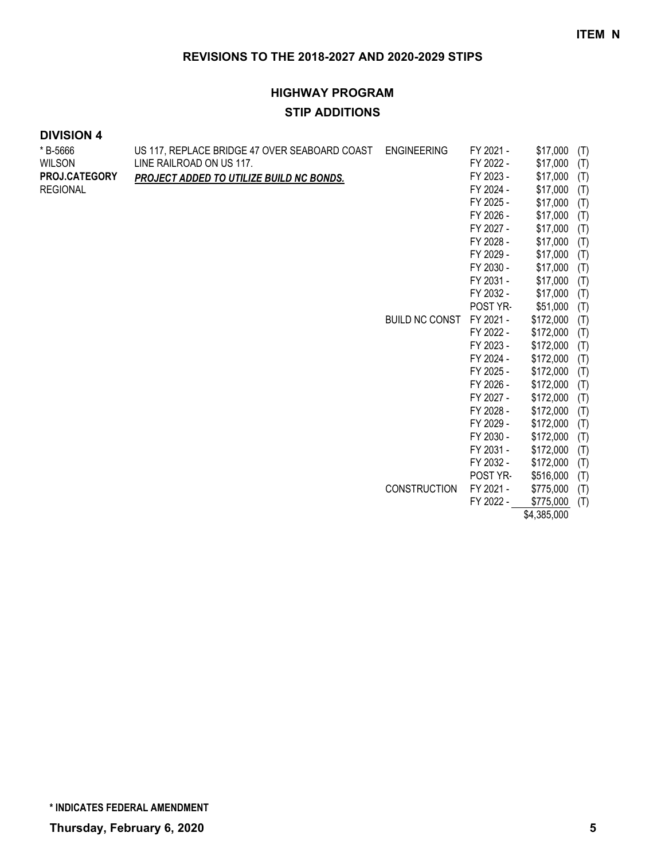# **HIGHWAY PROGRAM STIP ADDITIONS**

| * B-5666        | US 117, REPLACE BRIDGE 47 OVER SEABOARD COAST ENGINEERING |                     | FY 2021 - | \$17,000    | (T) |
|-----------------|-----------------------------------------------------------|---------------------|-----------|-------------|-----|
| <b>WILSON</b>   | LINE RAILROAD ON US 117.                                  |                     | FY 2022 - | \$17,000    | (T) |
| PROJ.CATEGORY   | PROJECT ADDED TO UTILIZE BUILD NC BONDS.                  |                     | FY 2023 - | \$17,000    | (T) |
| <b>REGIONAL</b> |                                                           |                     | FY 2024 - | \$17,000    | (T) |
|                 |                                                           |                     | FY 2025 - | \$17,000    | (T) |
|                 |                                                           |                     | FY 2026 - | \$17,000    | (T) |
|                 |                                                           |                     | FY 2027 - | \$17,000    | (T) |
|                 |                                                           |                     | FY 2028 - | \$17,000    | (T) |
|                 |                                                           |                     | FY 2029 - | \$17,000    | (T) |
|                 |                                                           |                     | FY 2030 - | \$17,000    | (T) |
|                 |                                                           |                     | FY 2031 - | \$17,000    | (T) |
|                 |                                                           |                     | FY 2032 - | \$17,000    | (T) |
|                 |                                                           |                     | POST YR-  | \$51,000    | (T) |
|                 |                                                           | BUILD NC CONST      | FY 2021 - | \$172,000   | (T) |
|                 |                                                           |                     | FY 2022 - | \$172,000   | (T) |
|                 |                                                           |                     | FY 2023 - | \$172,000   | (T) |
|                 |                                                           |                     | FY 2024 - | \$172,000   | (T) |
|                 |                                                           |                     | FY 2025 - | \$172,000   | (T) |
|                 |                                                           |                     | FY 2026 - | \$172,000   | (T) |
|                 |                                                           |                     | FY 2027 - | \$172,000   | (T) |
|                 |                                                           |                     | FY 2028 - | \$172,000   | (T) |
|                 |                                                           |                     | FY 2029 - | \$172,000   | (T) |
|                 |                                                           |                     | FY 2030 - | \$172,000   | (T) |
|                 |                                                           |                     | FY 2031 - | \$172,000   | (T) |
|                 |                                                           |                     | FY 2032 - | \$172,000   | (T) |
|                 |                                                           |                     | POST YR-  | \$516,000   | (T) |
|                 |                                                           | <b>CONSTRUCTION</b> | FY 2021 - | \$775,000   | (T) |
|                 |                                                           |                     | FY 2022 - | \$775,000   | (T) |
|                 |                                                           |                     |           | \$4,385,000 |     |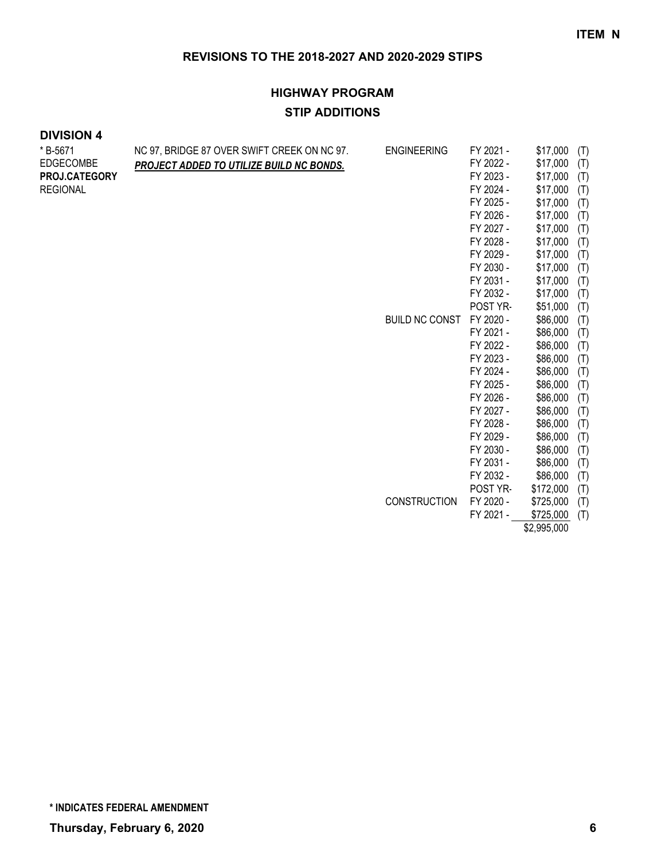# **HIGHWAY PROGRAM STIP ADDITIONS**

### **DIVISION 4**

| FY 2022 -<br>\$17,000<br>(T)<br>PROJECT ADDED TO UTILIZE BUILD NC BONDS.<br>FY 2023 -<br>\$17,000<br>(T)<br>FY 2024 -<br>\$17,000<br>(T)<br>FY 2025 -<br>\$17,000<br>(T)<br>FY 2026 -<br>\$17,000<br>(T)<br>FY 2027 -<br>\$17,000<br>(T)<br>FY 2028 -<br>\$17,000<br>(T)<br>FY 2029 -<br>\$17,000<br>(T)<br>FY 2030 -<br>\$17,000<br>(T)<br>\$17,000<br>FY 2031 -<br>(T)<br>\$17,000<br>FY 2032 -<br>(T)<br>\$51,000<br>POST YR-<br>(T)<br><b>BUILD NC CONST</b><br>\$86,000<br>FY 2020 -<br>(T)<br>\$86,000<br>FY 2021 -<br>(T)<br>\$86,000<br>FY 2022 -<br>(T)<br>FY 2023 -<br>\$86,000<br>(T)<br>\$86,000<br>FY 2024 -<br>(T)<br>\$86,000<br>FY 2025 -<br>(T)<br>FY 2026 -<br>\$86,000<br>(T)<br>\$86,000<br>FY 2027 -<br>(T)<br>FY 2028 -<br>\$86,000<br>(T)<br>\$86,000<br>FY 2029 -<br>(T)<br>\$86,000<br>FY 2030 -<br>(T)<br>FY 2031 -<br>\$86,000<br>(T)<br>FY 2032 -<br>\$86,000<br>(T)<br>POST YR-<br>\$172,000<br>(T)<br><b>CONSTRUCTION</b><br>FY 2020 -<br>\$725,000<br>(T)<br>FY 2021 -<br>\$725,000<br>(T)<br><b>CO ODE OOO</b> | *B-5671         | NC 97, BRIDGE 87 OVER SWIFT CREEK ON NC 97. | <b>ENGINEERING</b> | FY 2021 - | \$17,000 | (T) |
|------------------------------------------------------------------------------------------------------------------------------------------------------------------------------------------------------------------------------------------------------------------------------------------------------------------------------------------------------------------------------------------------------------------------------------------------------------------------------------------------------------------------------------------------------------------------------------------------------------------------------------------------------------------------------------------------------------------------------------------------------------------------------------------------------------------------------------------------------------------------------------------------------------------------------------------------------------------------------------------------------------------------------------------------|-----------------|---------------------------------------------|--------------------|-----------|----------|-----|
|                                                                                                                                                                                                                                                                                                                                                                                                                                                                                                                                                                                                                                                                                                                                                                                                                                                                                                                                                                                                                                                | EDGECOMBE       |                                             |                    |           |          |     |
|                                                                                                                                                                                                                                                                                                                                                                                                                                                                                                                                                                                                                                                                                                                                                                                                                                                                                                                                                                                                                                                | PROJ.CATEGORY   |                                             |                    |           |          |     |
|                                                                                                                                                                                                                                                                                                                                                                                                                                                                                                                                                                                                                                                                                                                                                                                                                                                                                                                                                                                                                                                | <b>REGIONAL</b> |                                             |                    |           |          |     |
|                                                                                                                                                                                                                                                                                                                                                                                                                                                                                                                                                                                                                                                                                                                                                                                                                                                                                                                                                                                                                                                |                 |                                             |                    |           |          |     |
|                                                                                                                                                                                                                                                                                                                                                                                                                                                                                                                                                                                                                                                                                                                                                                                                                                                                                                                                                                                                                                                |                 |                                             |                    |           |          |     |
|                                                                                                                                                                                                                                                                                                                                                                                                                                                                                                                                                                                                                                                                                                                                                                                                                                                                                                                                                                                                                                                |                 |                                             |                    |           |          |     |
|                                                                                                                                                                                                                                                                                                                                                                                                                                                                                                                                                                                                                                                                                                                                                                                                                                                                                                                                                                                                                                                |                 |                                             |                    |           |          |     |
|                                                                                                                                                                                                                                                                                                                                                                                                                                                                                                                                                                                                                                                                                                                                                                                                                                                                                                                                                                                                                                                |                 |                                             |                    |           |          |     |
|                                                                                                                                                                                                                                                                                                                                                                                                                                                                                                                                                                                                                                                                                                                                                                                                                                                                                                                                                                                                                                                |                 |                                             |                    |           |          |     |
|                                                                                                                                                                                                                                                                                                                                                                                                                                                                                                                                                                                                                                                                                                                                                                                                                                                                                                                                                                                                                                                |                 |                                             |                    |           |          |     |
|                                                                                                                                                                                                                                                                                                                                                                                                                                                                                                                                                                                                                                                                                                                                                                                                                                                                                                                                                                                                                                                |                 |                                             |                    |           |          |     |
|                                                                                                                                                                                                                                                                                                                                                                                                                                                                                                                                                                                                                                                                                                                                                                                                                                                                                                                                                                                                                                                |                 |                                             |                    |           |          |     |
|                                                                                                                                                                                                                                                                                                                                                                                                                                                                                                                                                                                                                                                                                                                                                                                                                                                                                                                                                                                                                                                |                 |                                             |                    |           |          |     |
|                                                                                                                                                                                                                                                                                                                                                                                                                                                                                                                                                                                                                                                                                                                                                                                                                                                                                                                                                                                                                                                |                 |                                             |                    |           |          |     |
|                                                                                                                                                                                                                                                                                                                                                                                                                                                                                                                                                                                                                                                                                                                                                                                                                                                                                                                                                                                                                                                |                 |                                             |                    |           |          |     |
|                                                                                                                                                                                                                                                                                                                                                                                                                                                                                                                                                                                                                                                                                                                                                                                                                                                                                                                                                                                                                                                |                 |                                             |                    |           |          |     |
|                                                                                                                                                                                                                                                                                                                                                                                                                                                                                                                                                                                                                                                                                                                                                                                                                                                                                                                                                                                                                                                |                 |                                             |                    |           |          |     |
|                                                                                                                                                                                                                                                                                                                                                                                                                                                                                                                                                                                                                                                                                                                                                                                                                                                                                                                                                                                                                                                |                 |                                             |                    |           |          |     |
|                                                                                                                                                                                                                                                                                                                                                                                                                                                                                                                                                                                                                                                                                                                                                                                                                                                                                                                                                                                                                                                |                 |                                             |                    |           |          |     |
|                                                                                                                                                                                                                                                                                                                                                                                                                                                                                                                                                                                                                                                                                                                                                                                                                                                                                                                                                                                                                                                |                 |                                             |                    |           |          |     |
|                                                                                                                                                                                                                                                                                                                                                                                                                                                                                                                                                                                                                                                                                                                                                                                                                                                                                                                                                                                                                                                |                 |                                             |                    |           |          |     |
|                                                                                                                                                                                                                                                                                                                                                                                                                                                                                                                                                                                                                                                                                                                                                                                                                                                                                                                                                                                                                                                |                 |                                             |                    |           |          |     |
|                                                                                                                                                                                                                                                                                                                                                                                                                                                                                                                                                                                                                                                                                                                                                                                                                                                                                                                                                                                                                                                |                 |                                             |                    |           |          |     |
|                                                                                                                                                                                                                                                                                                                                                                                                                                                                                                                                                                                                                                                                                                                                                                                                                                                                                                                                                                                                                                                |                 |                                             |                    |           |          |     |
|                                                                                                                                                                                                                                                                                                                                                                                                                                                                                                                                                                                                                                                                                                                                                                                                                                                                                                                                                                                                                                                |                 |                                             |                    |           |          |     |
|                                                                                                                                                                                                                                                                                                                                                                                                                                                                                                                                                                                                                                                                                                                                                                                                                                                                                                                                                                                                                                                |                 |                                             |                    |           |          |     |
|                                                                                                                                                                                                                                                                                                                                                                                                                                                                                                                                                                                                                                                                                                                                                                                                                                                                                                                                                                                                                                                |                 |                                             |                    |           |          |     |
|                                                                                                                                                                                                                                                                                                                                                                                                                                                                                                                                                                                                                                                                                                                                                                                                                                                                                                                                                                                                                                                |                 |                                             |                    |           |          |     |

\$2,995,000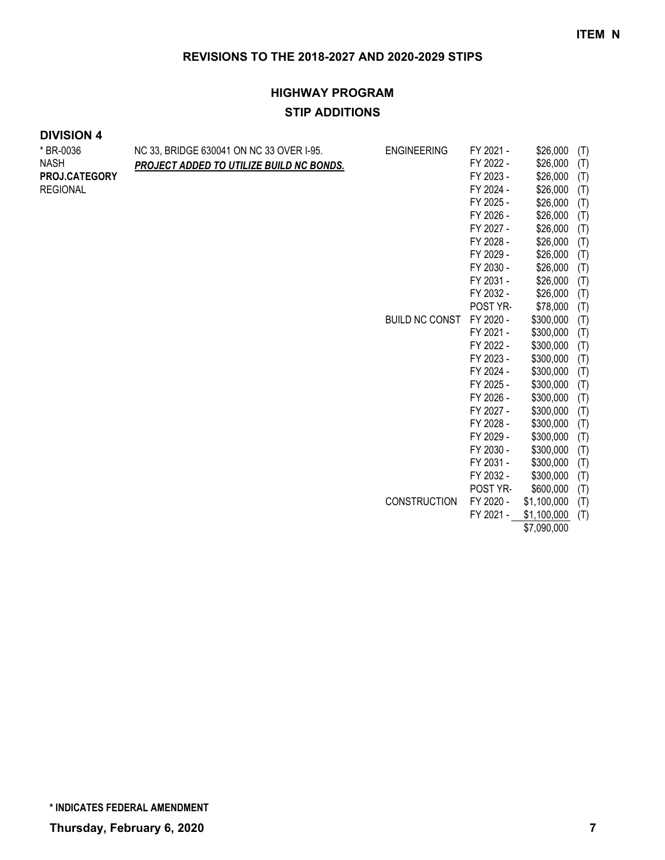# **HIGHWAY PROGRAM STIP ADDITIONS**

| * BR-0036<br><b>NASH</b><br>PROJ.CATEGORY<br><b>REGIONAL</b> | NC 33, BRIDGE 630041 ON NC 33 OVER I-95.<br>PROJECT ADDED TO UTILIZE BUILD NC BONDS. | <b>ENGINEERING</b><br><b>BUILD NC CONST</b> | FY 2021 -<br>FY 2022 -<br>FY 2023 -<br>FY 2024 -<br>FY 2025 -<br>FY 2026 -<br>FY 2027 -<br>FY 2028 -<br>FY 2029 -<br>FY 2030 -<br>FY 2031 -<br>FY 2032 -<br>POST YR-<br>FY 2020 -<br>FY 2021 -<br>FY 2022 -<br>FY 2023 -<br>FY 2024 -<br>FY 2025 -<br>FY 2026 -<br>FY 2027 -<br>FY 2028 -<br>FY 2029 - | \$26,000<br>\$26,000<br>\$26,000<br>\$26,000<br>\$26,000<br>\$26,000<br>\$26,000<br>\$26,000<br>\$26,000<br>\$26,000<br>\$26,000<br>\$26,000<br>\$78,000<br>\$300,000<br>\$300,000<br>\$300,000<br>\$300,000<br>\$300,000<br>\$300,000<br>\$300,000<br>\$300,000<br>\$300,000<br>\$300,000 | (T)<br>(T)<br>(T)<br>(T)<br>(T)<br>(T)<br>(T)<br>(T)<br>(T)<br>(T)<br>(T)<br>(T)<br>(T)<br>(T)<br>(T)<br>(T)<br>(T)<br>(T)<br>(T)<br>(T)<br>(T)<br>(T)<br>(T) |
|--------------------------------------------------------------|--------------------------------------------------------------------------------------|---------------------------------------------|--------------------------------------------------------------------------------------------------------------------------------------------------------------------------------------------------------------------------------------------------------------------------------------------------------|--------------------------------------------------------------------------------------------------------------------------------------------------------------------------------------------------------------------------------------------------------------------------------------------|---------------------------------------------------------------------------------------------------------------------------------------------------------------|
|                                                              |                                                                                      |                                             |                                                                                                                                                                                                                                                                                                        |                                                                                                                                                                                                                                                                                            |                                                                                                                                                               |
|                                                              |                                                                                      |                                             |                                                                                                                                                                                                                                                                                                        |                                                                                                                                                                                                                                                                                            |                                                                                                                                                               |
|                                                              |                                                                                      |                                             |                                                                                                                                                                                                                                                                                                        |                                                                                                                                                                                                                                                                                            |                                                                                                                                                               |
|                                                              |                                                                                      |                                             | FY 2030 -                                                                                                                                                                                                                                                                                              | \$300,000                                                                                                                                                                                                                                                                                  | (T)                                                                                                                                                           |
|                                                              |                                                                                      |                                             | FY 2031 -                                                                                                                                                                                                                                                                                              | \$300,000                                                                                                                                                                                                                                                                                  | (T)                                                                                                                                                           |
|                                                              |                                                                                      |                                             | FY 2032 -                                                                                                                                                                                                                                                                                              | \$300,000                                                                                                                                                                                                                                                                                  | (T)                                                                                                                                                           |
|                                                              |                                                                                      |                                             | POST YR-                                                                                                                                                                                                                                                                                               | \$600,000                                                                                                                                                                                                                                                                                  | (T)                                                                                                                                                           |
|                                                              |                                                                                      | <b>CONSTRUCTION</b>                         | FY 2020 -                                                                                                                                                                                                                                                                                              | \$1,100,000                                                                                                                                                                                                                                                                                | (T)                                                                                                                                                           |
|                                                              |                                                                                      |                                             | FY 2021 -                                                                                                                                                                                                                                                                                              | \$1,100,000                                                                                                                                                                                                                                                                                | (T)                                                                                                                                                           |
|                                                              |                                                                                      |                                             |                                                                                                                                                                                                                                                                                                        | \$7,090,000                                                                                                                                                                                                                                                                                |                                                                                                                                                               |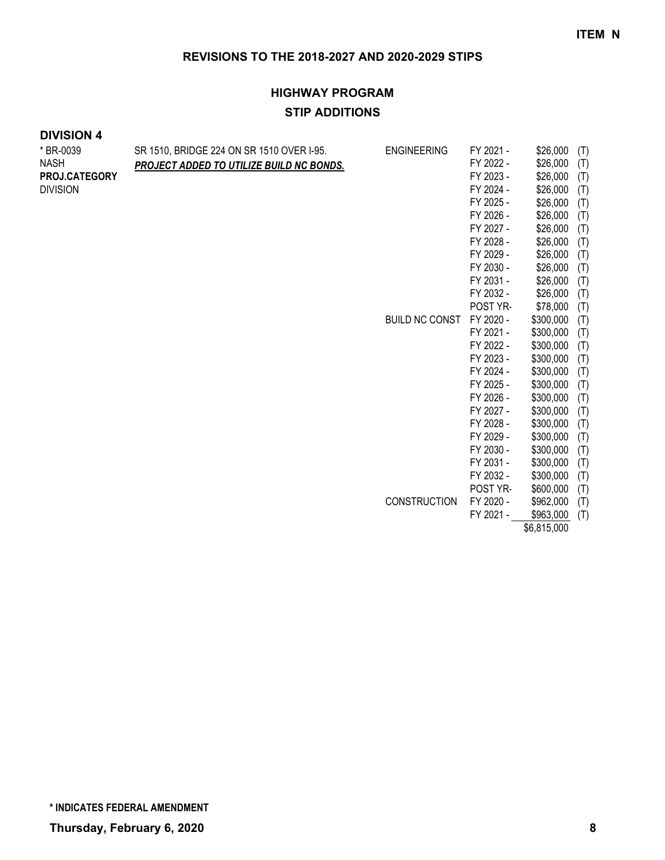# **HIGHWAY PROGRAM STIP ADDITIONS**

### **DIVISION 4**

| * BR-0039       | SR 1510, BRIDGE 224 ON SR 1510 OVER I-95. | <b>ENGINEERING</b>    | FY 2021 - | \$26,000    | (T) |
|-----------------|-------------------------------------------|-----------------------|-----------|-------------|-----|
| <b>NASH</b>     | PROJECT ADDED TO UTILIZE BUILD NC BONDS.  |                       | FY 2022 - | \$26,000    | (T) |
| PROJ.CATEGORY   |                                           |                       | FY 2023 - | \$26,000    | (T) |
| <b>DIVISION</b> |                                           |                       | FY 2024 - | \$26,000    | (T) |
|                 |                                           |                       | FY 2025 - | \$26,000    | (T) |
|                 |                                           |                       | FY 2026 - | \$26,000    | (T) |
|                 |                                           |                       | FY 2027 - | \$26,000    | (T) |
|                 |                                           |                       | FY 2028 - | \$26,000    | (T) |
|                 |                                           |                       | FY 2029 - | \$26,000    | (T) |
|                 |                                           |                       | FY 2030 - | \$26,000    | (T) |
|                 |                                           |                       | FY 2031 - | \$26,000    | (T) |
|                 |                                           |                       | FY 2032 - | \$26,000    | (T) |
|                 |                                           |                       | POST YR-  | \$78,000    | (T) |
|                 |                                           | <b>BUILD NC CONST</b> | FY 2020 - | \$300,000   | (T) |
|                 |                                           |                       | FY 2021 - | \$300,000   | (T) |
|                 |                                           |                       | FY 2022 - | \$300,000   | (T) |
|                 |                                           |                       | FY 2023 - | \$300,000   | (T) |
|                 |                                           |                       | FY 2024 - | \$300,000   | (T) |
|                 |                                           |                       | FY 2025 - | \$300,000   | (T) |
|                 |                                           |                       | FY 2026 - | \$300,000   | (T) |
|                 |                                           |                       | FY 2027 - | \$300,000   | (T) |
|                 |                                           |                       | FY 2028 - | \$300,000   | (T) |
|                 |                                           |                       | FY 2029 - | \$300,000   | (T) |
|                 |                                           |                       | FY 2030 - | \$300,000   | (T) |
|                 |                                           |                       | FY 2031 - | \$300,000   | (T) |
|                 |                                           |                       | FY 2032 - | \$300,000   | (T) |
|                 |                                           |                       | POST YR-  | \$600,000   | (T) |
|                 |                                           | CONSTRUCTION          | FY 2020 - | \$962,000   | (T) |
|                 |                                           |                       | FY 2021 - | \$963,000   | (T) |
|                 |                                           |                       |           | \$6,815,000 |     |

**\* INDICATES FEDERAL AMENDMENT**

**Thursday, February 6, 2020 8**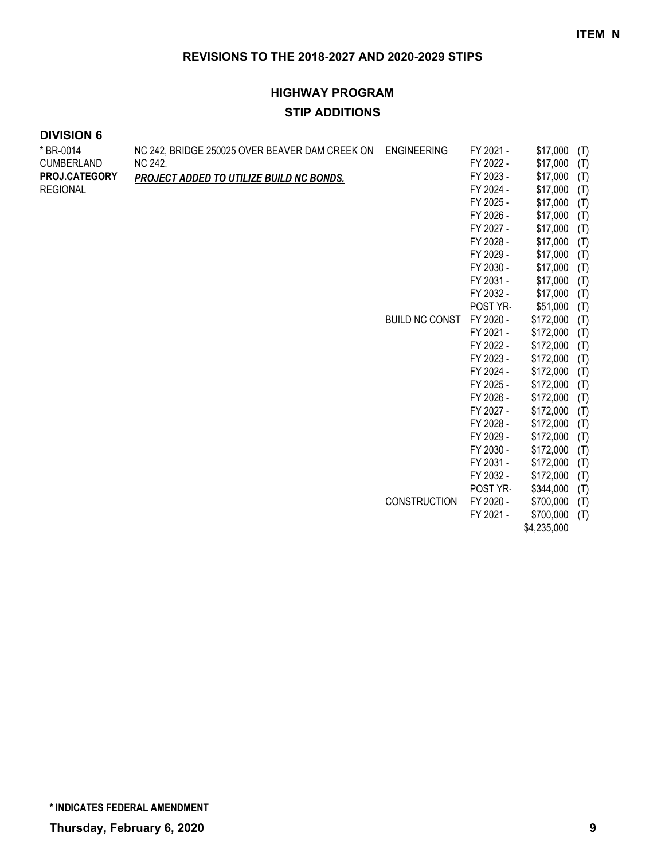# **HIGHWAY PROGRAM STIP ADDITIONS**

#### **DIVISION 6**

| * BR-0014         | NC 242, BRIDGE 250025 OVER BEAVER DAM CREEK ON | <b>ENGINEERING</b>    | FY 2021 - | \$17,000    | (T) |
|-------------------|------------------------------------------------|-----------------------|-----------|-------------|-----|
| <b>CUMBERLAND</b> | NC 242.                                        |                       | FY 2022 - | \$17,000    | (T) |
| PROJ.CATEGORY     | PROJECT ADDED TO UTILIZE BUILD NC BONDS.       |                       | FY 2023 - | \$17,000    | (T) |
| <b>REGIONAL</b>   |                                                |                       | FY 2024 - | \$17,000    | (T) |
|                   |                                                |                       | FY 2025 - | \$17,000    | (T) |
|                   |                                                |                       | FY 2026 - | \$17,000    | (T) |
|                   |                                                |                       | FY 2027 - | \$17,000    | (T) |
|                   |                                                |                       | FY 2028 - | \$17,000    | (T) |
|                   |                                                |                       | FY 2029 - | \$17,000    | (T) |
|                   |                                                |                       | FY 2030 - | \$17,000    | (T) |
|                   |                                                |                       | FY 2031 - | \$17,000    | (T) |
|                   |                                                |                       | FY 2032 - | \$17,000    | (T) |
|                   |                                                |                       | POST YR-  | \$51,000    | (T) |
|                   |                                                | <b>BUILD NC CONST</b> | FY 2020 - | \$172,000   | (T) |
|                   |                                                |                       | FY 2021 - | \$172,000   | (T) |
|                   |                                                |                       | FY 2022 - | \$172,000   | (T) |
|                   |                                                |                       | FY 2023 - | \$172,000   | (T) |
|                   |                                                |                       | FY 2024 - | \$172,000   | (T) |
|                   |                                                |                       | FY 2025 - | \$172,000   | (T) |
|                   |                                                |                       | FY 2026 - | \$172,000   | (T) |
|                   |                                                |                       | FY 2027 - | \$172,000   | (T) |
|                   |                                                |                       | FY 2028 - | \$172,000   | (T) |
|                   |                                                |                       | FY 2029 - | \$172,000   | (T) |
|                   |                                                |                       | FY 2030 - | \$172,000   | (T) |
|                   |                                                |                       | FY 2031 - | \$172,000   | (T) |
|                   |                                                |                       | FY 2032 - | \$172,000   | (T) |
|                   |                                                |                       | POST YR-  | \$344,000   | (T) |
|                   |                                                | <b>CONSTRUCTION</b>   | FY 2020 - | \$700,000   | (T) |
|                   |                                                |                       | FY 2021 - | \$700,000   | (T) |
|                   |                                                |                       |           | \$4,235,000 |     |

**\* INDICATES FEDERAL AMENDMENT**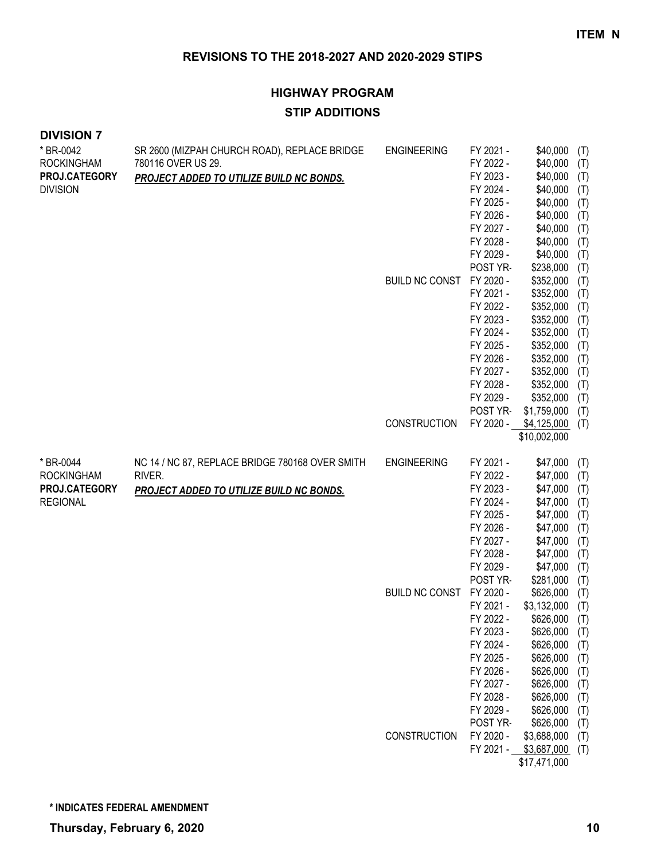# **HIGHWAY PROGRAM STIP ADDITIONS**

| * BR-0042<br><b>ROCKINGHAM</b><br>PROJ.CATEGORY<br><b>DIVISION</b> | SR 2600 (MIZPAH CHURCH ROAD), REPLACE BRIDGE<br>780116 OVER US 29.<br>PROJECT ADDED TO UTILIZE BUILD NC BONDS. | <b>ENGINEERING</b>                          | FY 2021 -<br>FY 2022 -<br>FY 2023 -<br>FY 2024 -<br>FY 2025 -<br>FY 2026 -<br>FY 2027 -<br>FY 2028 -<br>FY 2029 -                                                                                                                     | \$40,000<br>\$40,000<br>\$40,000<br>\$40,000<br>\$40,000<br>\$40,000<br>\$40,000<br>\$40,000<br>\$40,000                                                                                                                        | (T)<br>(T)<br>(T)<br>(T)<br>(T)<br>(T)<br>(T)<br>(T)<br>(T)                                                         |
|--------------------------------------------------------------------|----------------------------------------------------------------------------------------------------------------|---------------------------------------------|---------------------------------------------------------------------------------------------------------------------------------------------------------------------------------------------------------------------------------------|---------------------------------------------------------------------------------------------------------------------------------------------------------------------------------------------------------------------------------|---------------------------------------------------------------------------------------------------------------------|
|                                                                    |                                                                                                                | <b>BUILD NC CONST</b>                       | POST YR-<br>FY 2020 -<br>FY 2021 -<br>FY 2022 -<br>FY 2023 -<br>FY 2024 -<br>FY 2025 -<br>FY 2026 -<br>FY 2027 -<br>FY 2028 -<br>FY 2029 -<br>POST YR-                                                                                | \$238,000<br>\$352,000<br>\$352,000<br>\$352,000<br>\$352,000<br>\$352,000<br>\$352,000<br>\$352,000<br>\$352,000<br>\$352,000<br>\$352,000<br>\$1,759,000                                                                      | (T)<br>(T)<br>(T)<br>(T)<br>(T)<br>(T)<br>(T)<br>(T)<br>(T)<br>(T)<br>(T)<br>(T)                                    |
|                                                                    |                                                                                                                | <b>CONSTRUCTION</b>                         | FY 2020 -                                                                                                                                                                                                                             | \$4,125,000<br>\$10,002,000                                                                                                                                                                                                     | (T)                                                                                                                 |
| * BR-0044<br><b>ROCKINGHAM</b><br>PROJ.CATEGORY<br><b>REGIONAL</b> | NC 14 / NC 87, REPLACE BRIDGE 780168 OVER SMITH<br>RIVER.<br>PROJECT ADDED TO UTILIZE BUILD NC BONDS.          | <b>ENGINEERING</b><br><b>BUILD NC CONST</b> | FY 2021 -<br>FY 2022 -<br>FY 2023 -<br>FY 2024 -<br>FY 2025 -<br>FY 2026 -<br>FY 2027 -<br>FY 2028 -<br>FY 2029 -<br>POST YR-<br>FY 2020 -<br>FY 2021 -<br>FY 2022 -<br>FY 2023 -<br>FY 2024 -<br>FY 2025 -<br>FY 2026 -<br>FY 2027 - | \$47,000<br>\$47,000<br>\$47,000<br>\$47,000<br>\$47,000<br>\$47,000<br>\$47,000<br>\$47,000<br>\$47,000<br>\$281,000<br>\$626,000<br>\$3,132,000<br>\$626,000<br>\$626,000<br>\$626,000<br>\$626,000<br>\$626,000<br>\$626,000 | (T)<br>(T)<br>(T)<br>(T)<br>(T)<br>(T)<br>(T)<br>(T)<br>(T)<br>(T)<br>(T)<br>(T)<br>(T)<br>(T)<br>(T)<br>(T)<br>(T) |
|                                                                    |                                                                                                                | <b>CONSTRUCTION</b>                         | FY 2028 -<br>FY 2029 -<br>POST YR-<br>FY 2020 -<br>FY 2021 -                                                                                                                                                                          | \$626,000<br>\$626,000<br>\$626,000<br>\$3,688,000<br>\$3,687,000<br>\$17,471,000                                                                                                                                               | (T)<br>(T)<br>(T)<br>(T)<br>(T)<br>(T)                                                                              |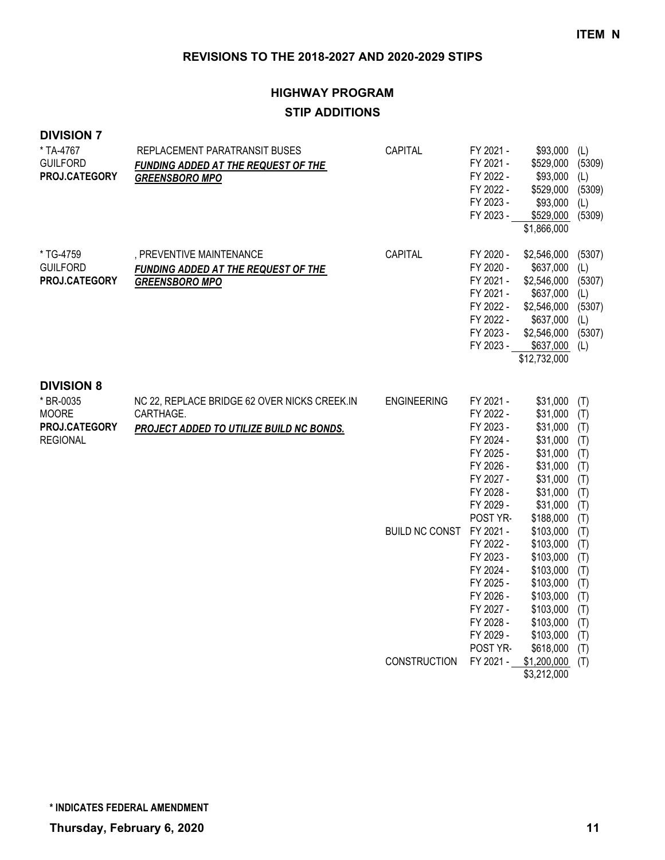# **HIGHWAY PROGRAM STIP ADDITIONS**

#### **DIVISION 7**

| * TA-4767<br><b>GUILFORD</b><br>PROJ.CATEGORY                                      | REPLACEMENT PARATRANSIT BUSES<br>FUNDING ADDED AT THE REQUEST OF THE<br><b>GREENSBORO MPO</b>         | CAPITAL                  | FY 2021 -<br>FY 2021 -<br>FY 2022 -<br>FY 2022 -<br>FY 2023 -<br>FY 2023 -                                                    | \$93,000<br>\$529,000<br>\$93,000<br>\$529,000<br>\$93,000<br>\$529,000<br>\$1,866,000                                                      | (L)<br>(5309)<br>(L)<br>(5309)<br>(L)<br>(5309)                           |
|------------------------------------------------------------------------------------|-------------------------------------------------------------------------------------------------------|--------------------------|-------------------------------------------------------------------------------------------------------------------------------|---------------------------------------------------------------------------------------------------------------------------------------------|---------------------------------------------------------------------------|
| * TG-4759<br><b>GUILFORD</b><br>PROJ.CATEGORY                                      | , PREVENTIVE MAINTENANCE<br><b>FUNDING ADDED AT THE REQUEST OF THE</b><br><b>GREENSBORO MPO</b>       | CAPITAL                  | FY 2020 -<br>FY 2020 -<br>FY 2021 -<br>FY 2021 -<br>FY 2022 -<br>FY 2022 -<br>FY 2023 -<br>FY 2023 -                          | \$2,546,000<br>\$637,000<br>\$2,546,000<br>\$637,000<br>\$2,546,000<br>\$637,000<br>\$2,546,000<br>\$637,000<br>\$12,732,000                | (5307)<br>(L)<br>(5307)<br>(L)<br>(5307)<br>(L)<br>(5307)<br>(L)          |
| <b>DIVISION 8</b><br>* BR-0035<br><b>MOORE</b><br>PROJ.CATEGORY<br><b>REGIONAL</b> | NC 22, REPLACE BRIDGE 62 OVER NICKS CREEK.IN<br>CARTHAGE.<br>PROJECT ADDED TO UTILIZE BUILD NC BONDS. | <b>ENGINEERING</b>       | FY 2021 -<br>FY 2022 -<br>FY 2023 -<br>FY 2024 -<br>FY 2025 -<br>FY 2026 -<br>FY 2027 -<br>FY 2028 -<br>FY 2029 -<br>POST YR- | \$31,000<br>\$31,000<br>\$31,000<br>\$31,000<br>\$31,000<br>\$31,000<br>\$31,000<br>\$31,000<br>\$31,000                                    | (T)<br>(T)<br>(T)<br>(T)<br>(T)<br>(T)<br>(T)<br>(T)<br>(T)               |
|                                                                                    |                                                                                                       | BUILD NC CONST FY 2021 - | FY 2022 -<br>FY 2023 -<br>FY 2024 -<br>FY 2025 -<br>FY 2026 -<br>FY 2027 -<br>FY 2028 -<br>FY 2029 -<br>POST YR-              | \$188,000<br>\$103,000<br>\$103,000<br>\$103,000<br>\$103,000<br>\$103,000<br>\$103,000<br>\$103,000<br>\$103,000<br>\$103,000<br>\$618,000 | (T)<br>(T)<br>(T)<br>(T)<br>(T)<br>(T)<br>(T)<br>(T)<br>(T)<br>(T)<br>(T) |
|                                                                                    |                                                                                                       | <b>CONSTRUCTION</b>      | FY 2021 -                                                                                                                     | \$1,200,000<br>\$3,212,000                                                                                                                  | (T)                                                                       |

**\* INDICATES FEDERAL AMENDMENT**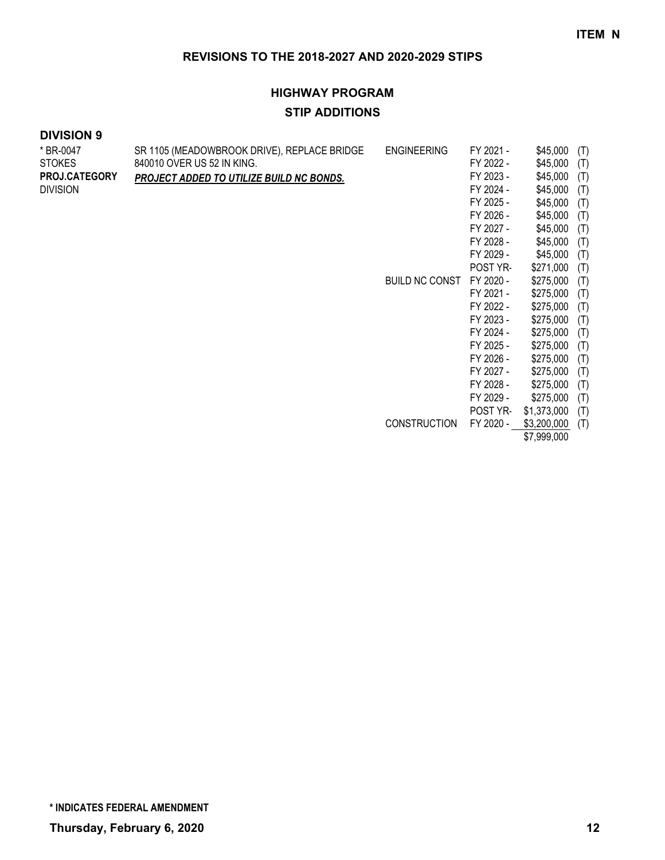# **HIGHWAY PROGRAM STIP ADDITIONS**

| * BR-0047            | SR 1105 (MEADOWBROOK DRIVE), REPLACE BRIDGE | <b>ENGINEERING</b>    | FY 2021 - | \$45,000    | (T) |
|----------------------|---------------------------------------------|-----------------------|-----------|-------------|-----|
| STOKES               | 840010 OVER US 52 IN KING.                  |                       | FY 2022 - | \$45,000    | (T) |
| <b>PROJ.CATEGORY</b> | PROJECT ADDED TO UTILIZE BUILD NC BONDS.    |                       | FY 2023 - | \$45,000    | (T) |
| Division             |                                             |                       | FY 2024 - | \$45,000    | (T) |
|                      |                                             |                       | FY 2025 - | \$45,000    | (T) |
|                      |                                             |                       | FY 2026 - | \$45,000    | (T) |
|                      |                                             |                       | FY 2027 - | \$45,000    | (T) |
|                      |                                             |                       | FY 2028 - | \$45,000    | (T) |
|                      |                                             |                       | FY 2029 - | \$45,000    | (T) |
|                      |                                             |                       | POST YR-  | \$271,000   | (T) |
|                      |                                             | <b>BUILD NC CONST</b> | FY 2020 - | \$275,000   | (T) |
|                      |                                             |                       | FY 2021 - | \$275,000   | (T) |
|                      |                                             |                       | FY 2022 - | \$275,000   | (T) |
|                      |                                             |                       | FY 2023 - | \$275,000   | (T) |
|                      |                                             |                       | FY 2024 - | \$275,000   | (T) |
|                      |                                             |                       | FY 2025 - | \$275,000   | (T) |
|                      |                                             |                       | FY 2026 - | \$275,000   | (T) |
|                      |                                             |                       | FY 2027 - | \$275,000   | (T) |
|                      |                                             |                       | FY 2028 - | \$275,000   | (T) |
|                      |                                             |                       | FY 2029 - | \$275,000   | (T) |
|                      |                                             |                       | POST YR-  | \$1,373,000 | (T) |
|                      |                                             | <b>CONSTRUCTION</b>   | FY 2020 - | \$3,200,000 | (T) |
|                      |                                             |                       |           | \$7,999,000 |     |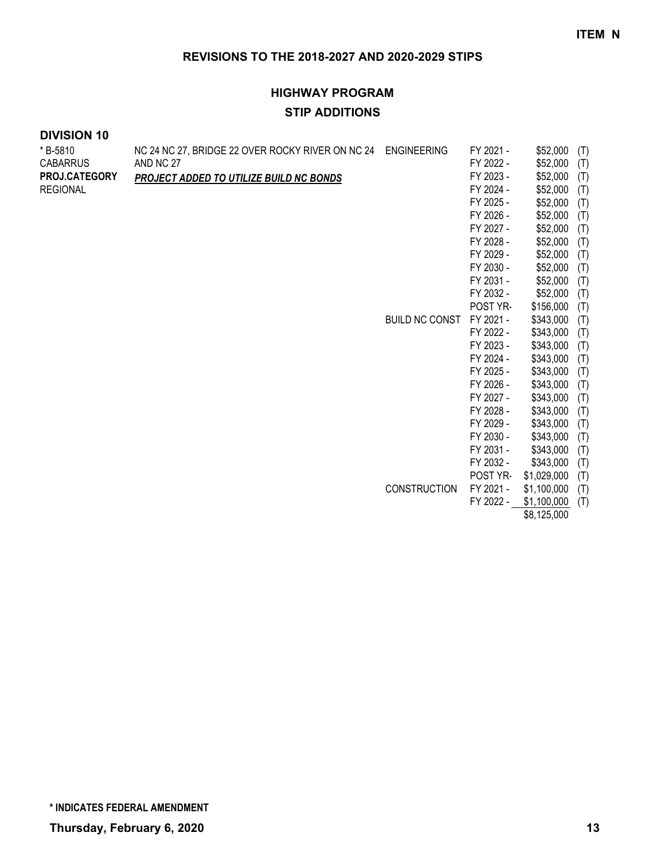# **HIGHWAY PROGRAM STIP ADDITIONS**

| *B-5810<br><b>CABARRUS</b><br><b>PROJ.CATEGORY</b><br><b>REGIONAL</b> | NC 24 NC 27, BRIDGE 22 OVER ROCKY RIVER ON NC 24<br>AND NC 27<br>PROJECT ADDED TO UTILIZE BUILD NC BONDS | <b>ENGINEERING</b><br><b>BUILD NC CONST</b> | FY 2021 -<br>FY 2022 -<br>FY 2023 -<br>FY 2024 -<br>FY 2025 -<br>FY 2026 -<br>FY 2027 -<br>FY 2028 -<br>FY 2029 -<br>FY 2030 -<br>FY 2031 -<br>FY 2032 -<br>POST YR-<br>FY 2021 -<br>FY 2022 -<br>FY 2023 -<br>FY 2024 -<br>FY 2025 -<br>FY 2026 -<br>FY 2027 -<br>FY 2028 - | \$52,000<br>\$52,000<br>\$52,000<br>\$52,000<br>\$52,000<br>\$52,000<br>\$52,000<br>\$52,000<br>\$52,000<br>\$52,000<br>\$52,000<br>\$52,000<br>\$156,000<br>\$343,000<br>\$343,000<br>\$343,000<br>\$343,000<br>\$343,000<br>\$343,000<br>\$343,000 | (T)<br>(T)<br>(T)<br>(T)<br>(T)<br>(T)<br>(T)<br>(T)<br>(T)<br>(T)<br>(T)<br>(T)<br>(T)<br>(T)<br>(T)<br>(T)<br>(T)<br>(T)<br>(T)<br>(T) |
|-----------------------------------------------------------------------|----------------------------------------------------------------------------------------------------------|---------------------------------------------|------------------------------------------------------------------------------------------------------------------------------------------------------------------------------------------------------------------------------------------------------------------------------|------------------------------------------------------------------------------------------------------------------------------------------------------------------------------------------------------------------------------------------------------|------------------------------------------------------------------------------------------------------------------------------------------|
|                                                                       |                                                                                                          |                                             |                                                                                                                                                                                                                                                                              |                                                                                                                                                                                                                                                      |                                                                                                                                          |
|                                                                       |                                                                                                          |                                             |                                                                                                                                                                                                                                                                              |                                                                                                                                                                                                                                                      |                                                                                                                                          |
|                                                                       |                                                                                                          |                                             |                                                                                                                                                                                                                                                                              | \$343,000                                                                                                                                                                                                                                            | (T)                                                                                                                                      |
|                                                                       |                                                                                                          |                                             | FY 2029 -                                                                                                                                                                                                                                                                    | \$343,000                                                                                                                                                                                                                                            | (T)                                                                                                                                      |
|                                                                       |                                                                                                          |                                             | FY 2030 -                                                                                                                                                                                                                                                                    | \$343,000                                                                                                                                                                                                                                            | (T)                                                                                                                                      |
|                                                                       |                                                                                                          |                                             | FY 2031 -                                                                                                                                                                                                                                                                    | \$343,000                                                                                                                                                                                                                                            | (T)                                                                                                                                      |
|                                                                       |                                                                                                          |                                             | FY 2032 -                                                                                                                                                                                                                                                                    | \$343,000                                                                                                                                                                                                                                            | (T)                                                                                                                                      |
|                                                                       |                                                                                                          |                                             | POST YR-                                                                                                                                                                                                                                                                     | \$1,029,000                                                                                                                                                                                                                                          | (T)                                                                                                                                      |
|                                                                       |                                                                                                          | <b>CONSTRUCTION</b>                         | FY 2021 -                                                                                                                                                                                                                                                                    | \$1,100,000                                                                                                                                                                                                                                          | (T)                                                                                                                                      |
|                                                                       |                                                                                                          |                                             | FY 2022 -                                                                                                                                                                                                                                                                    | \$1,100,000                                                                                                                                                                                                                                          | (T)                                                                                                                                      |
|                                                                       |                                                                                                          |                                             |                                                                                                                                                                                                                                                                              | \$8,125,000                                                                                                                                                                                                                                          |                                                                                                                                          |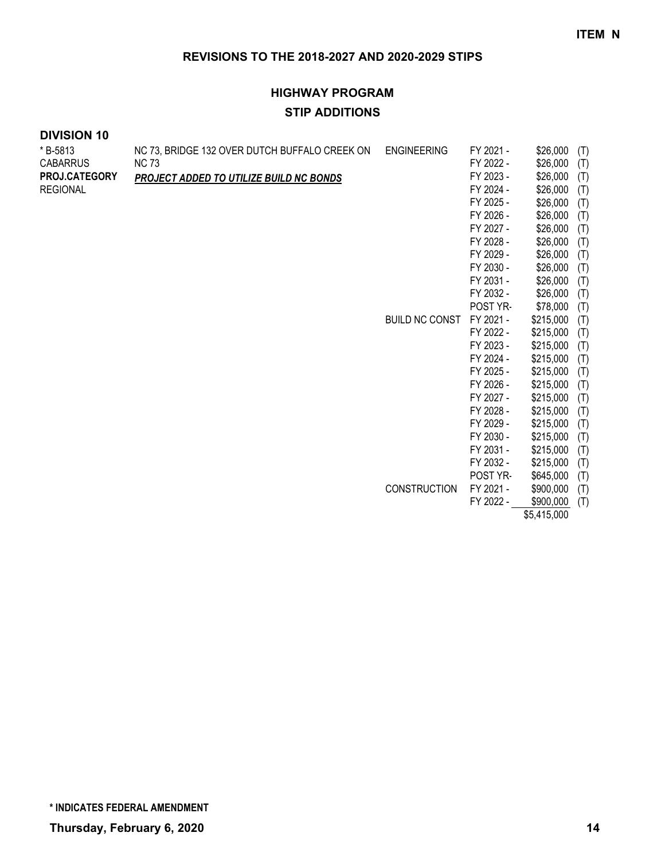# **HIGHWAY PROGRAM STIP ADDITIONS**

#### **DIVISION 10**  $*$  B-5813

| * B-5813             | NC 73, BRIDGE 132 OVER DUTCH BUFFALO CREEK ON  | <b>ENGINEERING</b>    | FY 2021 - | \$26,000    | (T) |
|----------------------|------------------------------------------------|-----------------------|-----------|-------------|-----|
| <b>CABARRUS</b>      | <b>NC 73</b>                                   |                       | FY 2022 - | \$26,000    | (T) |
| <b>PROJ.CATEGORY</b> | <b>PROJECT ADDED TO UTILIZE BUILD NC BONDS</b> |                       | FY 2023 - | \$26,000    | (T) |
| REGIONAL             |                                                |                       | FY 2024 - | \$26,000    | (T) |
|                      |                                                |                       | FY 2025 - | \$26,000    | (T) |
|                      |                                                |                       | FY 2026 - | \$26,000    | (T) |
|                      |                                                |                       | FY 2027 - | \$26,000    | (T) |
|                      |                                                |                       | FY 2028 - | \$26,000    | (T) |
|                      |                                                |                       | FY 2029 - | \$26,000    | (T) |
|                      |                                                |                       | FY 2030 - | \$26,000    | (T) |
|                      |                                                |                       | FY 2031 - | \$26,000    | (T) |
|                      |                                                |                       | FY 2032 - | \$26,000    | (T) |
|                      |                                                |                       | POST YR-  | \$78,000    | (T) |
|                      |                                                | <b>BUILD NC CONST</b> | FY 2021 - | \$215,000   | (T) |
|                      |                                                |                       | FY 2022 - | \$215,000   | (T) |
|                      |                                                |                       | FY 2023 - | \$215,000   | (T) |
|                      |                                                |                       | FY 2024 - | \$215,000   | (T) |
|                      |                                                |                       | FY 2025 - | \$215,000   | (T) |
|                      |                                                |                       | FY 2026 - | \$215,000   | (T) |
|                      |                                                |                       | FY 2027 - | \$215,000   | (T) |
|                      |                                                |                       | FY 2028 - | \$215,000   | (T) |
|                      |                                                |                       | FY 2029 - | \$215,000   | (T) |
|                      |                                                |                       | FY 2030 - | \$215,000   | (T) |
|                      |                                                |                       | FY 2031 - | \$215,000   | (T) |
|                      |                                                |                       | FY 2032 - | \$215,000   | (T) |
|                      |                                                |                       | POST YR-  | \$645,000   | (T) |
|                      |                                                | <b>CONSTRUCTION</b>   | FY 2021 - | \$900,000   | (T) |
|                      |                                                |                       | FY 2022 - | \$900,000   | (T) |
|                      |                                                |                       |           | \$5,415,000 |     |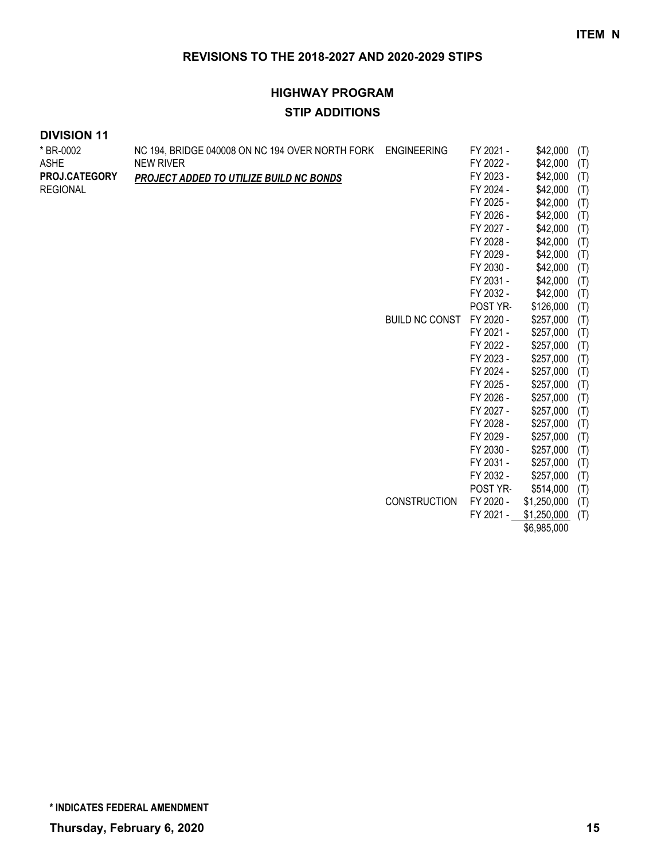# **HIGHWAY PROGRAM STIP ADDITIONS**

| * BR-0002<br><b>ASHE</b><br>PROJ.CATEGORY<br><b>REGIONAL</b> | NC 194, BRIDGE 040008 ON NC 194 OVER NORTH FORK ENGINEERING<br><b>NEW RIVER</b><br>PROJECT ADDED TO UTILIZE BUILD NC BONDS | <b>BUILD NC CONST</b> | FY 2021 -<br>FY 2022 -<br>FY 2023 -<br>FY 2024 -<br>FY 2025 -<br>FY 2026 -<br>FY 2027 -<br>FY 2028 -<br>FY 2029 -<br>FY 2030 -<br>FY 2031 -<br>FY 2032 -<br>POST YR-<br>FY 2020 -<br>FY 2021 -<br>FY 2022 -<br>FY 2023 -<br>FY 2024 -<br>FY 2025 -<br>FY 2026 -<br>FY 2027 -<br>FY 2028 -<br>FY 2029 - | \$42,000<br>\$42,000<br>\$42,000<br>\$42,000<br>\$42,000<br>\$42,000<br>\$42,000<br>\$42,000<br>\$42,000<br>\$42,000<br>\$42,000<br>\$42,000<br>\$126,000<br>\$257,000<br>\$257,000<br>\$257,000<br>\$257,000<br>\$257,000<br>\$257,000<br>\$257,000<br>\$257,000<br>\$257,000<br>\$257,000 | (T)<br>(T)<br>(T)<br>(T)<br>(T)<br>(T)<br>(T)<br>(T)<br>(T)<br>(T)<br>(T)<br>(T)<br>(T)<br>(T)<br>(T)<br>(T)<br>(T)<br>(T)<br>(T)<br>(T)<br>(T)<br>(T)<br>(T) |
|--------------------------------------------------------------|----------------------------------------------------------------------------------------------------------------------------|-----------------------|--------------------------------------------------------------------------------------------------------------------------------------------------------------------------------------------------------------------------------------------------------------------------------------------------------|---------------------------------------------------------------------------------------------------------------------------------------------------------------------------------------------------------------------------------------------------------------------------------------------|---------------------------------------------------------------------------------------------------------------------------------------------------------------|
|                                                              |                                                                                                                            |                       |                                                                                                                                                                                                                                                                                                        |                                                                                                                                                                                                                                                                                             |                                                                                                                                                               |
|                                                              |                                                                                                                            |                       |                                                                                                                                                                                                                                                                                                        |                                                                                                                                                                                                                                                                                             |                                                                                                                                                               |
|                                                              |                                                                                                                            |                       |                                                                                                                                                                                                                                                                                                        |                                                                                                                                                                                                                                                                                             |                                                                                                                                                               |
|                                                              |                                                                                                                            |                       | FY 2030 -                                                                                                                                                                                                                                                                                              | \$257,000                                                                                                                                                                                                                                                                                   | (T)                                                                                                                                                           |
|                                                              |                                                                                                                            |                       | FY 2031 -                                                                                                                                                                                                                                                                                              | \$257,000                                                                                                                                                                                                                                                                                   | (T)                                                                                                                                                           |
|                                                              |                                                                                                                            |                       | FY 2032 -                                                                                                                                                                                                                                                                                              | \$257,000                                                                                                                                                                                                                                                                                   | (T)                                                                                                                                                           |
|                                                              |                                                                                                                            |                       | POST YR-                                                                                                                                                                                                                                                                                               | \$514,000                                                                                                                                                                                                                                                                                   | (T)                                                                                                                                                           |
|                                                              |                                                                                                                            | <b>CONSTRUCTION</b>   | FY 2020 -                                                                                                                                                                                                                                                                                              | \$1,250,000                                                                                                                                                                                                                                                                                 | (T)                                                                                                                                                           |
|                                                              |                                                                                                                            |                       | FY 2021 -                                                                                                                                                                                                                                                                                              | \$1,250,000                                                                                                                                                                                                                                                                                 | (T)                                                                                                                                                           |
|                                                              |                                                                                                                            |                       |                                                                                                                                                                                                                                                                                                        | \$6,985,000                                                                                                                                                                                                                                                                                 |                                                                                                                                                               |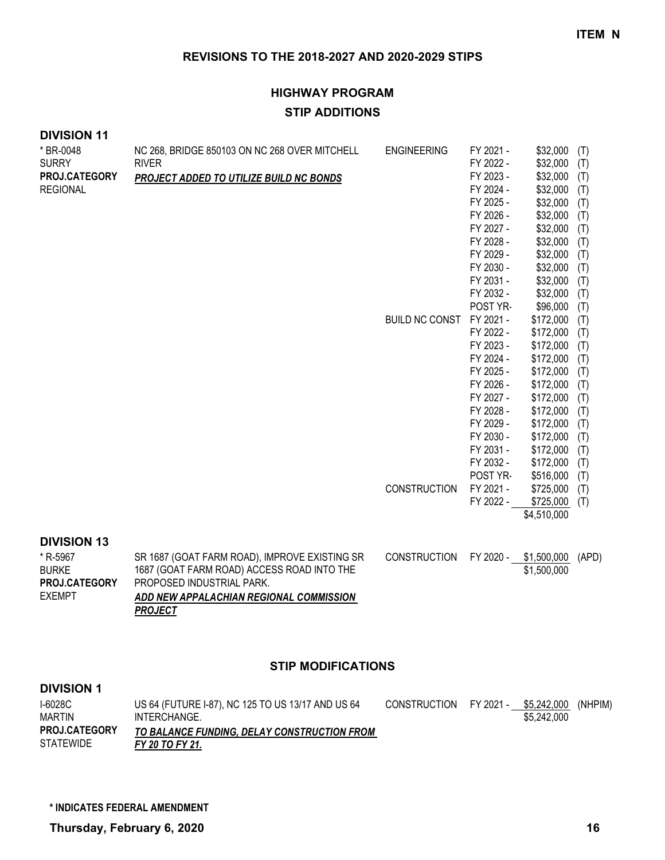# **HIGHWAY PROGRAM STIP ADDITIONS**

#### **DIVISION 11**

| * BR-0048                     | NC 268, BRIDGE 850103 ON NC 268 OVER MITCHELL                           | <b>ENGINEERING</b>    | FY 2021 - | \$32,000    | (T)   |
|-------------------------------|-------------------------------------------------------------------------|-----------------------|-----------|-------------|-------|
| <b>SURRY</b>                  | <b>RIVER</b>                                                            |                       | FY 2022 - | \$32,000    | (T)   |
| PROJ.CATEGORY                 | PROJECT ADDED TO UTILIZE BUILD NC BONDS                                 |                       | FY 2023 - | \$32,000    | (T)   |
| <b>REGIONAL</b>               |                                                                         |                       | FY 2024 - | \$32,000    | (T)   |
|                               |                                                                         |                       | FY 2025 - | \$32,000    | (T)   |
|                               |                                                                         |                       | FY 2026 - | \$32,000    | (T)   |
|                               |                                                                         |                       | FY 2027 - | \$32,000    | (T)   |
|                               |                                                                         |                       | FY 2028 - | \$32,000    | (T)   |
|                               |                                                                         |                       | FY 2029 - | \$32,000    | (T)   |
|                               |                                                                         |                       | FY 2030 - | \$32,000    | (T)   |
|                               |                                                                         |                       | FY 2031 - | \$32,000    | (T)   |
|                               |                                                                         |                       | FY 2032 - | \$32,000    | (T)   |
|                               |                                                                         |                       | POST YR-  | \$96,000    | (T)   |
|                               |                                                                         | <b>BUILD NC CONST</b> | FY 2021 - | \$172,000   | (T)   |
|                               |                                                                         |                       | FY 2022 - | \$172,000   | (T)   |
|                               |                                                                         |                       | FY 2023 - | \$172,000   | (T)   |
|                               |                                                                         |                       | FY 2024 - | \$172,000   | (T)   |
|                               |                                                                         |                       | FY 2025 - | \$172,000   | (T)   |
|                               |                                                                         |                       | FY 2026 - | \$172,000   | (T)   |
|                               |                                                                         |                       | FY 2027 - | \$172,000   | (T)   |
|                               |                                                                         |                       | FY 2028 - | \$172,000   | (T)   |
|                               |                                                                         |                       | FY 2029 - | \$172,000   | (T)   |
|                               |                                                                         |                       | FY 2030 - | \$172,000   | (T)   |
|                               |                                                                         |                       | FY 2031 - | \$172,000   | (T)   |
|                               |                                                                         |                       | FY 2032 - | \$172,000   | (T)   |
|                               |                                                                         |                       | POST YR-  | \$516,000   | (T)   |
|                               |                                                                         | <b>CONSTRUCTION</b>   | FY 2021 - | \$725,000   | (T)   |
|                               |                                                                         |                       | FY 2022 - | \$725,000   | (T)   |
|                               |                                                                         |                       |           | \$4,510,000 |       |
|                               |                                                                         |                       |           |             |       |
| <b>DIVISION 13</b>            |                                                                         |                       |           |             |       |
| * R-5967                      | SR 1687 (GOAT FARM ROAD), IMPROVE EXISTING SR                           | <b>CONSTRUCTION</b>   | FY 2020 - | \$1,500,000 | (APD) |
| <b>BURKE</b><br>PROJ.CATEGORY | 1687 (GOAT FARM ROAD) ACCESS ROAD INTO THE<br>PROPOSED INDUSTRIAL PARK. |                       |           | \$1,500,000 |       |

#### **STIP MODIFICATIONS**

*ADD NEW APPALACHIAN REGIONAL COMMISSION* 

#### **DIVISION 1**

EXEMPT

| I-6028C<br><b>MARTIN</b>                 | US 64 (FUTURE 1-87), NC 125 TO US 13/17 AND US 64<br>INTERCHANGE. | CONSTRUCTION FY 2021 - \$5,242,000 (NHPIM) | \$5.242.000 |  |
|------------------------------------------|-------------------------------------------------------------------|--------------------------------------------|-------------|--|
| <b>PROJ.CATEGORY</b><br><b>STATEWIDE</b> | TO BALANCE FUNDING, DELAY CONSTRUCTION FROM<br>FY 20 TO FY 21.    |                                            |             |  |

*PROJECT*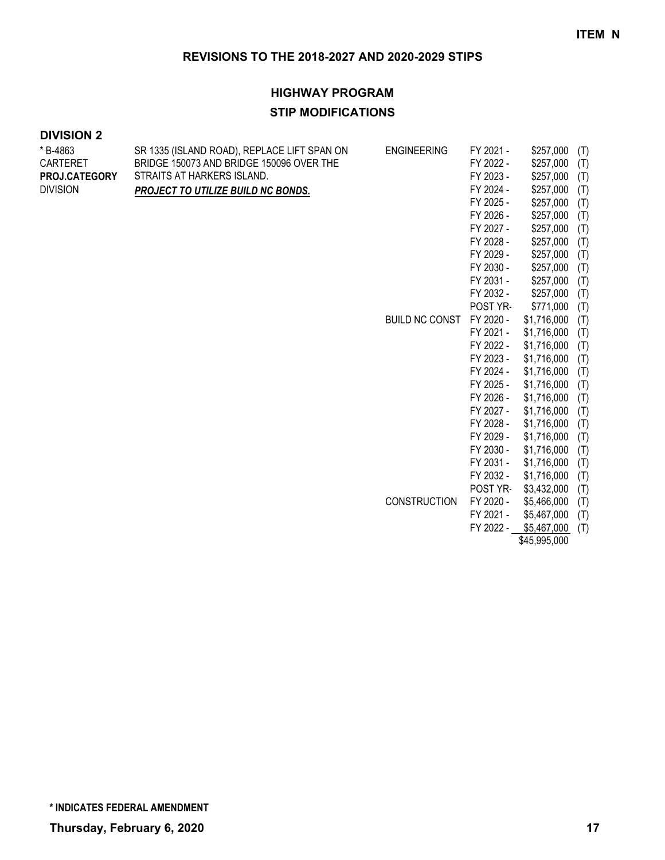#### **HIGHWAY PROGRAM**

#### **STIP MODIFICATIONS**

### **DIVISION 2**

| * B-4863        | SR 1335 (ISLAND ROAD), REPLACE LIFT SPAN ON | <b>ENGINEERING</b>                                                                    | FY 2021 -   | \$257,000   | (T) |
|-----------------|---------------------------------------------|---------------------------------------------------------------------------------------|-------------|-------------|-----|
| <b>CARTERET</b> | BRIDGE 150073 AND BRIDGE 150096 OVER THE    |                                                                                       | FY 2022 -   | \$257,000   | (T) |
| PROJ.CATEGORY   | STRAITS AT HARKERS ISLAND.                  |                                                                                       | FY 2023 -   | \$257,000   | (T) |
| <b>DIVISION</b> | PROJECT TO UTILIZE BUILD NC BONDS.          |                                                                                       | FY 2024 -   | \$257,000   | (T) |
|                 |                                             |                                                                                       | FY 2025 -   | \$257,000   | (T) |
|                 |                                             |                                                                                       | FY 2026 -   | \$257,000   | (T) |
|                 |                                             |                                                                                       | FY 2027 -   | \$257,000   | (T) |
|                 |                                             |                                                                                       | FY 2028 -   | \$257,000   | (T) |
|                 |                                             |                                                                                       | FY 2029 -   | \$257,000   | (T) |
|                 |                                             |                                                                                       | FY 2030 -   | \$257,000   | (T) |
|                 |                                             | FY 2031 -<br>FY 2032 -<br>POST YR-<br><b>BUILD NC CONST</b><br>FY 2020 -<br>FY 2021 - | \$257,000   | (T)         |     |
|                 |                                             |                                                                                       |             | \$257,000   | (T) |
|                 |                                             |                                                                                       |             | \$771,000   | (T) |
|                 |                                             |                                                                                       |             | \$1,716,000 | (T) |
|                 |                                             |                                                                                       |             | \$1,716,000 | (T) |
|                 |                                             | FY 2022 -                                                                             | \$1,716,000 | (T)         |     |
|                 |                                             |                                                                                       | FY 2023 -   | \$1,716,000 | (T) |
|                 |                                             |                                                                                       | FY 2024 -   | \$1,716,000 | (T) |
|                 |                                             |                                                                                       | FY 2025 -   | \$1,716,000 | (T) |
|                 |                                             |                                                                                       | FY 2026 -   | \$1,716,000 | (T) |
|                 |                                             |                                                                                       | FY 2027 -   | \$1,716,000 | (T) |
|                 |                                             |                                                                                       | FY 2028 -   | \$1,716,000 | (T) |
|                 |                                             |                                                                                       | FY 2029 -   | \$1,716,000 | (T) |
|                 |                                             |                                                                                       | FY 2030 -   | \$1,716,000 | (T) |
|                 |                                             |                                                                                       | FY 2031 -   | \$1,716,000 | (T) |
|                 |                                             |                                                                                       | FY 2032 -   | \$1,716,000 | (T) |
|                 |                                             |                                                                                       | POST YR-    | \$3,432,000 | (T) |
|                 |                                             | <b>CONSTRUCTION</b>                                                                   | FY 2020 -   | \$5,466,000 | (T) |
|                 |                                             |                                                                                       | FY 2021 -   | \$5,467,000 | (T) |

\$45,995,000

FY 2022 - \$5,467,000 (T)

**\* INDICATES FEDERAL AMENDMENT**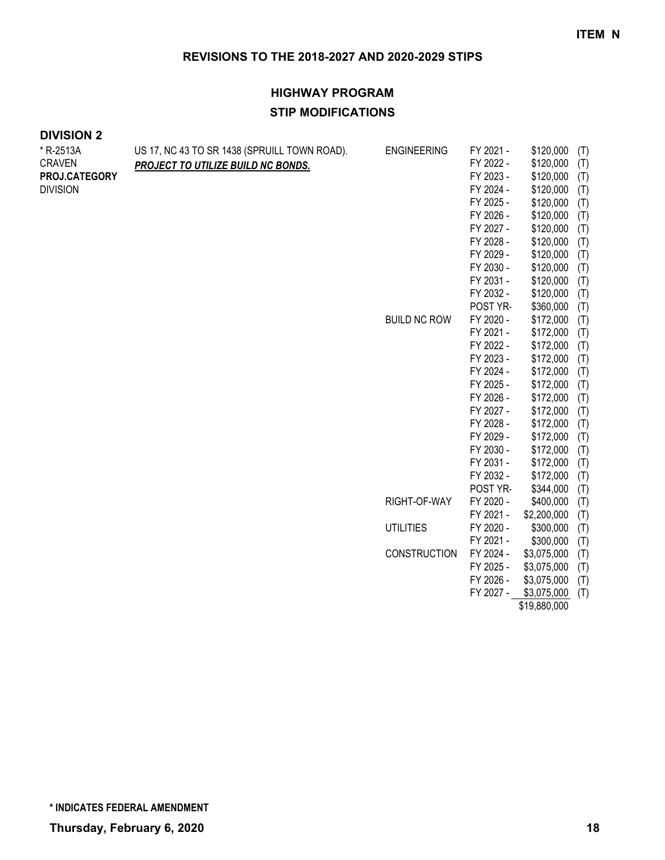| <b>DIVISION 2</b> |  |
|-------------------|--|
|-------------------|--|

| * R-2513A       | US 17, NC 43 TO SR 1438 (SPRUILL TOWN ROAD). | <b>ENGINEERING</b>  | FY 2021 - | \$120,000    | (T) |
|-----------------|----------------------------------------------|---------------------|-----------|--------------|-----|
| <b>CRAVEN</b>   | PROJECT TO UTILIZE BUILD NC BONDS.           |                     | FY 2022 - | \$120,000    | (T) |
| PROJ.CATEGORY   |                                              |                     | FY 2023 - | \$120,000    | (T) |
| <b>DIVISION</b> |                                              |                     | FY 2024 - | \$120,000    | (T) |
|                 |                                              |                     | FY 2025 - | \$120,000    | (T) |
|                 |                                              |                     | FY 2026 - | \$120,000    | (T) |
|                 |                                              |                     | FY 2027 - | \$120,000    | (T) |
|                 |                                              |                     | FY 2028 - | \$120,000    | (T) |
|                 |                                              |                     | FY 2029 - | \$120,000    | (T) |
|                 |                                              |                     | FY 2030 - | \$120,000    | (T) |
|                 |                                              |                     | FY 2031 - | \$120,000    | (T) |
|                 |                                              |                     | FY 2032 - | \$120,000    | (T) |
|                 |                                              |                     | POST YR-  | \$360,000    | (T) |
|                 |                                              | <b>BUILD NC ROW</b> | FY 2020 - | \$172,000    | (T) |
|                 |                                              |                     | FY 2021 - | \$172,000    | (T) |
|                 |                                              |                     | FY 2022 - | \$172,000    | (T) |
|                 |                                              |                     | FY 2023 - | \$172,000    | (T) |
|                 |                                              |                     | FY 2024 - | \$172,000    | (T) |
|                 |                                              |                     | FY 2025 - | \$172,000    | (T) |
|                 |                                              |                     | FY 2026 - | \$172,000    | (T) |
|                 |                                              |                     | FY 2027 - | \$172,000    | (T) |
|                 |                                              |                     | FY 2028 - | \$172,000    | (T) |
|                 |                                              |                     | FY 2029 - | \$172,000    | (T) |
|                 |                                              |                     | FY 2030 - | \$172,000    | (T) |
|                 |                                              |                     | FY 2031 - | \$172,000    | (T) |
|                 |                                              |                     | FY 2032 - | \$172,000    | (T) |
|                 |                                              |                     | POST YR-  | \$344,000    | (T) |
|                 |                                              | RIGHT-OF-WAY        | FY 2020 - | \$400,000    | (T) |
|                 |                                              |                     | FY 2021 - | \$2,200,000  | (T) |
|                 |                                              | <b>UTILITIES</b>    | FY 2020 - | \$300,000    | (T) |
|                 |                                              |                     | FY 2021 - | \$300,000    | (T) |
|                 |                                              | <b>CONSTRUCTION</b> | FY 2024 - | \$3,075,000  | (T) |
|                 |                                              |                     | FY 2025 - | \$3,075,000  | (T) |
|                 |                                              |                     | FY 2026 - | \$3,075,000  | (T) |
|                 |                                              |                     | FY 2027 - | \$3,075,000  | (T) |
|                 |                                              |                     |           | \$19,880,000 |     |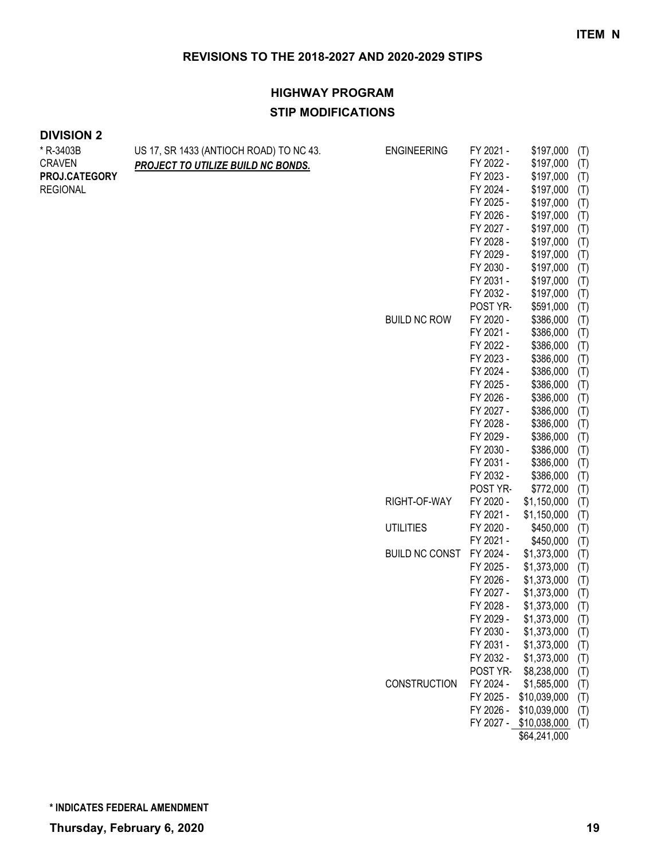| <b>DIVISION 2</b> |  |
|-------------------|--|
|-------------------|--|

| * R-3403B       | US 17, SR 1433 (ANTIOCH ROAD) TO NC 43. | <b>ENGINEERING</b>    | FY 2021 - | \$197,000<br>(T)              |  |
|-----------------|-----------------------------------------|-----------------------|-----------|-------------------------------|--|
| <b>CRAVEN</b>   | PROJECT TO UTILIZE BUILD NC BONDS.      |                       | FY 2022 - | \$197,000<br>(T)              |  |
| PROJ.CATEGORY   |                                         |                       | FY 2023 - | \$197,000<br>(T)              |  |
| <b>REGIONAL</b> |                                         |                       | FY 2024 - | \$197,000<br>(T)              |  |
|                 |                                         |                       | FY 2025 - | \$197,000<br>(T)              |  |
|                 |                                         |                       | FY 2026 - | \$197,000<br>(T)              |  |
|                 |                                         |                       | FY 2027 - | \$197,000<br>(T)              |  |
|                 |                                         |                       | FY 2028 - | \$197,000<br>(T)              |  |
|                 |                                         |                       | FY 2029 - | \$197,000<br>(T)              |  |
|                 |                                         |                       | FY 2030 - | \$197,000<br>(T)              |  |
|                 |                                         |                       | FY 2031 - | \$197,000<br>(T)              |  |
|                 |                                         |                       | FY 2032 - | \$197,000<br>(T)              |  |
|                 |                                         |                       | POST YR-  | \$591,000<br>(T)              |  |
|                 |                                         | <b>BUILD NC ROW</b>   | FY 2020 - | \$386,000<br>(T)              |  |
|                 |                                         |                       | FY 2021 - | \$386,000<br>(T)              |  |
|                 |                                         |                       | FY 2022 - | \$386,000<br>(T)              |  |
|                 |                                         |                       | FY 2023 - | \$386,000<br>(T)              |  |
|                 |                                         |                       | FY 2024 - | \$386,000<br>(T)              |  |
|                 |                                         |                       | FY 2025 - | \$386,000<br>(T)              |  |
|                 |                                         |                       | FY 2026 - | \$386,000<br>(T)              |  |
|                 |                                         |                       | FY 2027 - | \$386,000<br>(T)              |  |
|                 |                                         |                       | FY 2028 - | \$386,000<br>(T)              |  |
|                 |                                         |                       | FY 2029 - | \$386,000<br>(T)              |  |
|                 |                                         |                       | FY 2030 - | \$386,000<br>(T)              |  |
|                 |                                         |                       | FY 2031 - | \$386,000<br>(T)              |  |
|                 |                                         |                       | FY 2032 - | \$386,000<br>(T)              |  |
|                 |                                         |                       | POST YR-  | \$772,000<br>(T)              |  |
|                 |                                         | RIGHT-OF-WAY          | FY 2020 - | \$1,150,000<br>(T)            |  |
|                 |                                         |                       | FY 2021 - | \$1,150,000<br>(T)            |  |
|                 |                                         | <b>UTILITIES</b>      | FY 2020 - | \$450,000<br>(T)              |  |
|                 |                                         |                       | FY 2021 - | \$450,000<br>(T)              |  |
|                 |                                         | <b>BUILD NC CONST</b> | FY 2024 - | \$1,373,000<br>(T)            |  |
|                 |                                         |                       | FY 2025 - | \$1,373,000<br>(T)            |  |
|                 |                                         |                       | FY 2026 - | \$1,373,000<br>(T)            |  |
|                 |                                         |                       | FY 2027 - | \$1,373,000<br>(T)            |  |
|                 |                                         |                       | FY 2028 - | \$1,373,000<br>(T)            |  |
|                 |                                         |                       | FY 2029 - | \$1,373,000<br>(T)            |  |
|                 |                                         |                       | FY 2030 - | \$1,373,000<br>(T)            |  |
|                 |                                         |                       | FY 2031 - | \$1,373,000<br>(T)            |  |
|                 |                                         |                       | FY 2032 - | \$1,373,000<br>(T)            |  |
|                 |                                         |                       | POST YR-  | \$8,238,000<br>(T)            |  |
|                 |                                         | CONSTRUCTION          | FY 2024 - | \$1,585,000<br>(T)            |  |
|                 |                                         |                       | FY 2025 - | \$10,039,000<br>(T)           |  |
|                 |                                         |                       | FY 2026 - | \$10,039,000<br>(T)           |  |
|                 |                                         |                       |           | FY 2027 - \$10,038,000<br>(T) |  |
|                 |                                         |                       |           | \$64,241,000                  |  |
|                 |                                         |                       |           |                               |  |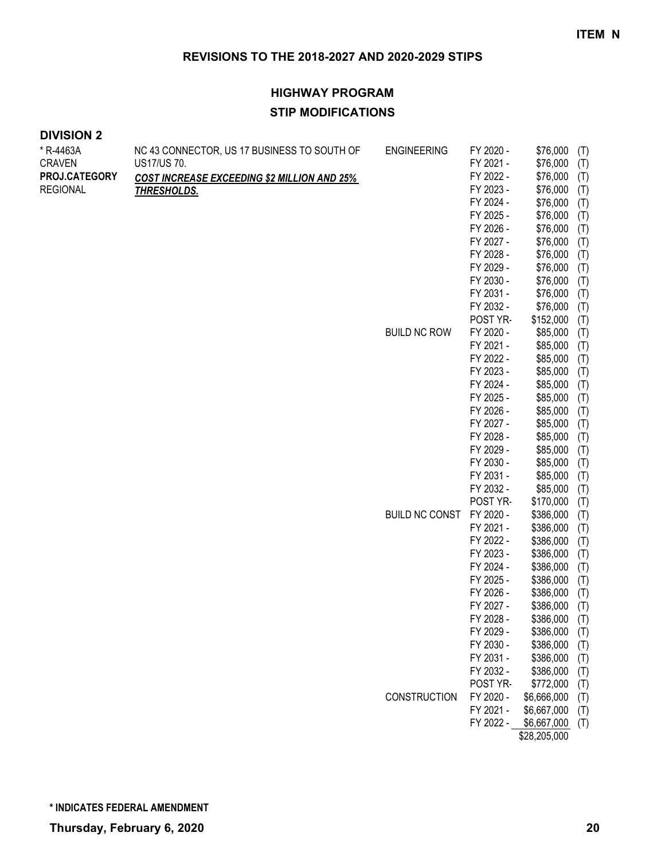| <b>DIVISION 2</b> |  |
|-------------------|--|
|-------------------|--|

| * R-4463A       | NC 43 CONNECTOR, US 17 BUSINESS TO SOUTH OF        | <b>ENGINEERING</b>    | FY 2020 - | \$76,000              | (T) |
|-----------------|----------------------------------------------------|-----------------------|-----------|-----------------------|-----|
| <b>CRAVEN</b>   | US17/US 70.                                        |                       | FY 2021 - | \$76,000              | (T) |
| PROJ.CATEGORY   | <b>COST INCREASE EXCEEDING \$2 MILLION AND 25%</b> |                       | FY 2022 - | \$76,000              | (T) |
| <b>REGIONAL</b> | <b>THRESHOLDS.</b>                                 |                       | FY 2023 - | \$76,000              | (T) |
|                 |                                                    |                       | FY 2024 - | \$76,000              | (T) |
|                 |                                                    |                       | FY 2025 - | \$76,000              | (T) |
|                 |                                                    |                       | FY 2026 - | \$76,000              | (T) |
|                 |                                                    |                       | FY 2027 - | \$76,000              | (T) |
|                 |                                                    |                       | FY 2028 - | \$76,000              | (T) |
|                 |                                                    |                       | FY 2029 - | \$76,000              | (T) |
|                 |                                                    |                       | FY 2030 - | \$76,000              | (T) |
|                 |                                                    |                       | FY 2031 - | \$76,000              | (T) |
|                 |                                                    |                       | FY 2032 - | \$76,000              | (T) |
|                 |                                                    |                       | POST YR-  | \$152,000             | (T) |
|                 |                                                    | <b>BUILD NC ROW</b>   | FY 2020 - | \$85,000              | (T) |
|                 |                                                    |                       | FY 2021 - | \$85,000              | (T) |
|                 |                                                    |                       | FY 2022 - | \$85,000              | (T) |
|                 |                                                    |                       | FY 2023 - | \$85,000              | (T) |
|                 |                                                    |                       | FY 2024 - | \$85,000              | (T) |
|                 |                                                    |                       | FY 2025 - | \$85,000              | (T) |
|                 |                                                    |                       | FY 2026 - | \$85,000              | (T) |
|                 |                                                    |                       | FY 2027 - | \$85,000              | (T) |
|                 |                                                    |                       | FY 2028 - | \$85,000              | (T) |
|                 |                                                    |                       | FY 2029 - | \$85,000              | (T) |
|                 |                                                    |                       | FY 2030 - | \$85,000              | (T) |
|                 |                                                    |                       | FY 2031 - | \$85,000              | (T) |
|                 |                                                    |                       | FY 2032 - | \$85,000              | (T) |
|                 |                                                    |                       | POST YR-  | \$170,000             | (T) |
|                 |                                                    | <b>BUILD NC CONST</b> | FY 2020 - | \$386,000             | (T) |
|                 |                                                    |                       | FY 2021 - | \$386,000             | (T) |
|                 |                                                    |                       | FY 2022 - | \$386,000             | (T) |
|                 |                                                    |                       | FY 2023 - | \$386,000             | (T) |
|                 |                                                    |                       | FY 2024 - | \$386,000             | (T) |
|                 |                                                    |                       | FY 2025 - | \$386,000             | (T) |
|                 |                                                    |                       | FY 2026 - | \$386,000             | (T) |
|                 |                                                    |                       | FY 2027 - | \$386,000             | (T) |
|                 |                                                    |                       | FY 2028 - | \$386,000             | (T) |
|                 |                                                    |                       | FY 2029 - | \$386,000 (T)         |     |
|                 |                                                    |                       | FY 2030 - | \$386,000             | (T) |
|                 |                                                    |                       | FY 2031 - | \$386,000             | (T) |
|                 |                                                    |                       | FY 2032 - | \$386,000             | (T) |
|                 |                                                    |                       | POST YR-  | \$772,000             | (T) |
|                 |                                                    | CONSTRUCTION          | FY 2020 - | \$6,666,000           | (T) |
|                 |                                                    |                       | FY 2021 - | \$6,667,000           | (T) |
|                 |                                                    |                       |           | FY 2022 - \$6,667,000 | (T) |
|                 |                                                    |                       |           | \$28,205,000          |     |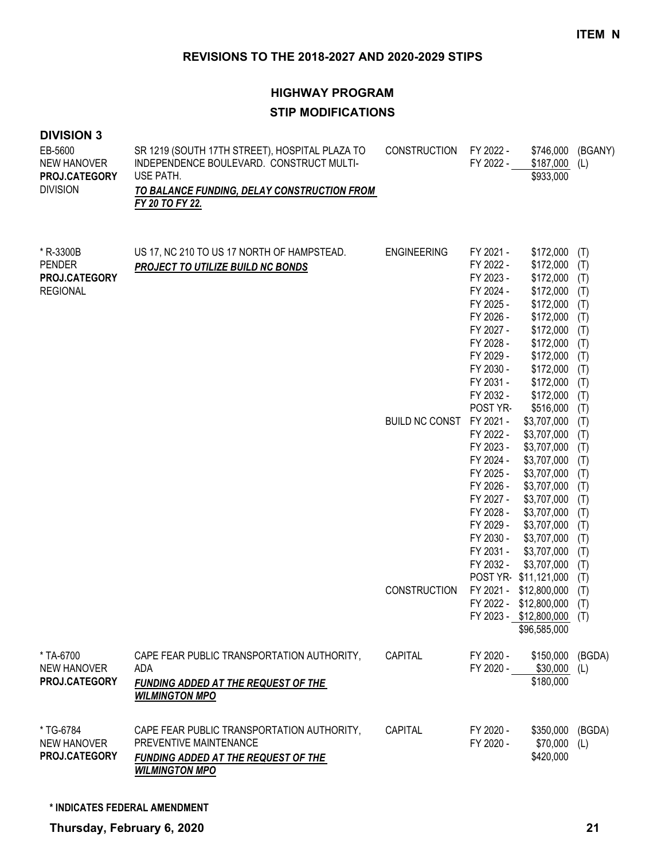# **HIGHWAY PROGRAM STIP MODIFICATIONS**

| <b>DIVISION 3</b><br>EB-5600<br><b>NEW HANOVER</b><br>PROJ.CATEGORY<br><b>DIVISION</b> | SR 1219 (SOUTH 17TH STREET), HOSPITAL PLAZA TO<br>INDEPENDENCE BOULEVARD. CONSTRUCT MULTI-<br>USE PATH.<br>TO BALANCE FUNDING, DELAY CONSTRUCTION FROM<br>FY 20 TO FY 22. | <b>CONSTRUCTION</b>   | FY 2022 -<br>FY 2022 -                                                                                                                                               | \$746,000<br>\$187,000<br>\$933,000                                                                                                                                                           | (BGANY)<br>(L)                                                                          |
|----------------------------------------------------------------------------------------|---------------------------------------------------------------------------------------------------------------------------------------------------------------------------|-----------------------|----------------------------------------------------------------------------------------------------------------------------------------------------------------------|-----------------------------------------------------------------------------------------------------------------------------------------------------------------------------------------------|-----------------------------------------------------------------------------------------|
| * R-3300B<br><b>PENDER</b><br>PROJ.CATEGORY<br><b>REGIONAL</b>                         | US 17, NC 210 TO US 17 NORTH OF HAMPSTEAD.<br><b>PROJECT TO UTILIZE BUILD NC BONDS</b>                                                                                    | <b>ENGINEERING</b>    | FY 2021 -<br>FY 2022 -<br>FY 2023 -<br>FY 2024 -<br>FY 2025 -<br>FY 2026 -<br>FY 2027 -<br>FY 2028 -<br>FY 2029 -<br>FY 2030 -<br>FY 2031 -<br>FY 2032 -             | \$172,000<br>\$172,000<br>\$172,000<br>\$172,000<br>\$172,000<br>\$172,000<br>\$172,000<br>\$172,000<br>\$172,000<br>\$172,000<br>\$172,000<br>\$172,000                                      | (T)<br>(T)<br>(T)<br>(T)<br>(T)<br>(T)<br>(T)<br>(T)<br>(T)<br>(T)<br>(T)<br>(T)        |
|                                                                                        |                                                                                                                                                                           | <b>BUILD NC CONST</b> | POST YR-<br>FY 2021 -<br>FY 2022 -<br>FY 2023 -<br>FY 2024 -<br>FY 2025 -<br>FY 2026 -<br>FY 2027 -<br>FY 2028 -<br>FY 2029 -<br>FY 2030 -<br>FY 2031 -<br>FY 2032 - | \$516,000<br>\$3,707,000<br>\$3,707,000<br>\$3,707,000<br>\$3,707,000<br>\$3,707,000<br>\$3,707,000<br>\$3,707,000<br>\$3,707,000<br>\$3,707,000<br>\$3,707,000<br>\$3,707,000<br>\$3,707,000 | (T)<br>(T)<br>(T)<br>(T)<br>(T)<br>(T)<br>(T)<br>(T)<br>(T)<br>(T)<br>(T)<br>(T)<br>(T) |
|                                                                                        |                                                                                                                                                                           | <b>CONSTRUCTION</b>   | FY 2021 -<br>FY 2022 -                                                                                                                                               | POST YR-\$11,121,000<br>\$12,800,000<br>\$12,800,000<br>FY 2023 - \$12,800,000 (T)<br>\$96,585,000                                                                                            | (T)<br>(T)<br>(T)                                                                       |
| * TA-6700<br><b>NEW HANOVER</b><br>PROJ.CATEGORY                                       | CAPE FEAR PUBLIC TRANSPORTATION AUTHORITY,<br>ADA<br><b>FUNDING ADDED AT THE REQUEST OF THE</b><br><b>WILMINGTON MPO</b>                                                  | CAPITAL               | FY 2020 -<br>FY 2020 -                                                                                                                                               | \$150,000<br>\$30,000<br>\$180,000                                                                                                                                                            | (BGDA)<br>(L)                                                                           |
| * TG-6784<br><b>NEW HANOVER</b><br>PROJ.CATEGORY                                       | CAPE FEAR PUBLIC TRANSPORTATION AUTHORITY,<br>PREVENTIVE MAINTENANCE<br>FUNDING ADDED AT THE REQUEST OF THE<br><b>WILMINGTON MPO</b>                                      | CAPITAL               | FY 2020 -<br>FY 2020 -                                                                                                                                               | \$350,000<br>\$70,000<br>\$420,000                                                                                                                                                            | (BGDA)<br>(L)                                                                           |

**\* INDICATES FEDERAL AMENDMENT**

**Thursday, February 6, 2020 21**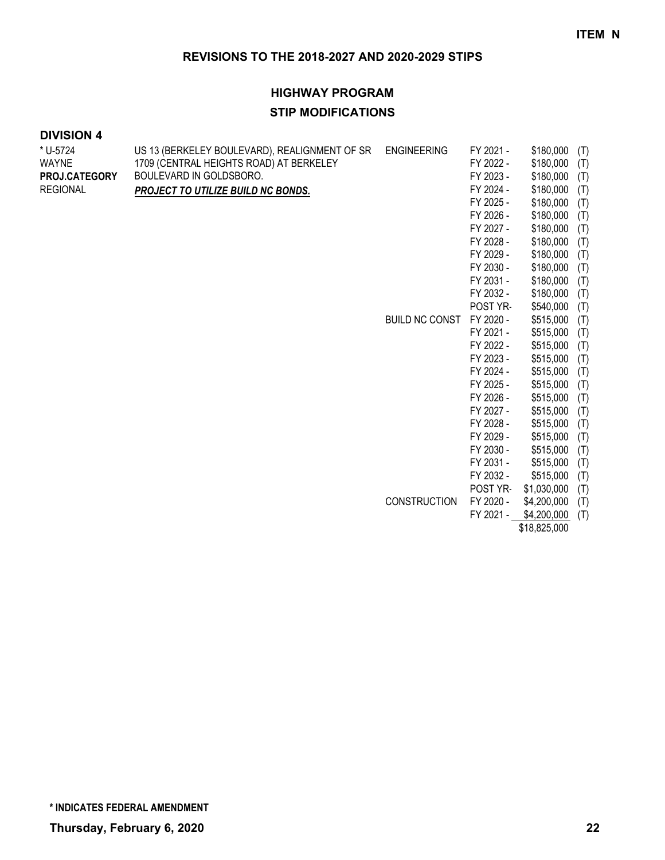#### **HIGHWAY PROGRAM**

#### **STIP MODIFICATIONS**

#### **DIVISION 4**

| * U-5724        | US 13 (BERKELEY BOULEVARD), REALIGNMENT OF SR | <b>ENGINEERING</b>    | FY 2021 - | \$180,000<br>(T)   |  |
|-----------------|-----------------------------------------------|-----------------------|-----------|--------------------|--|
| <b>WAYNE</b>    | 1709 (CENTRAL HEIGHTS ROAD) AT BERKELEY       |                       | FY 2022 - | \$180,000<br>(T)   |  |
| PROJ.CATEGORY   | BOULEVARD IN GOLDSBORO.                       |                       | FY 2023 - | \$180,000<br>(T)   |  |
| <b>REGIONAL</b> | PROJECT TO UTILIZE BUILD NC BONDS.            |                       | FY 2024 - | \$180,000<br>(T)   |  |
|                 |                                               |                       | FY 2025 - | \$180,000<br>(T)   |  |
|                 |                                               |                       | FY 2026 - | \$180,000<br>(T)   |  |
|                 |                                               |                       | FY 2027 - | \$180,000<br>(T)   |  |
|                 |                                               |                       | FY 2028 - | \$180,000<br>(T)   |  |
|                 |                                               |                       | FY 2029 - | \$180,000<br>(T)   |  |
|                 |                                               |                       | FY 2030 - | \$180,000<br>(T)   |  |
|                 |                                               |                       | FY 2031 - | \$180,000<br>(T)   |  |
|                 |                                               |                       | FY 2032 - | \$180,000<br>(T)   |  |
|                 |                                               |                       | POST YR-  | \$540,000<br>(T)   |  |
|                 |                                               | <b>BUILD NC CONST</b> | FY 2020 - | \$515,000<br>(T)   |  |
|                 |                                               |                       | FY 2021 - | \$515,000<br>(T)   |  |
|                 |                                               |                       | FY 2022 - | \$515,000<br>(T)   |  |
|                 |                                               |                       | FY 2023 - | \$515,000<br>(T)   |  |
|                 |                                               |                       | FY 2024 - | \$515,000<br>(T)   |  |
|                 |                                               |                       | FY 2025 - | \$515,000<br>(T)   |  |
|                 |                                               |                       | FY 2026 - | \$515,000<br>(T)   |  |
|                 |                                               |                       | FY 2027 - | \$515,000<br>(T)   |  |
|                 |                                               |                       | FY 2028 - | \$515,000<br>(T)   |  |
|                 |                                               |                       | FY 2029 - | \$515,000<br>(T)   |  |
|                 |                                               |                       | FY 2030 - | \$515,000<br>(T)   |  |
|                 |                                               |                       | FY 2031 - | \$515,000<br>(T)   |  |
|                 |                                               |                       | FY 2032 - | \$515,000<br>(T)   |  |
|                 |                                               |                       | POST YR-  | \$1,030,000<br>(T) |  |
|                 |                                               | <b>CONSTRUCTION</b>   | FY 2020 - | \$4,200,000<br>(T) |  |
|                 |                                               |                       | FY 2021 - | \$4,200,000<br>(T) |  |
|                 |                                               |                       |           | \$18,825,000       |  |

**\* INDICATES FEDERAL AMENDMENT**

**Thursday, February 6, 2020 22**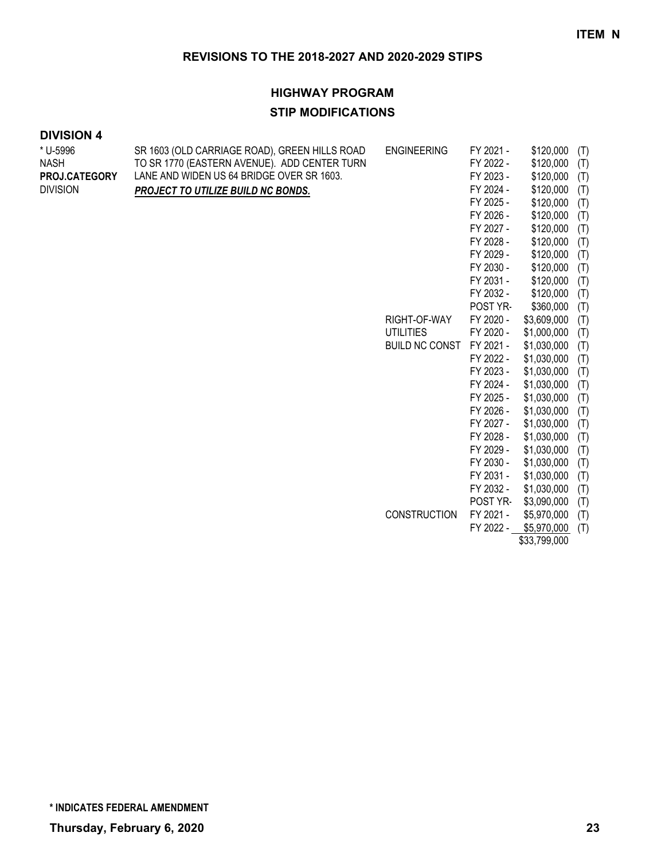#### **HIGHWAY PROGRAM**

#### **STIP MODIFICATIONS**

| * U-5996<br><b>NASH</b><br>PROJ.CATEGORY<br><b>DIVISION</b> | SR 1603 (OLD CARRIAGE ROAD), GREEN HILLS ROAD<br>TO SR 1770 (EASTERN AVENUE). ADD CENTER TURN<br>LANE AND WIDEN US 64 BRIDGE OVER SR 1603.<br>PROJECT TO UTILIZE BUILD NC BONDS. | <b>ENGINEERING</b><br>RIGHT-OF-WAY<br><b>UTILITIES</b><br><b>BUILD NC CONST</b> | FY 2021 -<br>FY 2022 -<br>FY 2023 -<br>FY 2024 -<br>FY 2025 -<br>FY 2026 -<br>FY 2027 -<br>FY 2028 -<br>FY 2029 -<br>FY 2030 -<br>FY 2031 -<br>FY 2032 -<br>POST YR-<br>FY 2020 -<br>FY 2020 -<br>FY 2021 -<br>FY 2022 -<br>FY 2023 -<br>FY 2024 -<br>FY 2025 -<br>FY 2026 -<br>FY 2027 -<br>FY 2028 -<br>FY 2029 -<br>FY 2030 -<br>FY 2031 -<br>FY 2032 - | \$120,000<br>\$120,000<br>\$120,000<br>\$120,000<br>\$120,000<br>\$120,000<br>\$120,000<br>\$120,000<br>\$120,000<br>\$120,000<br>\$120,000<br>\$120,000<br>\$360,000<br>\$3,609,000<br>\$1,000,000<br>\$1,030,000<br>\$1,030,000<br>\$1,030,000<br>\$1,030,000<br>\$1,030,000<br>\$1,030,000<br>\$1,030,000<br>\$1,030,000<br>\$1,030,000<br>\$1,030,000<br>\$1,030,000<br>\$1,030,000 | (T)<br>(T)<br>(T)<br>(T)<br>(T)<br>(T)<br>(T)<br>(T)<br>(T)<br>(T)<br>(T)<br>(T)<br>(T)<br>(T)<br>(T)<br>(T)<br>(T)<br>(T)<br>(T)<br>(T)<br>(T)<br>(T)<br>(T)<br>(T)<br>(T)<br>(T)<br>(T) |
|-------------------------------------------------------------|----------------------------------------------------------------------------------------------------------------------------------------------------------------------------------|---------------------------------------------------------------------------------|------------------------------------------------------------------------------------------------------------------------------------------------------------------------------------------------------------------------------------------------------------------------------------------------------------------------------------------------------------|-----------------------------------------------------------------------------------------------------------------------------------------------------------------------------------------------------------------------------------------------------------------------------------------------------------------------------------------------------------------------------------------|-------------------------------------------------------------------------------------------------------------------------------------------------------------------------------------------|
|                                                             |                                                                                                                                                                                  | <b>CONSTRUCTION</b>                                                             | POST YR-<br>FY 2021 -<br>FY 2022 -                                                                                                                                                                                                                                                                                                                         | \$3,090,000<br>\$5,970,000<br>\$5,970,000<br>\$33,799,000                                                                                                                                                                                                                                                                                                                               | (T)<br>(T)<br>(T)                                                                                                                                                                         |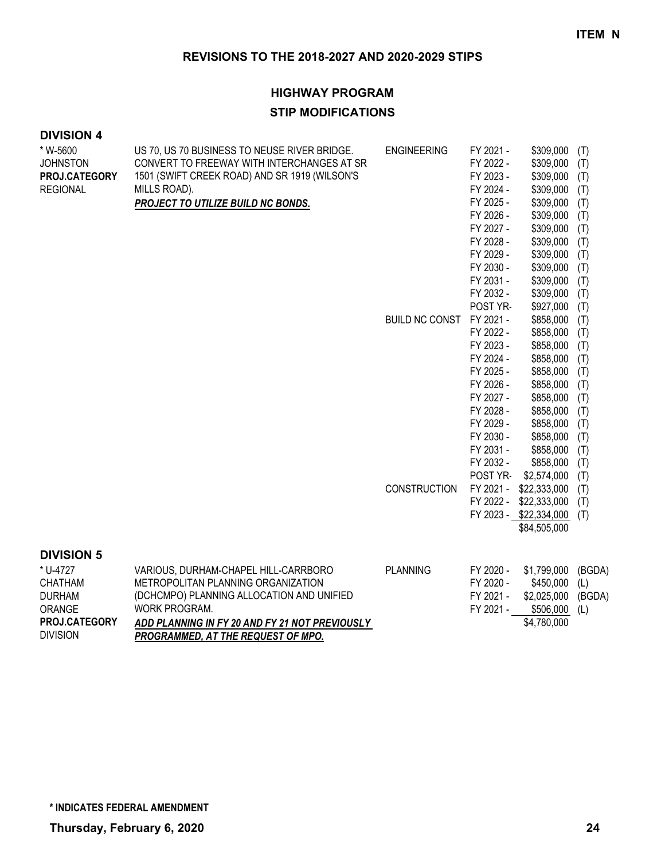#### **HIGHWAY PROGRAM**

#### **STIP MODIFICATIONS**

| * W-5600          | US 70, US 70 BUSINESS TO NEUSE RIVER BRIDGE.   | <b>ENGINEERING</b>    | FY 2021 - | \$309,000              | (T)    |
|-------------------|------------------------------------------------|-----------------------|-----------|------------------------|--------|
| <b>JOHNSTON</b>   | CONVERT TO FREEWAY WITH INTERCHANGES AT SR     |                       | FY 2022 - | \$309,000              | (T)    |
| PROJ.CATEGORY     | 1501 (SWIFT CREEK ROAD) AND SR 1919 (WILSON'S  |                       | FY 2023 - | \$309,000              | (T)    |
| <b>REGIONAL</b>   | MILLS ROAD).                                   |                       | FY 2024 - | \$309,000              | (T)    |
|                   | PROJECT TO UTILIZE BUILD NC BONDS.             |                       | FY 2025 - | \$309,000              | (T)    |
|                   |                                                |                       | FY 2026 - | \$309,000              | (T)    |
|                   |                                                |                       | FY 2027 - | \$309,000              | (T)    |
|                   |                                                |                       | FY 2028 - | \$309,000              | (T)    |
|                   |                                                |                       | FY 2029 - | \$309,000              | (T)    |
|                   |                                                |                       | FY 2030 - | \$309,000              | (T)    |
|                   |                                                |                       | FY 2031 - | \$309,000              | (T)    |
|                   |                                                |                       | FY 2032 - | \$309,000              | (T)    |
|                   |                                                |                       | POST YR-  | \$927,000              | (T)    |
|                   |                                                | <b>BUILD NC CONST</b> | FY 2021 - | \$858,000              | (T)    |
|                   |                                                |                       | FY 2022 - | \$858,000              | (T)    |
|                   |                                                |                       | FY 2023 - | \$858,000              | (T)    |
|                   |                                                |                       | FY 2024 - | \$858,000              | (T)    |
|                   |                                                |                       | FY 2025 - | \$858,000              | (T)    |
|                   |                                                |                       | FY 2026 - | \$858,000              | (T)    |
|                   |                                                |                       | FY 2027 - | \$858,000              | (T)    |
|                   |                                                |                       | FY 2028 - | \$858,000              | (T)    |
|                   |                                                |                       | FY 2029 - | \$858,000              | (T)    |
|                   |                                                |                       | FY 2030 - | \$858,000              | (T)    |
|                   |                                                |                       | FY 2031 - | \$858,000              | (T)    |
|                   |                                                |                       | FY 2032 - | \$858,000              | (T)    |
|                   |                                                |                       | POST YR-  | \$2,574,000            | (T)    |
|                   |                                                | <b>CONSTRUCTION</b>   | FY 2021 - | \$22,333,000           | (T)    |
|                   |                                                |                       | FY 2022 - | \$22,333,000           | (T)    |
|                   |                                                |                       |           | FY 2023 - \$22,334,000 | (T)    |
|                   |                                                |                       |           | \$84,505,000           |        |
| <b>DIVISION 5</b> |                                                |                       |           |                        |        |
| * U-4727          | VARIOUS, DURHAM-CHAPEL HILL-CARRBORO           | <b>PLANNING</b>       | FY 2020 - | \$1,799,000            | (BGDA) |
| <b>CHATHAM</b>    | METROPOLITAN PLANNING ORGANIZATION             |                       | FY 2020 - | \$450,000              | (L)    |
| <b>DURHAM</b>     | (DCHCMPO) PLANNING ALLOCATION AND UNIFIED      |                       | FY 2021 - | \$2,025,000            | (BGDA) |
| ORANGE            | WORK PROGRAM.                                  |                       | FY 2021 - | \$506,000              | (L)    |
| PROJ.CATEGORY     | ADD PLANNING IN FY 20 AND FY 21 NOT PREVIOUSLY |                       |           | \$4,780,000            |        |
| <b>DIVISION</b>   | PROGRAMMED, AT THE REQUEST OF MPO.             |                       |           |                        |        |
|                   |                                                |                       |           |                        |        |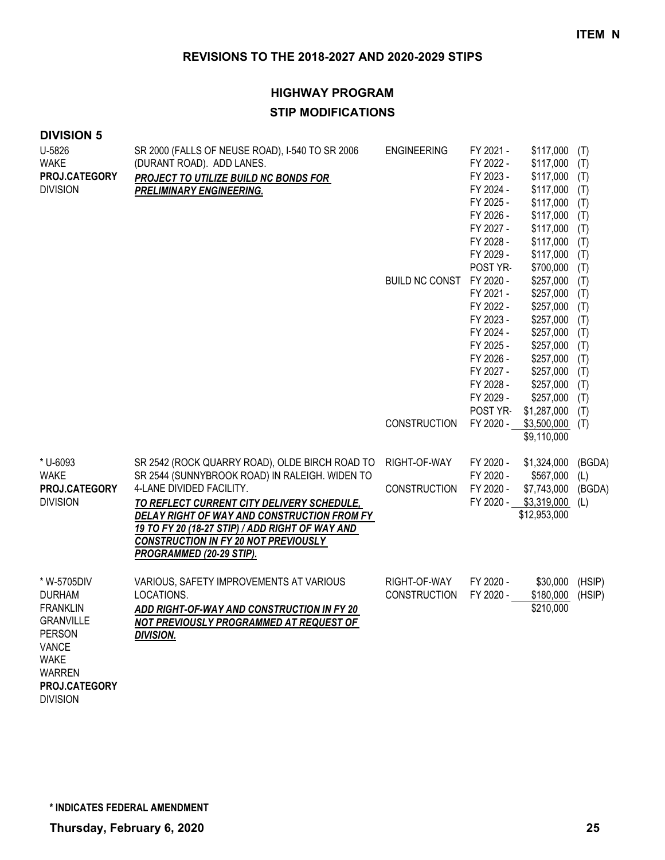| <b>DIVISION 5</b>                                                                                                                                                 |                                                                                                                                                                                                                                                            |                                     |                                                                                                                                            |                                                                                                                                               |                                                                           |
|-------------------------------------------------------------------------------------------------------------------------------------------------------------------|------------------------------------------------------------------------------------------------------------------------------------------------------------------------------------------------------------------------------------------------------------|-------------------------------------|--------------------------------------------------------------------------------------------------------------------------------------------|-----------------------------------------------------------------------------------------------------------------------------------------------|---------------------------------------------------------------------------|
| U-5826<br><b>WAKE</b><br>PROJ.CATEGORY<br><b>DIVISION</b>                                                                                                         | SR 2000 (FALLS OF NEUSE ROAD), I-540 TO SR 2006<br>(DURANT ROAD). ADD LANES.<br>PROJECT TO UTILIZE BUILD NC BONDS FOR<br>PRELIMINARY ENGINEERING.                                                                                                          | <b>ENGINEERING</b>                  | FY 2021 -<br>FY 2022 -<br>FY 2023 -<br>FY 2024 -<br>FY 2025 -<br>FY 2026 -<br>FY 2027 -<br>FY 2028 -<br>FY 2029 -<br>POST YR-              | \$117,000<br>\$117,000<br>\$117,000<br>\$117,000<br>\$117,000<br>\$117,000<br>\$117,000<br>\$117,000<br>\$117,000<br>\$700,000                | (T)<br>(T)<br>(T)<br>(T)<br>(T)<br>(T)<br>(T)<br>(T)<br>(T)<br>(T)        |
|                                                                                                                                                                   |                                                                                                                                                                                                                                                            | <b>BUILD NC CONST</b>               | FY 2020 -<br>FY 2021 -<br>FY 2022 -<br>FY 2023 -<br>FY 2024 -<br>FY 2025 -<br>FY 2026 -<br>FY 2027 -<br>FY 2028 -<br>FY 2029 -<br>POST YR- | \$257,000<br>\$257,000<br>\$257,000<br>\$257,000<br>\$257,000<br>\$257,000<br>\$257,000<br>\$257,000<br>\$257,000<br>\$257,000<br>\$1,287,000 | (T)<br>(T)<br>(T)<br>(T)<br>(T)<br>(T)<br>(T)<br>(T)<br>(T)<br>(T)<br>(T) |
|                                                                                                                                                                   |                                                                                                                                                                                                                                                            | <b>CONSTRUCTION</b>                 | FY 2020 -                                                                                                                                  | \$3,500,000<br>\$9,110,000                                                                                                                    | (T)                                                                       |
| * U-6093<br><b>WAKE</b>                                                                                                                                           | SR 2542 (ROCK QUARRY ROAD), OLDE BIRCH ROAD TO<br>SR 2544 (SUNNYBROOK ROAD) IN RALEIGH. WIDEN TO                                                                                                                                                           | RIGHT-OF-WAY                        | FY 2020 -<br>FY 2020 -                                                                                                                     | \$1,324,000<br>\$567,000                                                                                                                      | (BGDA)<br>(L)                                                             |
| PROJ.CATEGORY<br><b>DIVISION</b>                                                                                                                                  | 4-LANE DIVIDED FACILITY.<br>TO REFLECT CURRENT CITY DELIVERY SCHEDULE,<br>DELAY RIGHT OF WAY AND CONSTRUCTION FROM FY<br>19 TO FY 20 (18-27 STIP) / ADD RIGHT OF WAY AND<br><b>CONSTRUCTION IN FY 20 NOT PREVIOUSLY</b><br><b>PROGRAMMED (20-29 STIP).</b> | <b>CONSTRUCTION</b>                 | FY 2020 -<br>FY 2020 -                                                                                                                     | \$7,743,000<br>\$3,319,000<br>\$12,953,000                                                                                                    | (BGDA)<br>(L)                                                             |
| * W-5705DIV<br><b>DURHAM</b><br><b>FRANKLIN</b><br><b>GRANVILLE</b><br><b>PERSON</b><br>VANCE<br><b>WAKE</b><br><b>WARREN</b><br>PROJ.CATEGORY<br><b>DIVISION</b> | VARIOUS, SAFETY IMPROVEMENTS AT VARIOUS<br>LOCATIONS.<br>ADD RIGHT-OF-WAY AND CONSTRUCTION IN FY 20<br>NOT PREVIOUSLY PROGRAMMED AT REQUEST OF<br><b>DIVISION.</b>                                                                                         | RIGHT-OF-WAY<br><b>CONSTRUCTION</b> | FY 2020 -<br>FY 2020 -                                                                                                                     | \$30,000<br>\$180,000<br>\$210,000                                                                                                            | (HSIP)<br>(HSIP)                                                          |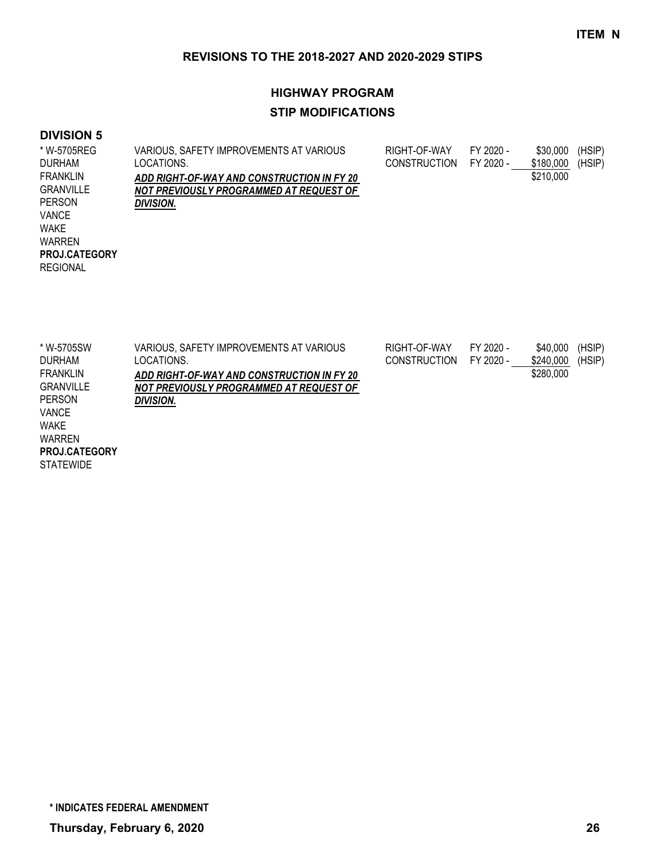# **HIGHWAY PROGRAM STIP MODIFICATIONS**

#### **DIVISION 5**

| * W-5705REG          | VARIOUS, SAFETY IMPROVEMENTS AT VARIOUS    | RIGHT-OF-WAY        | FY 2020 - | \$30,000  | (HSIP) |
|----------------------|--------------------------------------------|---------------------|-----------|-----------|--------|
| <b>DURHAM</b>        | LOCATIONS.                                 | <b>CONSTRUCTION</b> | FY 2020 - | \$180,000 | (HSIP) |
| <b>FRANKLIN</b>      | ADD RIGHT-OF-WAY AND CONSTRUCTION IN FY 20 |                     |           | \$210,000 |        |
| <b>GRANVILLE</b>     | NOT PREVIOUSLY PROGRAMMED AT REQUEST OF    |                     |           |           |        |
| <b>PERSON</b>        | <b>DIVISION.</b>                           |                     |           |           |        |
| <b>VANCE</b>         |                                            |                     |           |           |        |
| <b>WAKE</b>          |                                            |                     |           |           |        |
| <b>WARREN</b>        |                                            |                     |           |           |        |
| <b>PROJ.CATEGORY</b> |                                            |                     |           |           |        |
| <b>REGIONAL</b>      |                                            |                     |           |           |        |
|                      |                                            |                     |           |           |        |

| * W-5705SW           | VARIOUS, SAFETY IMPROVEMENTS AT VARIOUS    | RIGHT-OF-WAY        | FY 2020 - | \$40,000  | (HSIP) |
|----------------------|--------------------------------------------|---------------------|-----------|-----------|--------|
| <b>DURHAM</b>        | LOCATIONS.                                 | <b>CONSTRUCTION</b> | FY 2020 - | \$240,000 | (HSIP) |
| FRANKLIN             | ADD RIGHT-OF-WAY AND CONSTRUCTION IN FY 20 |                     |           | \$280,000 |        |
| <b>GRANVILLE</b>     | NOT PREVIOUSLY PROGRAMMED AT REQUEST OF    |                     |           |           |        |
| <b>PERSON</b>        | DIVISION.                                  |                     |           |           |        |
| VANCE                |                                            |                     |           |           |        |
| <b>WAKE</b>          |                                            |                     |           |           |        |
| <b>WARREN</b>        |                                            |                     |           |           |        |
| <b>PROJ.CATEGORY</b> |                                            |                     |           |           |        |

**STATEWIDE** 

**\* INDICATES FEDERAL AMENDMENT**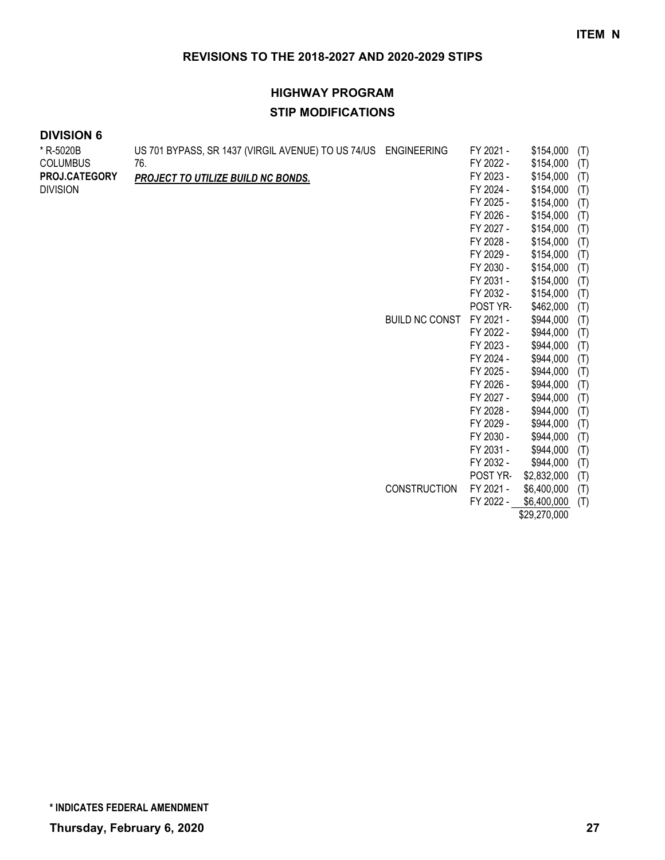# **HIGHWAY PROGRAM STIP MODIFICATIONS**

| * R-5020B       | US 701 BYPASS, SR 1437 (VIRGIL AVENUE) TO US 74/US ENGINEERING |                     | FY 2021 - | \$154,000    | (T) |
|-----------------|----------------------------------------------------------------|---------------------|-----------|--------------|-----|
| <b>COLUMBUS</b> | 76.                                                            |                     | FY 2022 - | \$154,000    | (T) |
| PROJ.CATEGORY   | PROJECT TO UTILIZE BUILD NC BONDS.                             |                     | FY 2023 - | \$154,000    | (T) |
| <b>DIVISION</b> |                                                                |                     | FY 2024 - | \$154,000    | (T) |
|                 |                                                                |                     | FY 2025 - | \$154,000    | (T) |
|                 |                                                                |                     | FY 2026 - | \$154,000    | (T) |
|                 |                                                                |                     | FY 2027 - | \$154,000    | (T) |
|                 |                                                                |                     | FY 2028 - | \$154,000    | (T) |
|                 |                                                                |                     | FY 2029 - | \$154,000    | (T) |
|                 |                                                                |                     | FY 2030 - | \$154,000    | (T) |
|                 |                                                                |                     | FY 2031 - | \$154,000    | (T) |
|                 |                                                                |                     | FY 2032 - | \$154,000    | (T) |
|                 |                                                                |                     | POST YR-  | \$462,000    | (T) |
|                 |                                                                | BUILD NC CONST      | FY 2021 - | \$944,000    | (T) |
|                 |                                                                |                     | FY 2022 - | \$944,000    | (T) |
|                 |                                                                |                     | FY 2023 - | \$944,000    | (T) |
|                 |                                                                |                     | FY 2024 - | \$944,000    | (T) |
|                 |                                                                |                     | FY 2025 - | \$944,000    | (T) |
|                 |                                                                |                     | FY 2026 - | \$944,000    | (T) |
|                 |                                                                |                     | FY 2027 - | \$944,000    | (T) |
|                 |                                                                |                     | FY 2028 - | \$944,000    | (T) |
|                 |                                                                |                     | FY 2029 - | \$944,000    | (T) |
|                 |                                                                |                     | FY 2030 - | \$944,000    | (T) |
|                 |                                                                |                     | FY 2031 - | \$944,000    | (T) |
|                 |                                                                |                     | FY 2032 - | \$944,000    | (T) |
|                 |                                                                |                     | POST YR-  | \$2,832,000  | (T) |
|                 |                                                                | <b>CONSTRUCTION</b> | FY 2021 - | \$6,400,000  | (T) |
|                 |                                                                |                     | FY 2022 - | \$6,400,000  | (T) |
|                 |                                                                |                     |           | \$29,270,000 |     |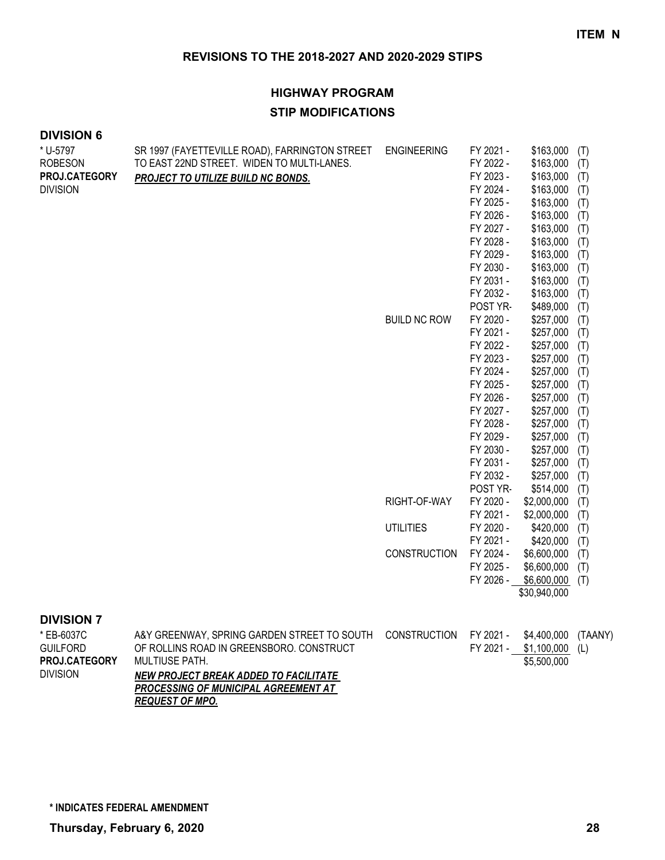# **HIGHWAY PROGRAM STIP MODIFICATIONS**

#### **DIVISION 6**

| * U-5797        | SR 1997 (FAYETTEVILLE ROAD), FARRINGTON STREET | <b>ENGINEERING</b>  | FY 2021 - | \$163,000    | (T) |
|-----------------|------------------------------------------------|---------------------|-----------|--------------|-----|
| <b>ROBESON</b>  | TO EAST 22ND STREET. WIDEN TO MULTI-LANES.     |                     | FY 2022 - | \$163,000    | (T) |
| PROJ.CATEGORY   | PROJECT TO UTILIZE BUILD NC BONDS.             |                     | FY 2023 - | \$163,000    | (T) |
| <b>DIVISION</b> |                                                |                     | FY 2024 - | \$163,000    | (T) |
|                 |                                                |                     | FY 2025 - | \$163,000    | (T) |
|                 |                                                |                     | FY 2026 - | \$163,000    | (T) |
|                 |                                                |                     | FY 2027 - | \$163,000    | (T) |
|                 |                                                |                     | FY 2028 - | \$163,000    | (T) |
|                 |                                                |                     | FY 2029 - | \$163,000    | (T) |
|                 |                                                |                     | FY 2030 - | \$163,000    | (T) |
|                 |                                                |                     | FY 2031 - | \$163,000    | (T) |
|                 |                                                |                     | FY 2032 - | \$163,000    | (T) |
|                 |                                                |                     | POST YR-  | \$489,000    | (T) |
|                 |                                                | <b>BUILD NC ROW</b> | FY 2020 - | \$257,000    | (T) |
|                 |                                                |                     | FY 2021 - | \$257,000    | (T) |
|                 |                                                |                     | FY 2022 - | \$257,000    | (T) |
|                 |                                                |                     | FY 2023 - | \$257,000    | (T) |
|                 |                                                |                     | FY 2024 - | \$257,000    | (T) |
|                 |                                                |                     | FY 2025 - | \$257,000    | (T) |
|                 |                                                |                     | FY 2026 - | \$257,000    | (T) |
|                 |                                                |                     | FY 2027 - | \$257,000    | (T) |
|                 |                                                |                     | FY 2028 - | \$257,000    | (T) |
|                 |                                                |                     | FY 2029 - | \$257,000    | (T) |
|                 |                                                |                     | FY 2030 - | \$257,000    | (T) |
|                 |                                                |                     | FY 2031 - | \$257,000    | (T) |
|                 |                                                |                     | FY 2032 - | \$257,000    | (T) |
|                 |                                                |                     | POST YR-  | \$514,000    | (T) |
|                 |                                                | RIGHT-OF-WAY        | FY 2020 - | \$2,000,000  | (T) |
|                 |                                                |                     | FY 2021 - | \$2,000,000  | (T) |
|                 |                                                | <b>UTILITIES</b>    | FY 2020 - | \$420,000    | (T) |
|                 |                                                |                     | FY 2021 - | \$420,000    | (T) |
|                 |                                                | <b>CONSTRUCTION</b> | FY 2024 - | \$6,600,000  | (T) |
|                 |                                                |                     | FY 2025 - | \$6,600,000  | (T) |
|                 |                                                |                     | FY 2026 - | \$6,600,000  | (T) |
|                 |                                                |                     |           | \$30,940,000 |     |

#### **DIVISION 7**

| * EB-6037C           | A&Y GREENWAY, SPRING GARDEN STREET TO SOUTH CONSTRUCTION FY 2021 - |           | \$4,400,000 | (TAANY) |
|----------------------|--------------------------------------------------------------------|-----------|-------------|---------|
| <b>GUILFORD</b>      | OF ROLLINS ROAD IN GREENSBORO. CONSTRUCT                           | FY 2021 - | \$1.100.000 | (L)     |
| <b>PROJ.CATEGORY</b> | MULTIUSE PATH.                                                     |           | \$5,500,000 |         |
| <b>DIVISION</b>      | NEW PROJECT BREAK ADDED TO FACILITATE                              |           |             |         |
|                      | <b>PROCESSING OF MUNICIPAL AGREEMENT AT</b>                        |           |             |         |
|                      | <b>REQUEST OF MPO.</b>                                             |           |             |         |

**\* INDICATES FEDERAL AMENDMENT**

**Thursday, February 6, 2020 28**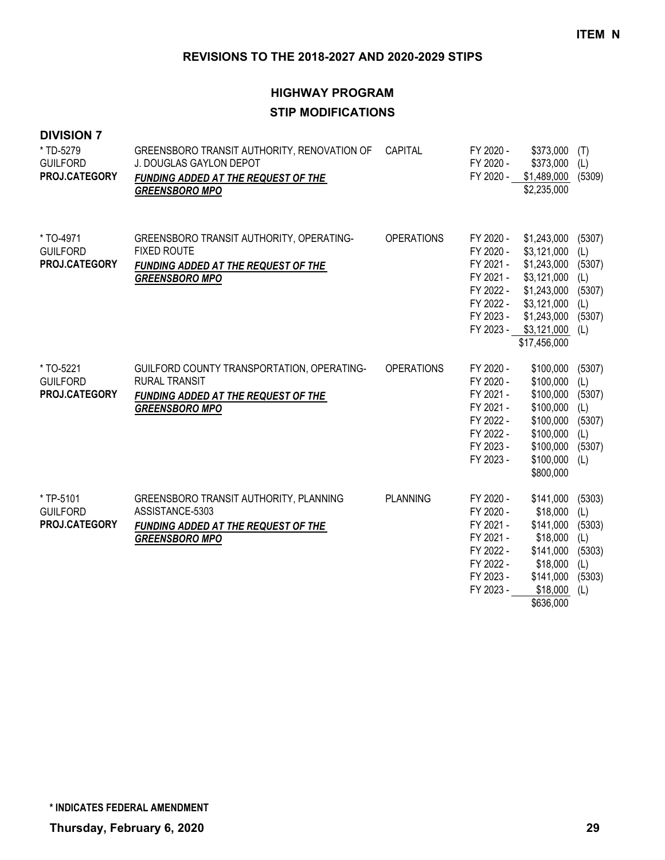# **HIGHWAY PROGRAM STIP MODIFICATIONS**

| <b>DIVISION 7</b><br>* TD-5279<br><b>GUILFORD</b><br>PROJ.CATEGORY | GREENSBORO TRANSIT AUTHORITY, RENOVATION OF<br>J. DOUGLAS GAYLON DEPOT<br>FUNDING ADDED AT THE REQUEST OF THE<br><b>GREENSBORO MPO</b> | CAPITAL           | FY 2020 -<br>FY 2020 -<br>FY 2020 -                                                                  | \$373,000<br>\$373,000<br>\$1,489,000<br>\$2,235,000                                                                                           | (T)<br>(L)<br>(5309)                                             |
|--------------------------------------------------------------------|----------------------------------------------------------------------------------------------------------------------------------------|-------------------|------------------------------------------------------------------------------------------------------|------------------------------------------------------------------------------------------------------------------------------------------------|------------------------------------------------------------------|
| * TO-4971<br><b>GUILFORD</b><br>PROJ.CATEGORY                      | GREENSBORO TRANSIT AUTHORITY, OPERATING-<br><b>FIXED ROUTE</b><br><b>FUNDING ADDED AT THE REQUEST OF THE</b><br><b>GREENSBORO MPO</b>  | <b>OPERATIONS</b> | FY 2020 -<br>FY 2020 -<br>FY 2021 -<br>FY 2021 -<br>FY 2022 -<br>FY 2022 -<br>FY 2023 -              | \$1,243,000<br>\$3,121,000<br>\$1,243,000<br>\$3,121,000<br>\$1,243,000<br>\$3,121,000<br>\$1,243,000<br>FY 2023 - \$3,121,000<br>\$17,456,000 | (5307)<br>(L)<br>(5307)<br>(L)<br>(5307)<br>(L)<br>(5307)<br>(L) |
| * TO-5221<br><b>GUILFORD</b><br>PROJ.CATEGORY                      | GUILFORD COUNTY TRANSPORTATION, OPERATING-<br><b>RURAL TRANSIT</b><br>FUNDING ADDED AT THE REQUEST OF THE<br><b>GREENSBORO MPO</b>     | <b>OPERATIONS</b> | FY 2020 -<br>FY 2020 -<br>FY 2021 -<br>FY 2021 -<br>FY 2022 -<br>FY 2022 -<br>FY 2023 -<br>FY 2023 - | \$100,000<br>\$100,000<br>\$100,000<br>\$100,000<br>\$100,000<br>\$100,000<br>\$100,000<br>\$100,000<br>\$800,000                              | (5307)<br>(L)<br>(5307)<br>(L)<br>(5307)<br>(L)<br>(5307)<br>(L) |
| * TP-5101<br><b>GUILFORD</b><br>PROJ.CATEGORY                      | GREENSBORO TRANSIT AUTHORITY, PLANNING<br>ASSISTANCE-5303<br>FUNDING ADDED AT THE REQUEST OF THE<br><b>GREENSBORO MPO</b>              | <b>PLANNING</b>   | FY 2020 -<br>FY 2020 -<br>FY 2021 -<br>FY 2021 -<br>FY 2022 -<br>FY 2022 -<br>FY 2023 -<br>FY 2023 - | \$141,000<br>\$18,000<br>\$141,000<br>\$18,000<br>\$141,000<br>\$18,000<br>\$141,000<br>\$18,000<br>\$636,000                                  | (5303)<br>(L)<br>(5303)<br>(L)<br>(5303)<br>(L)<br>(5303)<br>(L) |

**\* INDICATES FEDERAL AMENDMENT**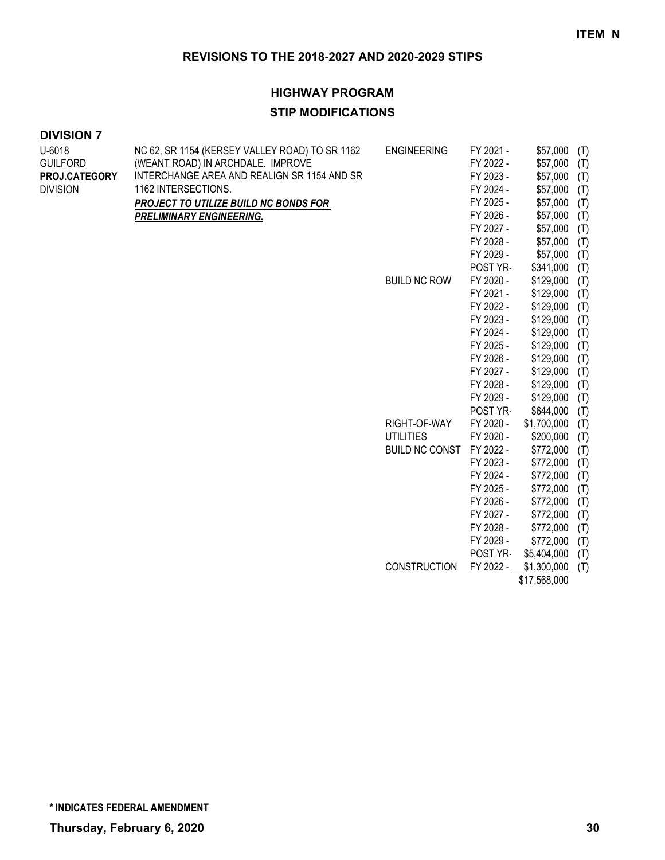# **HIGHWAY PROGRAM**

#### **STIP MODIFICATIONS**

#### **DIVISION 7**

| U-6018          | NC 62, SR 1154 (KERSEY VALLEY ROAD) TO SR 1162 | <b>ENGINEERING</b>    | FY 2021 - | \$57,000     | (T) |
|-----------------|------------------------------------------------|-----------------------|-----------|--------------|-----|
| <b>GUILFORD</b> | (WEANT ROAD) IN ARCHDALE. IMPROVE              |                       | FY 2022 - | \$57,000     | (T) |
| PROJ.CATEGORY   | INTERCHANGE AREA AND REALIGN SR 1154 AND SR    |                       | FY 2023 - | \$57,000     | (T) |
| <b>DIVISION</b> | 1162 INTERSECTIONS.                            |                       | FY 2024 - | \$57,000     | (T) |
|                 | PROJECT TO UTILIZE BUILD NC BONDS FOR          |                       | FY 2025 - | \$57,000     | (T) |
|                 | <b>PRELIMINARY ENGINEERING.</b>                |                       | FY 2026 - | \$57,000     | (T) |
|                 |                                                |                       | FY 2027 - | \$57,000     | (T) |
|                 |                                                |                       | FY 2028 - | \$57,000     | (T) |
|                 |                                                |                       | FY 2029 - | \$57,000     | (T) |
|                 |                                                |                       | POST YR-  | \$341,000    | (T) |
|                 |                                                | <b>BUILD NC ROW</b>   | FY 2020 - | \$129,000    | (T) |
|                 |                                                |                       | FY 2021 - | \$129,000    | (T) |
|                 |                                                |                       | FY 2022 - | \$129,000    | (T) |
|                 |                                                |                       | FY 2023 - | \$129,000    | (T) |
|                 |                                                |                       | FY 2024 - | \$129,000    | (T) |
|                 |                                                |                       | FY 2025 - | \$129,000    | (T) |
|                 |                                                |                       | FY 2026 - | \$129,000    | (T) |
|                 |                                                |                       | FY 2027 - | \$129,000    | (T) |
|                 |                                                |                       | FY 2028 - | \$129,000    | (T) |
|                 |                                                |                       | FY 2029 - | \$129,000    | (T) |
|                 |                                                |                       | POST YR-  | \$644,000    | (T) |
|                 |                                                | RIGHT-OF-WAY          | FY 2020 - | \$1,700,000  | (T) |
|                 |                                                | <b>UTILITIES</b>      | FY 2020 - | \$200,000    | (T) |
|                 |                                                | <b>BUILD NC CONST</b> | FY 2022 - | \$772,000    | (T) |
|                 |                                                |                       | FY 2023 - | \$772,000    | (T) |
|                 |                                                |                       | FY 2024 - | \$772,000    | (T) |
|                 |                                                |                       | FY 2025 - | \$772,000    | (T) |
|                 |                                                |                       | FY 2026 - | \$772,000    | (T) |
|                 |                                                |                       | FY 2027 - | \$772,000    | (T) |
|                 |                                                |                       | FY 2028 - | \$772,000    | (T) |
|                 |                                                |                       | FY 2029 - | \$772,000    | (T) |
|                 |                                                |                       | POST YR-  | \$5,404,000  | (T) |
|                 |                                                | <b>CONSTRUCTION</b>   | FY 2022 - | \$1,300,000  | (T) |
|                 |                                                |                       |           | \$17,568,000 |     |

**\* INDICATES FEDERAL AMENDMENT**

**Thursday, February 6, 2020 30**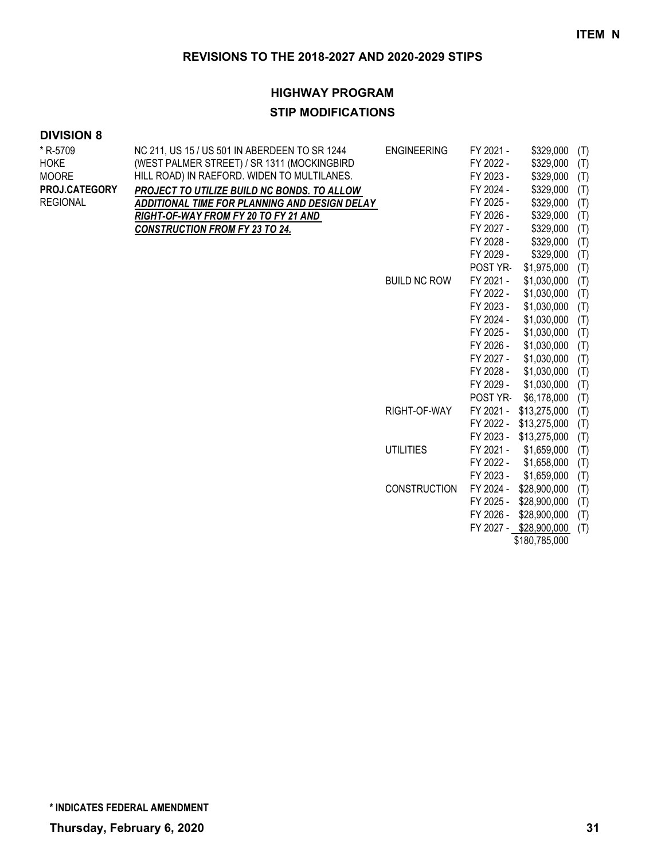# **HIGHWAY PROGRAM**

### **STIP MODIFICATIONS**

| * R-5709<br><b>HOKE</b><br><b>MOORE</b><br><b>PROJ.CATEGORY</b><br><b>REGIONAL</b> | NC 211, US 15 / US 501 IN ABERDEEN TO SR 1244<br>(WEST PALMER STREET) / SR 1311 (MOCKINGBIRD<br>HILL ROAD) IN RAEFORD. WIDEN TO MULTILANES.<br>PROJECT TO UTILIZE BUILD NC BONDS. TO ALLOW<br>ADDITIONAL TIME FOR PLANNING AND DESIGN DELAY<br>RIGHT-OF-WAY FROM FY 20 TO FY 21 AND<br><b>CONSTRUCTION FROM FY 23 TO 24.</b> | <b>ENGINEERING</b>  | FY 2021 -<br>FY 2022 -<br>FY 2023 -<br>FY 2024 -<br>FY 2025 -<br>FY 2026 -<br>FY 2027 -<br>FY 2028 -<br>FY 2029 - | \$329,000<br>\$329,000<br>\$329,000<br>\$329,000<br>\$329,000<br>\$329,000<br>\$329,000<br>\$329,000<br>\$329,000 | (T)<br>(T)<br>(T)<br>(T)<br>(T)<br>(T)<br>(T)<br>(T)<br>(T) |
|------------------------------------------------------------------------------------|------------------------------------------------------------------------------------------------------------------------------------------------------------------------------------------------------------------------------------------------------------------------------------------------------------------------------|---------------------|-------------------------------------------------------------------------------------------------------------------|-------------------------------------------------------------------------------------------------------------------|-------------------------------------------------------------|
|                                                                                    |                                                                                                                                                                                                                                                                                                                              |                     | POST YR-                                                                                                          | \$1,975,000                                                                                                       | (T)                                                         |
|                                                                                    |                                                                                                                                                                                                                                                                                                                              | <b>BUILD NC ROW</b> | FY 2021 -                                                                                                         | \$1,030,000                                                                                                       | (T)                                                         |
|                                                                                    |                                                                                                                                                                                                                                                                                                                              |                     | FY 2022 -                                                                                                         | \$1,030,000                                                                                                       | (T)                                                         |
|                                                                                    |                                                                                                                                                                                                                                                                                                                              |                     | FY 2023 -                                                                                                         | \$1,030,000                                                                                                       | (T)                                                         |
|                                                                                    |                                                                                                                                                                                                                                                                                                                              |                     | FY 2024 -                                                                                                         | \$1,030,000                                                                                                       | (T)                                                         |
|                                                                                    |                                                                                                                                                                                                                                                                                                                              |                     | FY 2025 -                                                                                                         | \$1,030,000                                                                                                       | (T)                                                         |
|                                                                                    |                                                                                                                                                                                                                                                                                                                              |                     | FY 2026 -                                                                                                         | \$1,030,000                                                                                                       | (T)                                                         |
|                                                                                    |                                                                                                                                                                                                                                                                                                                              |                     | FY 2027 -                                                                                                         | \$1,030,000                                                                                                       | (T)                                                         |
|                                                                                    |                                                                                                                                                                                                                                                                                                                              |                     | FY 2028 -                                                                                                         | \$1,030,000                                                                                                       | (T)                                                         |
|                                                                                    |                                                                                                                                                                                                                                                                                                                              |                     | FY 2029 -                                                                                                         | \$1,030,000                                                                                                       | (T)                                                         |
|                                                                                    |                                                                                                                                                                                                                                                                                                                              |                     | POST YR-                                                                                                          | \$6,178,000                                                                                                       | (T)                                                         |
|                                                                                    |                                                                                                                                                                                                                                                                                                                              | RIGHT-OF-WAY        | FY 2021 -                                                                                                         | \$13,275,000                                                                                                      | (T)                                                         |
|                                                                                    |                                                                                                                                                                                                                                                                                                                              |                     | FY 2022 -                                                                                                         | \$13,275,000                                                                                                      | (T)                                                         |
|                                                                                    |                                                                                                                                                                                                                                                                                                                              |                     | FY 2023 -                                                                                                         | \$13,275,000                                                                                                      | (T)                                                         |
|                                                                                    |                                                                                                                                                                                                                                                                                                                              | <b>UTILITIES</b>    | FY 2021 -                                                                                                         | \$1,659,000                                                                                                       | (T)                                                         |
|                                                                                    |                                                                                                                                                                                                                                                                                                                              |                     | FY 2022 -                                                                                                         | \$1,658,000                                                                                                       | (T)                                                         |
|                                                                                    |                                                                                                                                                                                                                                                                                                                              |                     | FY 2023 -                                                                                                         | \$1,659,000                                                                                                       | (T)                                                         |
|                                                                                    |                                                                                                                                                                                                                                                                                                                              | <b>CONSTRUCTION</b> | FY 2024 -                                                                                                         | \$28,900,000                                                                                                      | (T)                                                         |
|                                                                                    |                                                                                                                                                                                                                                                                                                                              |                     | FY 2025 -                                                                                                         | \$28,900,000                                                                                                      | (T)                                                         |
|                                                                                    |                                                                                                                                                                                                                                                                                                                              |                     | FY 2026 -                                                                                                         | \$28,900,000                                                                                                      | (T)                                                         |
|                                                                                    |                                                                                                                                                                                                                                                                                                                              |                     |                                                                                                                   | FY 2027 - \$28,900,000<br>\$180,785,000                                                                           | (T)                                                         |
|                                                                                    |                                                                                                                                                                                                                                                                                                                              |                     |                                                                                                                   |                                                                                                                   |                                                             |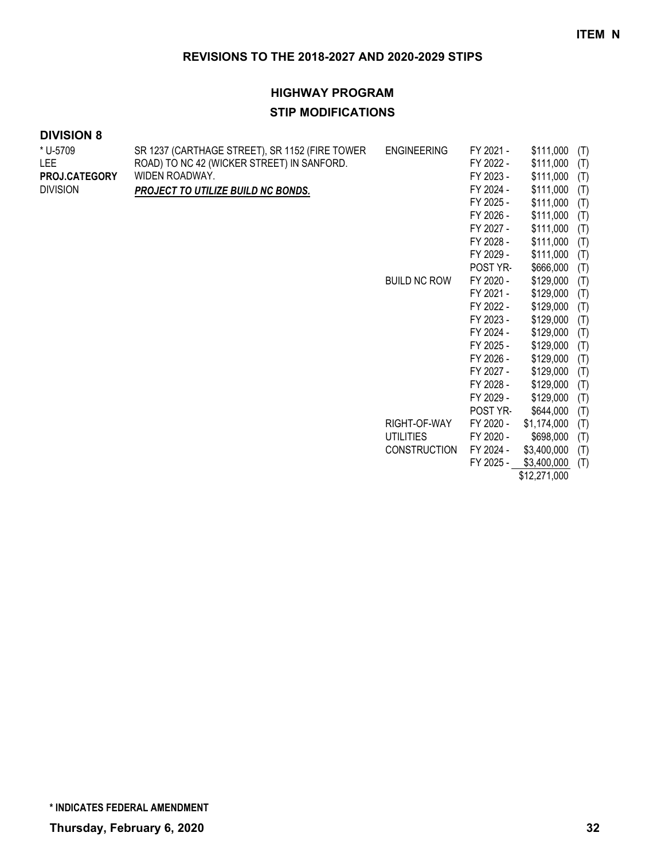#### **HIGHWAY PROGRAM**

#### **STIP MODIFICATIONS**

| <b>DIVISION 8</b> |  |  |
|-------------------|--|--|
|-------------------|--|--|

| * U-5709<br>LEE.<br>PROJ.CATEGORY<br><b>DIVISION</b> | SR 1237 (CARTHAGE STREET), SR 1152 (FIRE TOWER<br>ROAD) TO NC 42 (WICKER STREET) IN SANFORD.<br>WIDEN ROADWAY.<br>PROJECT TO UTILIZE BUILD NC BONDS. | <b>ENGINEERING</b><br><b>BUILD NC ROW</b> | FY 2021 -<br>FY 2022 -<br>FY 2023 -<br>FY 2024 -<br>FY 2025 -<br>FY 2026 -<br>FY 2027 -<br>FY 2028 -<br>FY 2029 -<br>POST YR-<br>FY 2020 -<br>FY 2021 -<br>FY 2022 -<br>FY 2023 -<br>FY 2024 -<br>FY 2025 -<br>FY 2026 -<br>FY 2027 -<br>FY 2028 - | \$111,000<br>\$111,000<br>\$111,000<br>\$111,000<br>\$111,000<br>\$111,000<br>\$111,000<br>\$111,000<br>\$111,000<br>\$666,000<br>\$129,000<br>\$129,000<br>\$129,000<br>\$129,000<br>\$129,000<br>\$129,000<br>\$129,000<br>\$129,000<br>\$129,000 | (T)<br>(T)<br>(T)<br>(T)<br>(T)<br>(T)<br>(T)<br>(T)<br>(T)<br>(T)<br>(T)<br>(T)<br>(T)<br>(T)<br>(T)<br>(T)<br>(T)<br>(T)<br>(T) |
|------------------------------------------------------|------------------------------------------------------------------------------------------------------------------------------------------------------|-------------------------------------------|----------------------------------------------------------------------------------------------------------------------------------------------------------------------------------------------------------------------------------------------------|-----------------------------------------------------------------------------------------------------------------------------------------------------------------------------------------------------------------------------------------------------|-----------------------------------------------------------------------------------------------------------------------------------|
|                                                      |                                                                                                                                                      |                                           | FY 2029 -                                                                                                                                                                                                                                          | \$129,000                                                                                                                                                                                                                                           | (T)                                                                                                                               |
|                                                      |                                                                                                                                                      |                                           | POST YR-                                                                                                                                                                                                                                           | \$644,000                                                                                                                                                                                                                                           | (T)                                                                                                                               |
|                                                      |                                                                                                                                                      | RIGHT-OF-WAY                              | FY 2020 -                                                                                                                                                                                                                                          | \$1,174,000                                                                                                                                                                                                                                         | (T)                                                                                                                               |
|                                                      |                                                                                                                                                      | <b>UTILITIES</b>                          | FY 2020 -                                                                                                                                                                                                                                          | \$698,000                                                                                                                                                                                                                                           | (T)                                                                                                                               |
|                                                      |                                                                                                                                                      | <b>CONSTRUCTION</b>                       | FY 2024 -                                                                                                                                                                                                                                          | \$3,400,000                                                                                                                                                                                                                                         | (T)                                                                                                                               |
|                                                      |                                                                                                                                                      |                                           | FY 2025 -                                                                                                                                                                                                                                          | \$3,400,000                                                                                                                                                                                                                                         | (T)                                                                                                                               |
|                                                      |                                                                                                                                                      |                                           |                                                                                                                                                                                                                                                    | $\begin{array}{c} \bullet & \bullet & \bullet & \bullet & \bullet & \bullet & \bullet \end{array}$                                                                                                                                                  |                                                                                                                                   |

\$12,271,000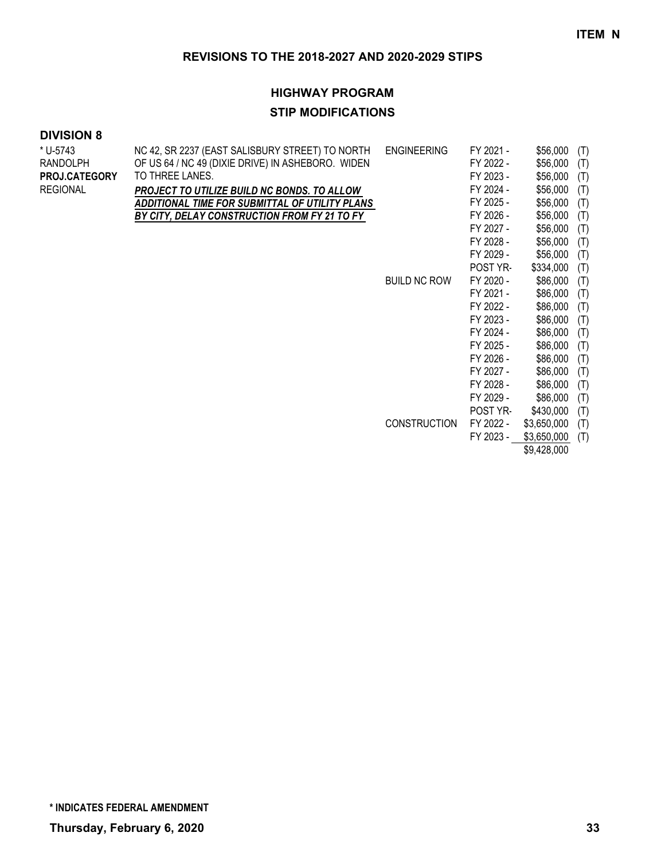#### **HIGHWAY PROGRAM**

#### **STIP MODIFICATIONS**

| * U-5743             | NC 42, SR 2237 (EAST SALISBURY STREET) TO NORTH   | <b>ENGINEERING</b>  | FY 2021 - | \$56,000    | (T) |
|----------------------|---------------------------------------------------|---------------------|-----------|-------------|-----|
| RANDOLPH             | OF US 64 / NC 49 (DIXIE DRIVE) IN ASHEBORO. WIDEN |                     | FY 2022 - | \$56,000    | (T) |
| <b>PROJ.CATEGORY</b> | TO THREE LANES.                                   |                     | FY 2023 - | \$56,000    | (T) |
| REGIONAL             | PROJECT TO UTILIZE BUILD NC BONDS. TO ALLOW       |                     | FY 2024 - | \$56,000    | (T) |
|                      | ADDITIONAL TIME FOR SUBMITTAL OF UTILITY PLANS    |                     | FY 2025 - | \$56,000    | (T) |
|                      | BY CITY, DELAY CONSTRUCTION FROM FY 21 TO FY      |                     | FY 2026 - | \$56,000    | (T) |
|                      |                                                   |                     | FY 2027 - | \$56,000    | (T) |
|                      |                                                   |                     | FY 2028 - | \$56,000    | (T) |
|                      |                                                   |                     | FY 2029 - | \$56,000    | (T) |
|                      |                                                   |                     | POST YR-  | \$334,000   | (T) |
|                      |                                                   | <b>BUILD NC ROW</b> | FY 2020 - | \$86,000    | (T) |
|                      |                                                   |                     | FY 2021 - | \$86,000    | (T) |
|                      |                                                   |                     | FY 2022 - | \$86,000    | (T) |
|                      |                                                   |                     | FY 2023 - | \$86,000    | (T) |
|                      |                                                   |                     | FY 2024 - | \$86,000    | (T) |
|                      |                                                   |                     | FY 2025 - | \$86,000    | (T) |
|                      |                                                   |                     | FY 2026 - | \$86,000    | (T) |
|                      |                                                   |                     | FY 2027 - | \$86,000    | (T) |
|                      |                                                   |                     | FY 2028 - | \$86,000    | (T) |
|                      |                                                   |                     | FY 2029 - | \$86,000    | (T) |
|                      |                                                   |                     | POST YR-  | \$430,000   | (T) |
|                      |                                                   | <b>CONSTRUCTION</b> | FY 2022 - | \$3,650,000 | (T) |
|                      |                                                   |                     | FY 2023 - | \$3,650,000 | (T) |
|                      |                                                   |                     |           | \$9,428,000 |     |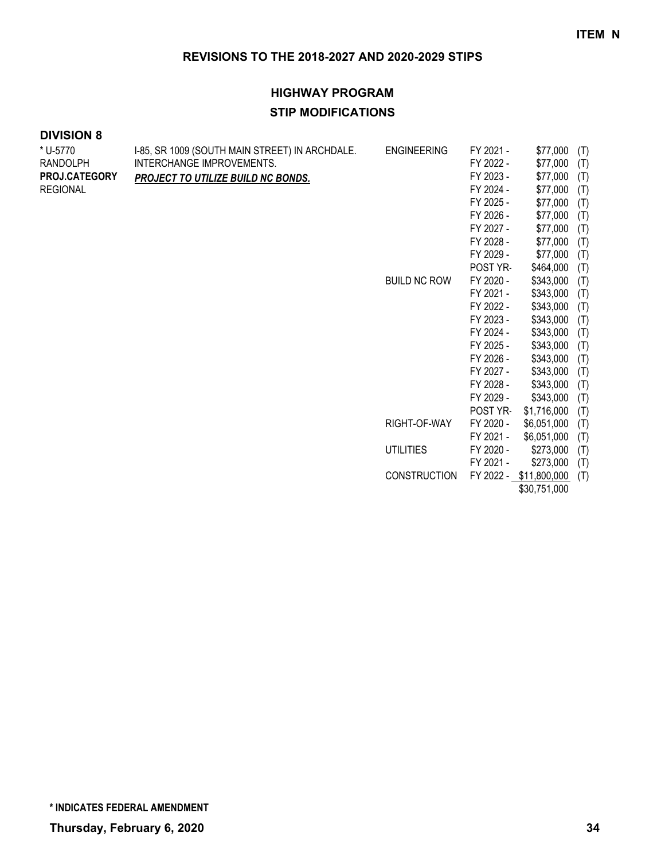# **HIGHWAY PROGRAM STIP MODIFICATIONS**

| * U-5770             | I-85, SR 1009 (SOUTH MAIN STREET) IN ARCHDALE. | <b>ENGINEERING</b>  | FY 2021 - | \$77,000               | (T) |
|----------------------|------------------------------------------------|---------------------|-----------|------------------------|-----|
| RANDOLPH             | INTERCHANGE IMPROVEMENTS.                      |                     | FY 2022 - | \$77,000               | (T) |
| <b>PROJ.CATEGORY</b> | PROJECT TO UTILIZE BUILD NC BONDS.             |                     | FY 2023 - | \$77,000               | (T) |
| REGIONAL             |                                                |                     | FY 2024 - | \$77,000               | (T) |
|                      |                                                |                     | FY 2025 - | \$77,000               | (T) |
|                      |                                                |                     | FY 2026 - | \$77,000               | (T) |
|                      |                                                |                     | FY 2027 - | \$77,000               | (T) |
|                      |                                                |                     | FY 2028 - | \$77,000               | (T) |
|                      |                                                |                     | FY 2029 - | \$77,000               | (T) |
|                      |                                                |                     | POST YR-  | \$464,000              | (T) |
|                      |                                                | <b>BUILD NC ROW</b> | FY 2020 - | \$343,000              | (T) |
|                      |                                                |                     | FY 2021 - | \$343,000              | (T) |
|                      |                                                |                     | FY 2022 - | \$343,000              | (T) |
|                      |                                                |                     | FY 2023 - | \$343,000              | (T) |
|                      |                                                |                     | FY 2024 - | \$343,000              | (T) |
|                      |                                                |                     | FY 2025 - | \$343,000              | (T) |
|                      |                                                |                     | FY 2026 - | \$343,000              | (T) |
|                      |                                                |                     | FY 2027 - | \$343,000              | (T) |
|                      |                                                |                     | FY 2028 - | \$343,000              | (T) |
|                      |                                                |                     | FY 2029 - | \$343,000              | (T) |
|                      |                                                |                     | POST YR-  | \$1,716,000            | (T) |
|                      |                                                | RIGHT-OF-WAY        | FY 2020 - | \$6,051,000            | (T) |
|                      |                                                |                     | FY 2021 - | \$6,051,000            | (T) |
|                      |                                                | <b>UTILITIES</b>    | FY 2020 - | \$273,000              | (T) |
|                      |                                                |                     | FY 2021 - | \$273,000              | (T) |
|                      |                                                | <b>CONSTRUCTION</b> |           | FY 2022 - \$11,800,000 | (T) |
|                      |                                                |                     |           | \$30,751,000           |     |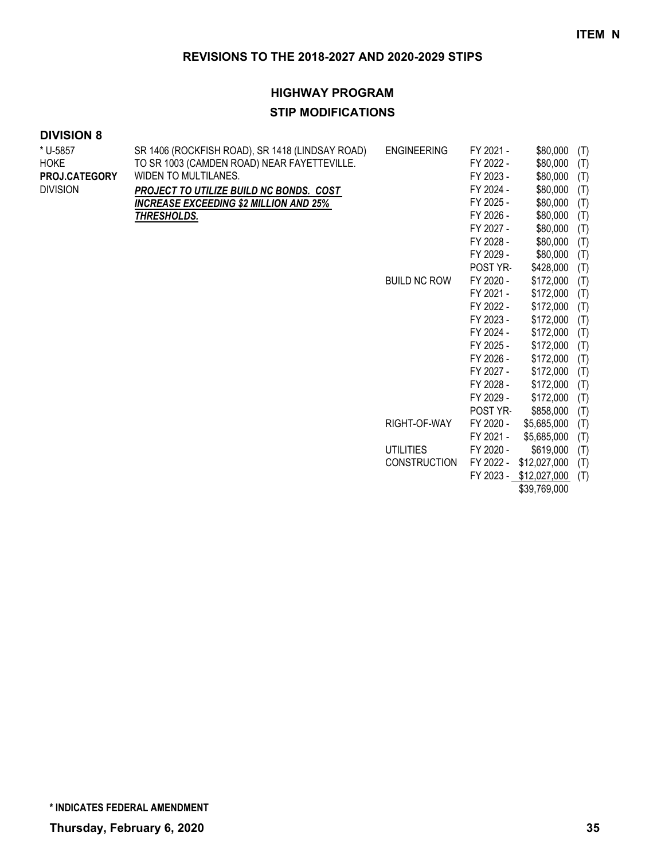# **HIGHWAY PROGRAM STIP MODIFICATIONS**

| * U-5857<br><b>HOKE</b><br><b>PROJ.CATEGORY</b><br><b>DIVISION</b> | SR 1406 (ROCKFISH ROAD), SR 1418 (LINDSAY ROAD)<br>TO SR 1003 (CAMDEN ROAD) NEAR FAYETTEVILLE.<br>WIDEN TO MULTILANES.<br>PROJECT TO UTILIZE BUILD NC BONDS. COST<br><u>INCREASE EXCEEDING \$2 MILLION AND 25% </u><br>THRESHOLDS. | <b>ENGINEERING</b>  | FY 2021 -<br>FY 2022 -<br>FY 2023 -<br>FY 2024 -<br>FY 2025 -<br>FY 2026 -<br>FY 2027 -<br>FY 2028 - | \$80,000<br>\$80,000<br>\$80,000<br>\$80,000<br>\$80,000<br>\$80,000<br>\$80,000<br>\$80,000 | (T)<br>(T)<br>(T)<br>(T)<br>(T)<br>(T)<br>(T)<br>(T) |
|--------------------------------------------------------------------|------------------------------------------------------------------------------------------------------------------------------------------------------------------------------------------------------------------------------------|---------------------|------------------------------------------------------------------------------------------------------|----------------------------------------------------------------------------------------------|------------------------------------------------------|
|                                                                    |                                                                                                                                                                                                                                    |                     | FY 2029 -                                                                                            | \$80,000                                                                                     | (T)                                                  |
|                                                                    |                                                                                                                                                                                                                                    | <b>BUILD NC ROW</b> | POST YR-<br>FY 2020 -                                                                                | \$428,000<br>\$172,000                                                                       | (T)<br>(T)                                           |
|                                                                    |                                                                                                                                                                                                                                    |                     | FY 2021 -                                                                                            | \$172,000                                                                                    | (T)                                                  |
|                                                                    |                                                                                                                                                                                                                                    |                     | FY 2022 -                                                                                            | \$172,000                                                                                    | (T)                                                  |
|                                                                    |                                                                                                                                                                                                                                    |                     | FY 2023 -                                                                                            | \$172,000                                                                                    | (T)                                                  |
|                                                                    |                                                                                                                                                                                                                                    |                     | FY 2024 -                                                                                            | \$172,000                                                                                    | (T)                                                  |
|                                                                    |                                                                                                                                                                                                                                    |                     | FY 2025 -                                                                                            | \$172,000                                                                                    | (T)                                                  |
|                                                                    |                                                                                                                                                                                                                                    |                     | FY 2026 -                                                                                            | \$172,000                                                                                    | (T)                                                  |
|                                                                    |                                                                                                                                                                                                                                    |                     | FY 2027 -                                                                                            | \$172,000                                                                                    | (T)                                                  |
|                                                                    |                                                                                                                                                                                                                                    |                     | FY 2028 -                                                                                            | \$172,000                                                                                    | (T)                                                  |
|                                                                    |                                                                                                                                                                                                                                    |                     | FY 2029 -                                                                                            | \$172,000                                                                                    | (T)                                                  |
|                                                                    |                                                                                                                                                                                                                                    |                     | POST YR-                                                                                             | \$858,000                                                                                    | (T)                                                  |
|                                                                    |                                                                                                                                                                                                                                    | RIGHT-OF-WAY        | FY 2020 -                                                                                            | \$5,685,000                                                                                  | (T)                                                  |
|                                                                    |                                                                                                                                                                                                                                    |                     | FY 2021 -                                                                                            | \$5,685,000                                                                                  | (T)                                                  |
|                                                                    |                                                                                                                                                                                                                                    | <b>UTILITIES</b>    | FY 2020 -                                                                                            | \$619,000                                                                                    | (T)                                                  |
|                                                                    |                                                                                                                                                                                                                                    | <b>CONSTRUCTION</b> | FY 2022 -                                                                                            | \$12,027,000                                                                                 | (T)                                                  |
|                                                                    |                                                                                                                                                                                                                                    |                     |                                                                                                      | FY 2023 - \$12,027,000                                                                       | (T)                                                  |
|                                                                    |                                                                                                                                                                                                                                    |                     |                                                                                                      | \$39,769,000                                                                                 |                                                      |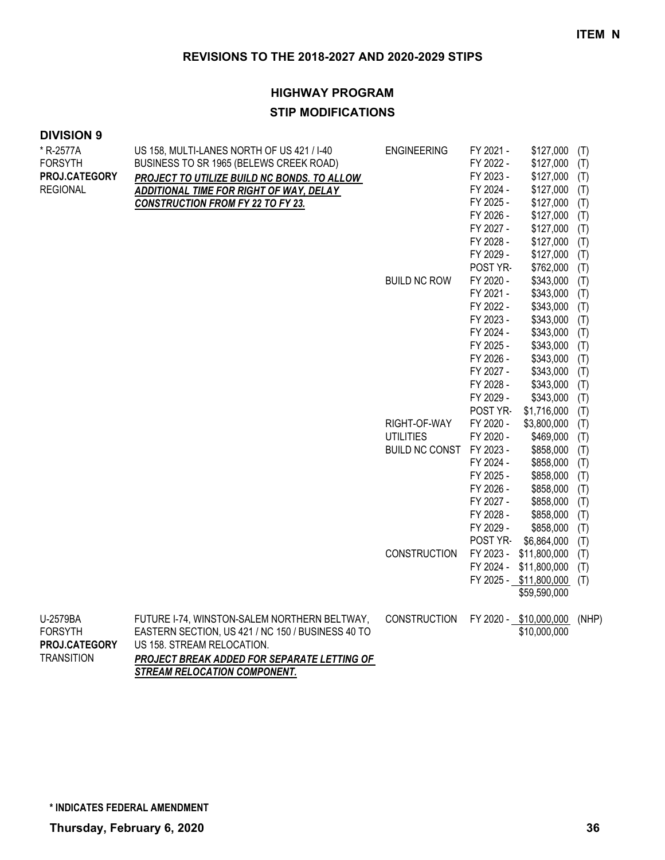# **HIGHWAY PROGRAM STIP MODIFICATIONS**

#### **DIVISION 9**

| * R-2577A                       | US 158, MULTI-LANES NORTH OF US 421 / I-40                                      | <b>ENGINEERING</b>       | FY 2021 - | \$127,000                  | (T)   |
|---------------------------------|---------------------------------------------------------------------------------|--------------------------|-----------|----------------------------|-------|
| <b>FORSYTH</b>                  | BUSINESS TO SR 1965 (BELEWS CREEK ROAD)                                         |                          | FY 2022 - | \$127,000                  | (T)   |
| PROJ.CATEGORY                   | PROJECT TO UTILIZE BUILD NC BONDS. TO ALLOW                                     |                          | FY 2023 - | \$127,000                  | (T)   |
| <b>REGIONAL</b>                 | ADDITIONAL TIME FOR RIGHT OF WAY, DELAY                                         |                          | FY 2024 - | \$127,000                  | (T)   |
|                                 | <b>CONSTRUCTION FROM FY 22 TO FY 23.</b>                                        |                          | FY 2025 - | \$127,000                  | (T)   |
|                                 |                                                                                 |                          | FY 2026 - | \$127,000                  | (T)   |
|                                 |                                                                                 |                          | FY 2027 - | \$127,000                  | (T)   |
|                                 |                                                                                 |                          | FY 2028 - | \$127,000                  | (T)   |
|                                 |                                                                                 |                          | FY 2029 - | \$127,000                  | (T)   |
|                                 |                                                                                 |                          | POST YR-  | \$762,000                  | (T)   |
|                                 |                                                                                 | <b>BUILD NC ROW</b>      | FY 2020 - | \$343,000                  | (T)   |
|                                 |                                                                                 |                          | FY 2021 - | \$343,000                  | (T)   |
|                                 |                                                                                 |                          | FY 2022 - | \$343,000                  | (T)   |
|                                 |                                                                                 |                          | FY 2023 - | \$343,000                  | (T)   |
|                                 |                                                                                 |                          | FY 2024 - | \$343,000                  | (T)   |
|                                 |                                                                                 |                          | FY 2025 - | \$343,000                  | (T)   |
|                                 |                                                                                 |                          | FY 2026 - | \$343,000                  | (T)   |
|                                 |                                                                                 |                          | FY 2027 - | \$343,000                  | (T)   |
|                                 |                                                                                 |                          | FY 2028 - | \$343,000                  | (T)   |
|                                 |                                                                                 |                          | FY 2029 - | \$343,000                  | (T)   |
|                                 |                                                                                 |                          | POST YR-  | \$1,716,000                | (T)   |
|                                 |                                                                                 | RIGHT-OF-WAY             | FY 2020 - | \$3,800,000                | (T)   |
|                                 |                                                                                 | <b>UTILITIES</b>         | FY 2020 - | \$469,000                  | (T)   |
|                                 |                                                                                 | BUILD NC CONST FY 2023 - |           | \$858,000                  | (T)   |
|                                 |                                                                                 |                          | FY 2024 - | \$858,000                  | (T)   |
|                                 |                                                                                 |                          | FY 2025 - | \$858,000                  | (T)   |
|                                 |                                                                                 |                          | FY 2026 - | \$858,000                  | (T)   |
|                                 |                                                                                 |                          | FY 2027 - | \$858,000                  | (T)   |
|                                 |                                                                                 |                          | FY 2028 - | \$858,000                  | (T)   |
|                                 |                                                                                 |                          | FY 2029 - | \$858,000                  | (T)   |
|                                 |                                                                                 |                          | POST YR-  | \$6,864,000                | (T)   |
|                                 |                                                                                 | <b>CONSTRUCTION</b>      | FY 2023 - | \$11,800,000               | (T)   |
|                                 |                                                                                 |                          | FY 2024 - | \$11,800,000               | (T)   |
|                                 |                                                                                 |                          |           | FY 2025 - \$11,800,000 (T) |       |
|                                 |                                                                                 |                          |           | \$59,590,000               |       |
| U-2579BA                        | FUTURE I-74, WINSTON-SALEM NORTHERN BELTWAY,                                    | <b>CONSTRUCTION</b>      |           | FY 2020 - \$10,000,000     | (NHP) |
| <b>FORSYTH</b><br>PROJ.CATEGORY | EASTERN SECTION, US 421 / NC 150 / BUSINESS 40 TO<br>US 158. STREAM RELOCATION. |                          |           | \$10,000,000               |       |
| <b>TRANSITION</b>               | PROJECT BREAK ADDED FOR SEPARATE LETTING OF                                     |                          |           |                            |       |

*STREAM RELOCATION COMPONENT.*

**\* INDICATES FEDERAL AMENDMENT**

**Thursday, February 6, 2020 36**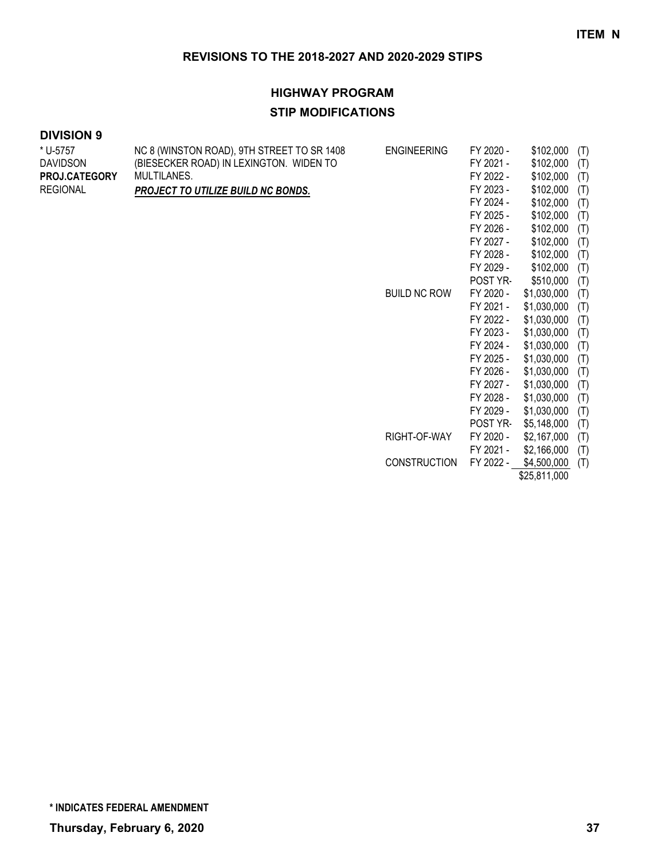## **HIGHWAY PROGRAM STIP MODIFICATIONS**

#### **DIVISION 9**

| * U-5757        | NC 8 (WINSTON ROAD), 9TH STREET TO SR 1408 | <b>ENGINEERING</b>  | FY 2020 - | \$102,000   | (T) |
|-----------------|--------------------------------------------|---------------------|-----------|-------------|-----|
| <b>DAVIDSON</b> | (BIESECKER ROAD) IN LEXINGTON. WIDEN TO    |                     | FY 2021 - | \$102,000   | (T) |
| PROJ.CATEGORY   | MULTILANES.                                |                     | FY 2022 - | \$102,000   | (T) |
| <b>REGIONAL</b> | PROJECT TO UTILIZE BUILD NC BONDS.         |                     | FY 2023 - | \$102,000   | (T) |
|                 |                                            |                     | FY 2024 - | \$102,000   | (T) |
|                 |                                            |                     | FY 2025 - | \$102,000   | (T) |
|                 |                                            |                     | FY 2026 - | \$102,000   | (T) |
|                 |                                            |                     | FY 2027 - | \$102,000   | (T) |
|                 |                                            |                     | FY 2028 - | \$102,000   | (T) |
|                 |                                            |                     | FY 2029 - | \$102,000   | (T) |
|                 |                                            |                     | POST YR-  | \$510,000   | (T) |
|                 |                                            | <b>BUILD NC ROW</b> | FY 2020 - | \$1,030,000 | (T) |
|                 |                                            |                     | FY 2021 - | \$1,030,000 | (T) |
|                 |                                            |                     | FY 2022 - | \$1,030,000 | (T) |
|                 |                                            |                     | FY 2023 - | \$1,030,000 | (T) |
|                 |                                            |                     | FY 2024 - | \$1,030,000 | (T) |
|                 |                                            |                     | FY 2025 - | \$1,030,000 | (T) |
|                 |                                            |                     | FY 2026 - | \$1,030,000 | (T) |
|                 |                                            |                     | FY 2027 - | \$1,030,000 | (T) |
|                 |                                            |                     | FY 2028 - | \$1,030,000 | (T) |
|                 |                                            |                     | FY 2029 - | \$1,030,000 | (T) |
|                 |                                            |                     | POST YR-  | \$5,148,000 | (T) |
|                 |                                            | RIGHT-OF-WAY        | FY 2020 - | \$2,167,000 | (T) |
|                 |                                            |                     | FY 2021 - | \$2,166,000 | (T) |
|                 |                                            | <b>CONSTRUCTION</b> | FY 2022 - | \$4,500,000 | (T) |
|                 |                                            |                     |           |             |     |

\$25,811,000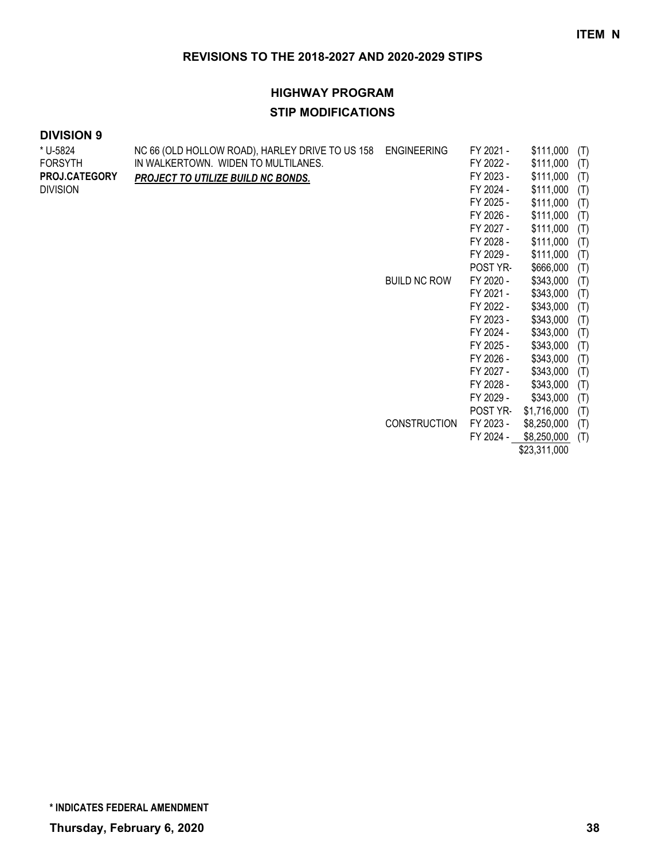# **HIGHWAY PROGRAM STIP MODIFICATIONS**

#### **DIVISION 9**

| * U-5824             | NC 66 (OLD HOLLOW ROAD), HARLEY DRIVE TO US 158 | <b>ENGINEERING</b>  | FY 2021 - | \$111,000   | (T) |
|----------------------|-------------------------------------------------|---------------------|-----------|-------------|-----|
| <b>FORSYTH</b>       | IN WALKERTOWN. WIDEN TO MULTILANES.             |                     | FY 2022 - | \$111,000   | (T) |
| <b>PROJ.CATEGORY</b> | PROJECT TO UTILIZE BUILD NC BONDS.              |                     | FY 2023 - | \$111,000   | (T) |
| <b>DIVISION</b>      |                                                 |                     | FY 2024 - | \$111,000   | (T) |
|                      |                                                 |                     | FY 2025 - | \$111,000   | (T) |
|                      |                                                 |                     | FY 2026 - | \$111,000   | (T) |
|                      |                                                 |                     | FY 2027 - | \$111,000   | (T) |
|                      |                                                 |                     | FY 2028 - | \$111,000   | (T) |
|                      |                                                 |                     | FY 2029 - | \$111,000   | (T) |
|                      |                                                 |                     | POST YR-  | \$666,000   | (T) |
|                      |                                                 | <b>BUILD NC ROW</b> | FY 2020 - | \$343,000   | (T) |
|                      |                                                 |                     | FY 2021 - | \$343,000   | (T) |
|                      |                                                 |                     | FY 2022 - | \$343,000   | (T) |
|                      |                                                 |                     | FY 2023 - | \$343,000   | (T) |
|                      |                                                 |                     | FY 2024 - | \$343,000   | (T) |
|                      |                                                 |                     | FY 2025 - | \$343,000   | (T) |
|                      |                                                 |                     | FY 2026 - | \$343,000   | (T) |
|                      |                                                 |                     | FY 2027 - | \$343,000   | (T) |
|                      |                                                 |                     | FY 2028 - | \$343,000   | (T) |
|                      |                                                 |                     | FY 2029 - | \$343,000   | (T) |
|                      |                                                 |                     | POST YR-  | \$1,716,000 | (T) |
|                      |                                                 | <b>CONSTRUCTION</b> | FY 2023 - | \$8,250,000 | (T) |
|                      |                                                 |                     | FY 2024 - | \$8,250,000 | (T) |

\$23,311,000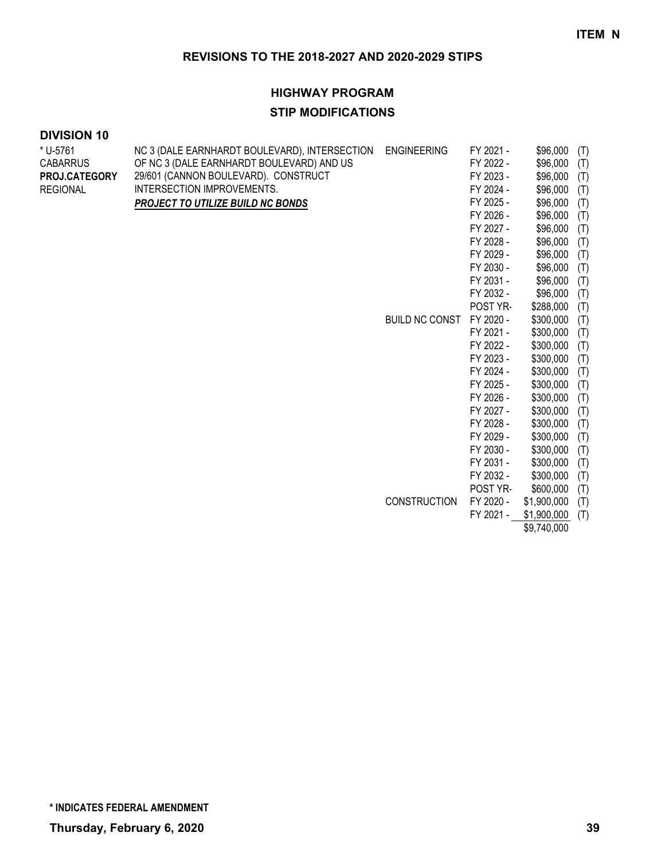#### **HIGHWAY PROGRAM**

#### **STIP MODIFICATIONS**

| * U-5761             | NC 3 (DALE EARNHARDT BOULEVARD), INTERSECTION | <b>ENGINEERING</b>    | FY 2021 - | \$96,000    | (T) |
|----------------------|-----------------------------------------------|-----------------------|-----------|-------------|-----|
| <b>CABARRUS</b>      | OF NC 3 (DALE EARNHARDT BOULEVARD) AND US     |                       | FY 2022 - | \$96,000    | (T) |
| <b>PROJ.CATEGORY</b> | 29/601 (CANNON BOULEVARD). CONSTRUCT          |                       | FY 2023 - | \$96,000    | (T) |
| <b>REGIONAL</b>      | INTERSECTION IMPROVEMENTS.                    |                       | FY 2024 - | \$96,000    | (T) |
|                      | <b>PROJECT TO UTILIZE BUILD NC BONDS</b>      |                       | FY 2025 - | \$96,000    | (T) |
|                      |                                               |                       | FY 2026 - | \$96,000    | (T) |
|                      |                                               |                       | FY 2027 - | \$96,000    | (T) |
|                      |                                               |                       | FY 2028 - | \$96,000    | (T) |
|                      |                                               |                       | FY 2029 - | \$96,000    | (T) |
|                      |                                               |                       | FY 2030 - | \$96,000    | (T) |
|                      |                                               |                       | FY 2031 - | \$96,000    | (T) |
|                      |                                               |                       | FY 2032 - | \$96,000    | (T) |
|                      |                                               |                       | POST YR-  | \$288,000   | (T) |
|                      |                                               | <b>BUILD NC CONST</b> | FY 2020 - | \$300,000   | (T) |
|                      |                                               |                       | FY 2021 - | \$300,000   | (T) |
|                      |                                               |                       | FY 2022 - | \$300,000   | (T) |
|                      |                                               |                       | FY 2023 - | \$300,000   | (T) |
|                      |                                               |                       | FY 2024 - | \$300,000   | (T) |
|                      |                                               |                       | FY 2025 - | \$300,000   | (T) |
|                      |                                               |                       | FY 2026 - | \$300,000   | (T) |
|                      |                                               |                       | FY 2027 - | \$300,000   | (T) |
|                      |                                               |                       | FY 2028 - | \$300,000   | (T) |
|                      |                                               |                       | FY 2029 - | \$300,000   | (T) |
|                      |                                               |                       | FY 2030 - | \$300,000   | (T) |
|                      |                                               |                       | FY 2031 - | \$300,000   | (T) |
|                      |                                               |                       | FY 2032 - | \$300,000   | (T) |
|                      |                                               |                       | POST YR-  | \$600,000   | (T) |
|                      |                                               | <b>CONSTRUCTION</b>   | FY 2020 - | \$1,900,000 | (T) |
|                      |                                               |                       | FY 2021 - | \$1,900,000 | (T) |
|                      |                                               |                       |           | \$9,740,000 |     |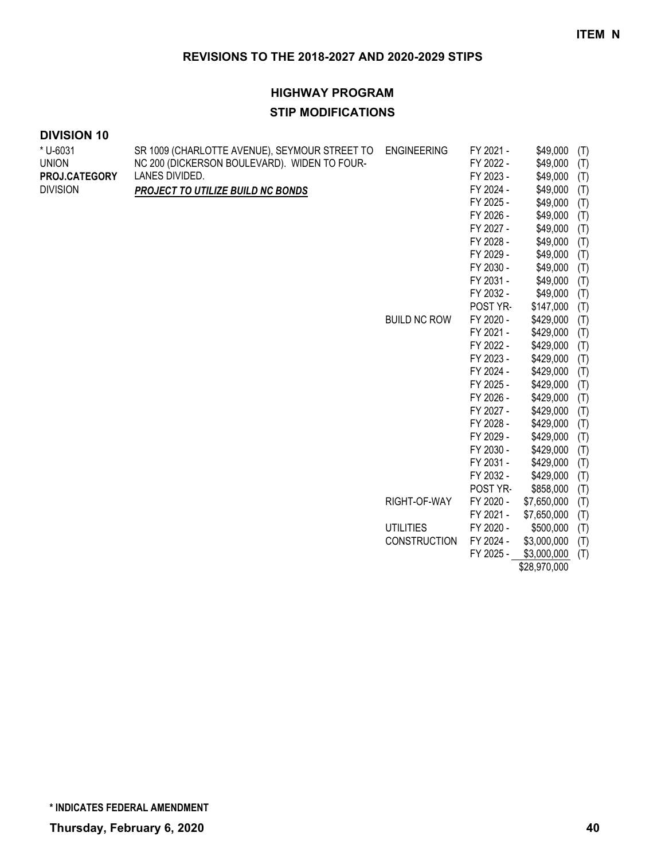# **HIGHWAY PROGRAM**

#### **STIP MODIFICATIONS**

\* U-6031 UNION

| * U-6031        | SR 1009 (CHARLOTTE AVENUE), SEYMOUR STREET TO | <b>ENGINEERING</b>  | FY 2021 - | \$49,000<br>(T)    |  |
|-----------------|-----------------------------------------------|---------------------|-----------|--------------------|--|
| <b>UNION</b>    | NC 200 (DICKERSON BOULEVARD). WIDEN TO FOUR-  |                     | FY 2022 - | \$49,000<br>(T)    |  |
| PROJ.CATEGORY   | LANES DIVIDED.                                |                     | FY 2023 - | \$49,000<br>(T)    |  |
| <b>DIVISION</b> | PROJECT TO UTILIZE BUILD NC BONDS             |                     | FY 2024 - | \$49,000<br>(T)    |  |
|                 |                                               |                     | FY 2025 - | \$49,000<br>(T)    |  |
|                 |                                               |                     | FY 2026 - | \$49,000<br>(T)    |  |
|                 |                                               |                     | FY 2027 - | \$49,000<br>(T)    |  |
|                 |                                               |                     | FY 2028 - | \$49,000<br>(T)    |  |
|                 |                                               |                     | FY 2029 - | \$49,000<br>(T)    |  |
|                 |                                               |                     | FY 2030 - | \$49,000<br>(T)    |  |
|                 |                                               |                     | FY 2031 - | \$49,000<br>(T)    |  |
|                 |                                               |                     | FY 2032 - | \$49,000<br>(T)    |  |
|                 |                                               |                     | POST YR-  | \$147,000<br>(T)   |  |
|                 |                                               | <b>BUILD NC ROW</b> | FY 2020 - | \$429,000<br>(T)   |  |
|                 |                                               |                     | FY 2021 - | \$429,000<br>(T)   |  |
|                 |                                               |                     | FY 2022 - | \$429,000<br>(T)   |  |
|                 |                                               |                     | FY 2023 - | \$429,000<br>(T)   |  |
|                 |                                               |                     | FY 2024 - | \$429,000<br>(T)   |  |
|                 |                                               |                     | FY 2025 - | \$429,000<br>(T)   |  |
|                 |                                               |                     | FY 2026 - | \$429,000<br>(T)   |  |
|                 |                                               |                     | FY 2027 - | \$429,000<br>(T)   |  |
|                 |                                               |                     | FY 2028 - | \$429,000<br>(T)   |  |
|                 |                                               |                     | FY 2029 - | \$429,000<br>(T)   |  |
|                 |                                               |                     | FY 2030 - | \$429,000<br>(T)   |  |
|                 |                                               |                     | FY 2031 - | \$429,000<br>(T)   |  |
|                 |                                               |                     | FY 2032 - | \$429,000<br>(T)   |  |
|                 |                                               |                     | POST YR-  | \$858,000<br>(T)   |  |
|                 |                                               | RIGHT-OF-WAY        | FY 2020 - | \$7,650,000<br>(T) |  |
|                 |                                               |                     | FY 2021 - | \$7,650,000<br>(T) |  |
|                 |                                               | <b>UTILITIES</b>    | FY 2020 - | \$500,000<br>(T)   |  |
|                 |                                               | <b>CONSTRUCTION</b> | FY 2024 - | \$3,000,000<br>(T) |  |
|                 |                                               |                     | FY 2025 - | \$3,000,000<br>(T) |  |
|                 |                                               |                     |           | \$28,970,000       |  |

**\* INDICATES FEDERAL AMENDMENT**

**Thursday, February 6, 2020 40**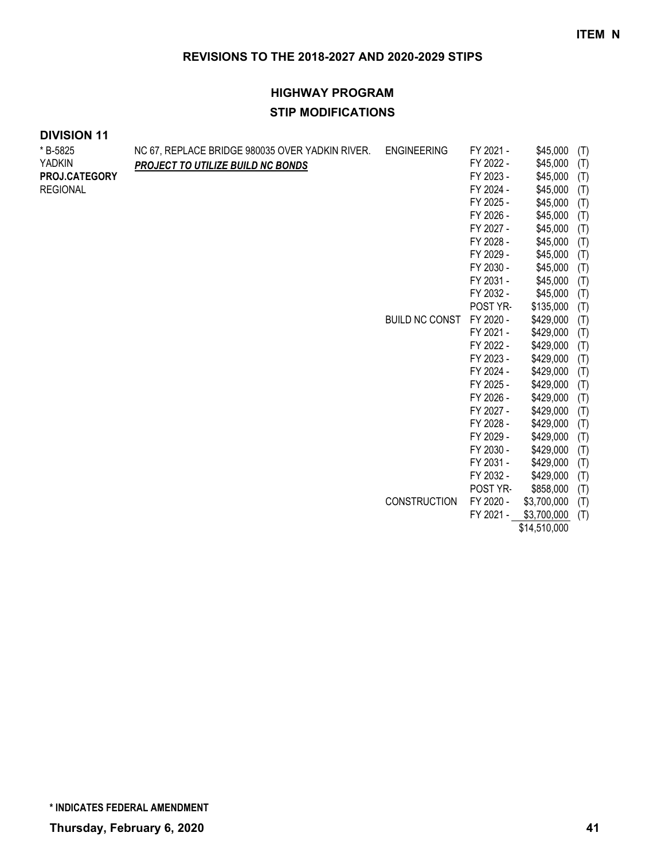# **HIGHWAY PROGRAM STIP MODIFICATIONS**

| * B-5825        | NC 67, REPLACE BRIDGE 980035 OVER YADKIN RIVER. | <b>ENGINEERING</b>    | FY 2021 - | \$45,000     | (T) |
|-----------------|-------------------------------------------------|-----------------------|-----------|--------------|-----|
| <b>YADKIN</b>   | PROJECT TO UTILIZE BUILD NC BONDS               |                       | FY 2022 - | \$45,000     | (T) |
| PROJ.CATEGORY   |                                                 |                       | FY 2023 - | \$45,000     | (T) |
| <b>REGIONAL</b> |                                                 |                       | FY 2024 - | \$45,000     | (T) |
|                 |                                                 |                       | FY 2025 - | \$45,000     | (T) |
|                 |                                                 |                       | FY 2026 - | \$45,000     | (T) |
|                 |                                                 |                       | FY 2027 - | \$45,000     | (T) |
|                 |                                                 |                       | FY 2028 - | \$45,000     | (T) |
|                 |                                                 |                       | FY 2029 - | \$45,000     | (T) |
|                 |                                                 |                       | FY 2030 - | \$45,000     | (T) |
|                 |                                                 |                       | FY 2031 - | \$45,000     | (T) |
|                 |                                                 |                       | FY 2032 - | \$45,000     | (T) |
|                 |                                                 |                       | POST YR-  | \$135,000    | (T) |
|                 |                                                 | <b>BUILD NC CONST</b> | FY 2020 - | \$429,000    | (T) |
|                 |                                                 |                       | FY 2021 - | \$429,000    | (T) |
|                 |                                                 |                       | FY 2022 - | \$429,000    | (T) |
|                 |                                                 |                       | FY 2023 - | \$429,000    | (T) |
|                 |                                                 |                       | FY 2024 - | \$429,000    | (T) |
|                 |                                                 |                       | FY 2025 - | \$429,000    | (T) |
|                 |                                                 |                       | FY 2026 - | \$429,000    | (T) |
|                 |                                                 |                       | FY 2027 - | \$429,000    | (T) |
|                 |                                                 |                       | FY 2028 - | \$429,000    | (T) |
|                 |                                                 |                       | FY 2029 - | \$429,000    | (T) |
|                 |                                                 |                       | FY 2030 - | \$429,000    | (T) |
|                 |                                                 |                       | FY 2031 - | \$429,000    | (T) |
|                 |                                                 |                       | FY 2032 - | \$429,000    | (T) |
|                 |                                                 |                       | POST YR-  | \$858,000    | (T) |
|                 |                                                 | <b>CONSTRUCTION</b>   | FY 2020 - | \$3,700,000  | (T) |
|                 |                                                 |                       | FY 2021 - | \$3,700,000  | (T) |
|                 |                                                 |                       |           | \$14,510,000 |     |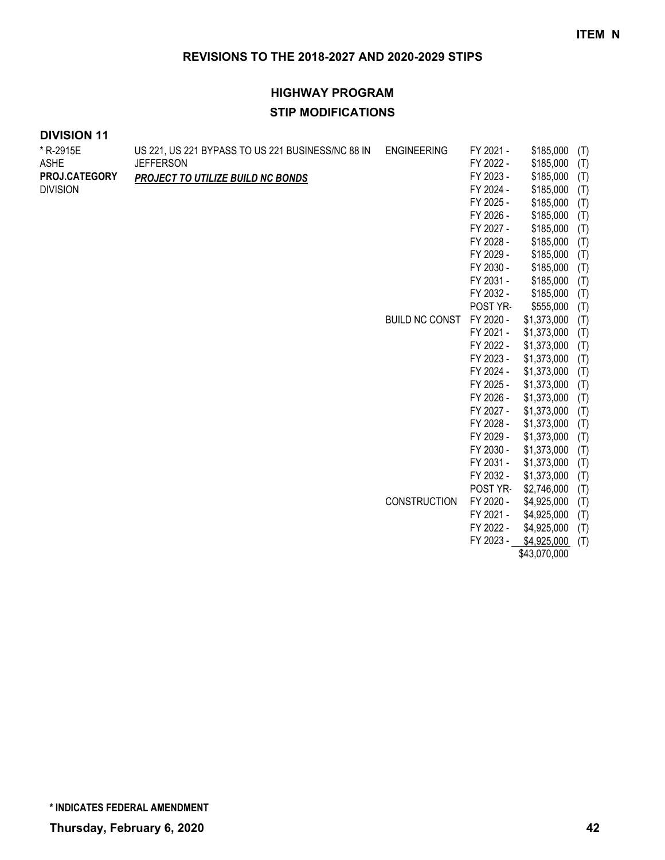# **HIGHWAY PROGRAM STIP MODIFICATIONS**

| * R-2915E<br><b>ASHE</b><br>PROJ.CATEGORY<br><b>DIVISION</b> | US 221, US 221 BYPASS TO US 221 BUSINESS/NC 88 IN<br><b>JEFFERSON</b><br>PROJECT TO UTILIZE BUILD NC BONDS | <b>ENGINEERING</b><br><b>BUILD NC CONST</b> | FY 2021 -<br>FY 2022 -<br>FY 2023 -<br>FY 2024 -<br>FY 2025 -<br>FY 2026 -<br>FY 2027 -<br>FY 2028 -<br>FY 2029 -<br>FY 2030 -<br>FY 2031 -<br>FY 2032 -<br>POST YR-<br>FY 2020 -<br>FY 2021 - | \$185,000<br>\$185,000<br>\$185,000<br>\$185,000<br>\$185,000<br>\$185,000<br>\$185,000<br>\$185,000<br>\$185,000<br>\$185,000<br>\$185,000<br>\$185,000<br>\$555,000<br>\$1,373,000<br>\$1,373,000 | (T)<br>(T)<br>(T)<br>(T)<br>(T)<br>(T)<br>(T)<br>(T)<br>(T)<br>(T)<br>(T)<br>(T)<br>(T)<br>(T)<br>(T) |
|--------------------------------------------------------------|------------------------------------------------------------------------------------------------------------|---------------------------------------------|------------------------------------------------------------------------------------------------------------------------------------------------------------------------------------------------|-----------------------------------------------------------------------------------------------------------------------------------------------------------------------------------------------------|-------------------------------------------------------------------------------------------------------|
|                                                              |                                                                                                            |                                             | FY 2022 -<br>FY 2023 -<br>FY 2024 -<br>FY 2025 -<br>FY 2026 -<br>FY 2027 -<br>FY 2028 -<br>FY 2029 -<br>FY 2030 -<br>FY 2031 -<br>FY 2032 -<br>POST YR-                                        | \$1,373,000<br>\$1,373,000<br>\$1,373,000<br>\$1,373,000<br>\$1,373,000<br>\$1,373,000<br>\$1,373,000<br>\$1,373,000<br>\$1,373,000<br>\$1,373,000<br>\$1,373,000<br>\$2,746,000                    | (T)<br>(T)<br>(T)<br>(T)<br>(T)<br>(T)<br>(T)<br>(T)<br>(T)<br>(T)<br>(T)<br>(T)                      |
|                                                              |                                                                                                            | <b>CONSTRUCTION</b>                         | FY 2020 -<br>FY 2021 -<br>FY 2022 -<br>FY 2023 -                                                                                                                                               | \$4,925,000<br>\$4,925,000<br>\$4,925,000<br>\$4,925,000<br>\$43,070,000                                                                                                                            | (T)<br>(T)<br>(T)<br>(T)                                                                              |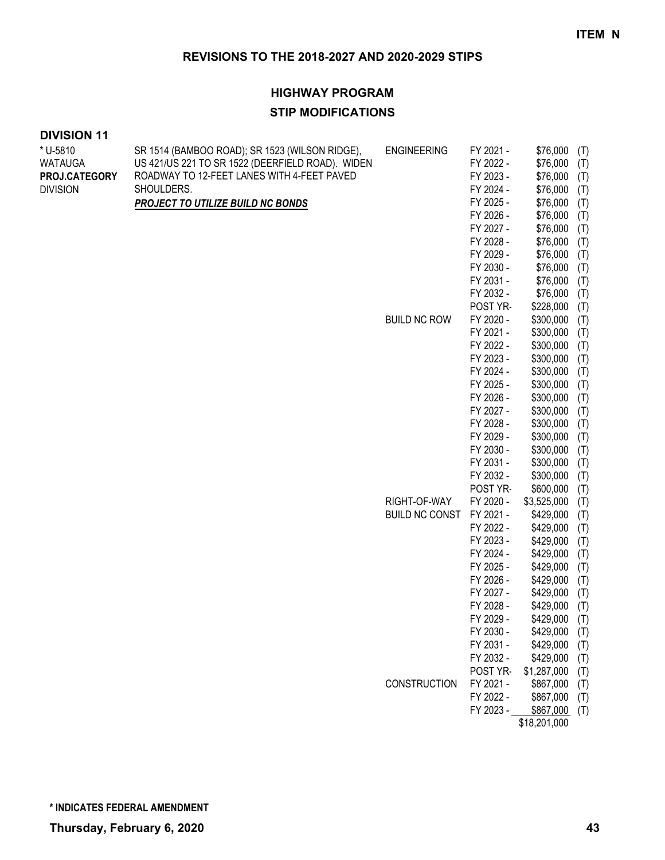#### **HIGHWAY PROGRAM**

#### **STIP MODIFICATIONS**

| * U-5810        | SR 1514 (BAMBOO ROAD); SR 1523 (WILSON RIDGE),   | <b>ENGINEERING</b>    | FY 2021 -             | \$76,000               | (T)        |
|-----------------|--------------------------------------------------|-----------------------|-----------------------|------------------------|------------|
| <b>WATAUGA</b>  | US 421/US 221 TO SR 1522 (DEERFIELD ROAD). WIDEN |                       | FY 2022 -             | \$76,000               | (T)        |
| PROJ.CATEGORY   | ROADWAY TO 12-FEET LANES WITH 4-FEET PAVED       |                       | FY 2023 -             | \$76,000               | (T)        |
| <b>DIVISION</b> | SHOULDERS.                                       |                       | FY 2024 -             | \$76,000               | (T)        |
|                 | <b>PROJECT TO UTILIZE BUILD NC BONDS</b>         |                       | FY 2025 -             | \$76,000               | (T)        |
|                 |                                                  |                       | FY 2026 -             | \$76,000               | (T)        |
|                 |                                                  |                       | FY 2027 -             | \$76,000               | (T)        |
|                 |                                                  |                       | FY 2028 -             | \$76,000               | (T)        |
|                 |                                                  |                       | FY 2029 -             | \$76,000               | (T)        |
|                 |                                                  |                       | FY 2030 -             | \$76,000               | (T)        |
|                 |                                                  |                       | FY 2031 -             | \$76,000               | (T)        |
|                 |                                                  |                       | FY 2032 -             | \$76,000               | (T)        |
|                 |                                                  | <b>BUILD NC ROW</b>   | POST YR-<br>FY 2020 - | \$228,000<br>\$300,000 | (T)        |
|                 |                                                  |                       | FY 2021 -             | \$300,000              | (T)        |
|                 |                                                  |                       | FY 2022 -             | \$300,000              | (T)<br>(T) |
|                 |                                                  |                       | FY 2023 -             | \$300,000              | (T)        |
|                 |                                                  |                       | FY 2024 -             | \$300,000              | (T)        |
|                 |                                                  |                       | FY 2025 -             | \$300,000              | (T)        |
|                 |                                                  |                       | FY 2026 -             | \$300,000              | (T)        |
|                 |                                                  |                       | FY 2027 -             | \$300,000              | (T)        |
|                 |                                                  |                       | FY 2028 -             | \$300,000              | (T)        |
|                 |                                                  |                       | FY 2029 -             | \$300,000              | (T)        |
|                 |                                                  |                       | FY 2030 -             | \$300,000              | (T)        |
|                 |                                                  |                       | FY 2031 -             | \$300,000              | (T)        |
|                 |                                                  |                       | FY 2032 -             | \$300,000              | (T)        |
|                 |                                                  |                       | POST YR-              | \$600,000              | (T)        |
|                 |                                                  | RIGHT-OF-WAY          | FY 2020 -             | \$3,525,000            | (T)        |
|                 |                                                  | <b>BUILD NC CONST</b> | FY 2021 -             | \$429,000              | (T)        |
|                 |                                                  |                       | FY 2022 -             | \$429,000              | (T)        |
|                 |                                                  |                       | FY 2023 -             | \$429,000              | (T)        |
|                 |                                                  |                       | FY 2024 -             | \$429,000              | (T)        |
|                 |                                                  |                       | FY 2025 -             | \$429,000              | (T)        |
|                 |                                                  |                       | FY 2026 -             | \$429,000              | (T)        |
|                 |                                                  |                       | FY 2027 -             | \$429,000              | (T)        |
|                 |                                                  |                       | FY 2028 -             | \$429,000              | (T)        |
|                 |                                                  |                       | FY 2029 -             | \$429,000              | (T)        |
|                 |                                                  |                       | FY 2030 -             | \$429,000              | (T)        |
|                 |                                                  |                       | FY 2031 -             | \$429,000              | (T)        |
|                 |                                                  |                       | FY 2032 -             | \$429,000              | (T)        |
|                 |                                                  |                       | POST YR-              | \$1,287,000            | (T)        |
|                 |                                                  | CONSTRUCTION          | FY 2021 -             | \$867,000              | (T)        |
|                 |                                                  |                       | FY 2022 -             | \$867,000              | (T)        |
|                 |                                                  |                       | FY 2023 -             | \$867,000              | (T)        |
|                 |                                                  |                       |                       | \$18,201,000           |            |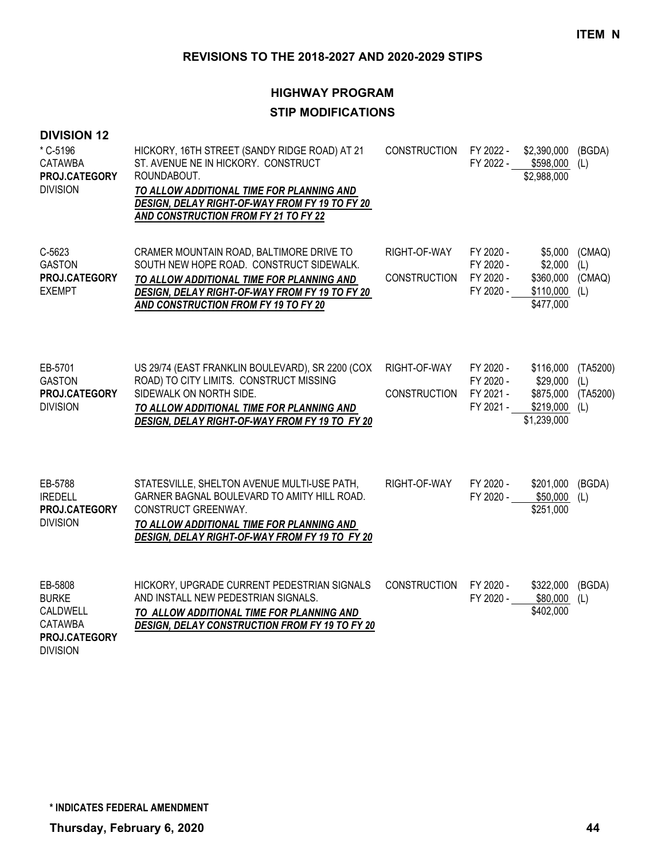| <b>DIVISION 12</b><br>* C-5196<br><b>CATAWBA</b><br>PROJ.CATEGORY<br><b>DIVISION</b>      | HICKORY, 16TH STREET (SANDY RIDGE ROAD) AT 21<br>ST. AVENUE NE IN HICKORY. CONSTRUCT<br>ROUNDABOUT.<br>TO ALLOW ADDITIONAL TIME FOR PLANNING AND<br>DESIGN, DELAY RIGHT-OF-WAY FROM FY 19 TO FY 20<br>AND CONSTRUCTION FROM FY 21 TO FY 22 | <b>CONSTRUCTION</b>                 | FY 2022 -                                        | \$2,390,000<br>FY 2022 - \$598,000<br>\$2,988,000              | (BGDA)<br>(L)                      |
|-------------------------------------------------------------------------------------------|--------------------------------------------------------------------------------------------------------------------------------------------------------------------------------------------------------------------------------------------|-------------------------------------|--------------------------------------------------|----------------------------------------------------------------|------------------------------------|
| C-5623<br><b>GASTON</b><br>PROJ.CATEGORY<br><b>EXEMPT</b>                                 | CRAMER MOUNTAIN ROAD, BALTIMORE DRIVE TO<br>SOUTH NEW HOPE ROAD. CONSTRUCT SIDEWALK.<br>TO ALLOW ADDITIONAL TIME FOR PLANNING AND<br>DESIGN, DELAY RIGHT-OF-WAY FROM FY 19 TO FY 20<br><b>AND CONSTRUCTION FROM FY 19 TO FY 20</b>         | RIGHT-OF-WAY<br><b>CONSTRUCTION</b> | FY 2020 -<br>FY 2020 -<br>FY 2020 -<br>FY 2020 - | \$5,000<br>\$2,000<br>\$360,000<br>\$110,000<br>\$477,000      | (CMAQ)<br>(L)<br>(CMAQ)<br>(L)     |
| EB-5701<br><b>GASTON</b><br>PROJ.CATEGORY<br><b>DIVISION</b>                              | US 29/74 (EAST FRANKLIN BOULEVARD), SR 2200 (COX<br>ROAD) TO CITY LIMITS. CONSTRUCT MISSING<br>SIDEWALK ON NORTH SIDE.<br>TO ALLOW ADDITIONAL TIME FOR PLANNING AND<br>DESIGN, DELAY RIGHT-OF-WAY FROM FY 19 TO FY 20                      | RIGHT-OF-WAY<br><b>CONSTRUCTION</b> | FY 2020 -<br>FY 2020 -<br>FY 2021 -<br>FY 2021 - | \$116,000<br>\$29,000<br>\$875,000<br>\$219,000<br>\$1,239,000 | (TA5200)<br>(L)<br>(TA5200)<br>(L) |
| EB-5788<br><b>IREDELL</b><br>PROJ.CATEGORY<br><b>DIVISION</b>                             | STATESVILLE, SHELTON AVENUE MULTI-USE PATH,<br>GARNER BAGNAL BOULEVARD TO AMITY HILL ROAD.<br>CONSTRUCT GREENWAY.<br>TO ALLOW ADDITIONAL TIME FOR PLANNING AND<br>DESIGN, DELAY RIGHT-OF-WAY FROM FY 19 TO FY 20                           | RIGHT-OF-WAY                        | FY 2020 -<br>FY 2020 -                           | \$201,000<br>\$50,000<br>\$251,000                             | (BGDA)<br>(L)                      |
| EB-5808<br><b>BURKE</b><br>CALDWELL<br><b>CATAWBA</b><br>PROJ.CATEGORY<br><b>DIVISION</b> | HICKORY, UPGRADE CURRENT PEDESTRIAN SIGNALS<br>AND INSTALL NEW PEDESTRIAN SIGNALS.<br>TO ALLOW ADDITIONAL TIME FOR PLANNING AND<br><b>DESIGN, DELAY CONSTRUCTION FROM FY 19 TO FY 20</b>                                                   | <b>CONSTRUCTION</b>                 | FY 2020 -<br>FY 2020 -                           | \$322,000<br>\$80,000<br>\$402,000                             | (BGDA)<br>(L)                      |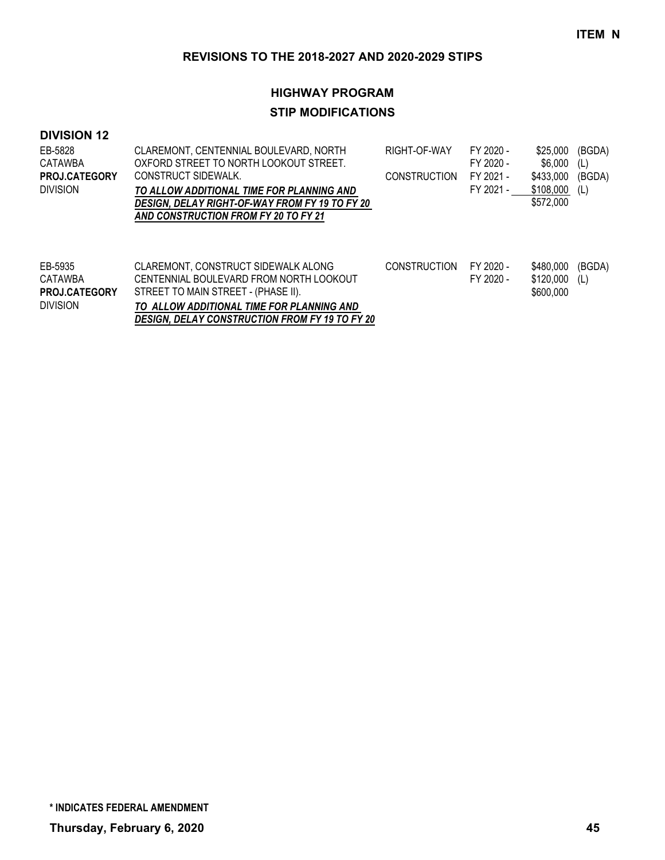# **HIGHWAY PROGRAM STIP MODIFICATIONS**

#### **DIVISION 12**

| EB-5828<br>CATAWBA<br><b>PROJ.CATEGORY</b><br><b>DIVISION</b> | CLAREMONT, CENTENNIAL BOULEVARD, NORTH<br>OXFORD STREET TO NORTH LOOKOUT STREET.<br>CONSTRUCT SIDEWALK.<br>TO ALLOW ADDITIONAL TIME FOR PLANNING AND<br>DESIGN, DELAY RIGHT-OF-WAY FROM FY 19 TO FY 20 | RIGHT-OF-WAY<br><b>CONSTRUCTION</b> | FY 2020 -<br>FY 2020 -<br>FY 2021 -<br>FY 2021 - | \$25,000<br>\$6,000<br>\$433,000<br>\$108,000<br>\$572,000 | (BGDA)<br>(L)<br>(BGDA)<br>(L) |
|---------------------------------------------------------------|--------------------------------------------------------------------------------------------------------------------------------------------------------------------------------------------------------|-------------------------------------|--------------------------------------------------|------------------------------------------------------------|--------------------------------|
|                                                               | AND CONSTRUCTION FROM FY 20 TO FY 21                                                                                                                                                                   |                                     |                                                  |                                                            |                                |
| EB-5935<br>CATAWBA<br><b>PROJ.CATEGORY</b><br><b>DIVISION</b> | CLAREMONT, CONSTRUCT SIDEWALK ALONG<br>CENTENNIAL BOULEVARD FROM NORTH LOOKOUT<br>STREET TO MAIN STREET - (PHASE II).<br>TO ALLOW ADDITIONAL TIME FOR PLANNING AND                                     | <b>CONSTRUCTION</b>                 | FY 2020 -<br>FY 2020 -                           | \$480.000<br>\$120,000<br>\$600,000                        | (BGDA)<br>(L)                  |

*DESIGN, DELAY CONSTRUCTION FROM FY 19 TO FY 20*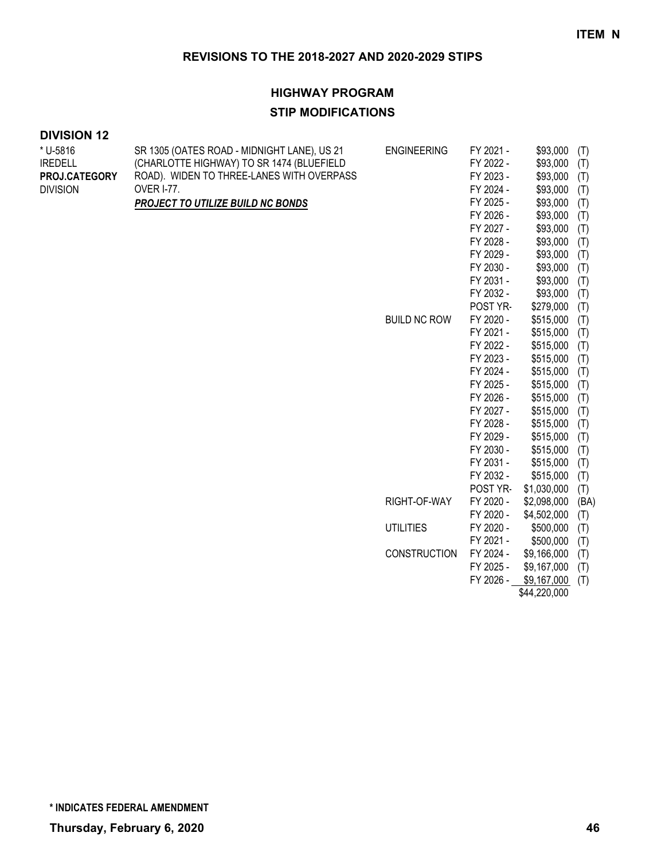#### **HIGHWAY PROGRAM**

#### **STIP MODIFICATIONS**

### **DIVISION 12**

| * U-5816        | SR 1305 (OATES ROAD - MIDNIGHT LANE), US 21 | <b>ENGINEERING</b>  | FY 2021 - | \$93,000    | (T)  |
|-----------------|---------------------------------------------|---------------------|-----------|-------------|------|
| <b>IREDELL</b>  | (CHARLOTTE HIGHWAY) TO SR 1474 (BLUEFIELD   |                     | FY 2022 - | \$93,000    | (T)  |
| PROJ.CATEGORY   | ROAD). WIDEN TO THREE-LANES WITH OVERPASS   |                     | FY 2023 - | \$93,000    | (T)  |
| <b>DIVISION</b> | <b>OVER I-77.</b>                           |                     | FY 2024 - | \$93,000    | (T)  |
|                 | PROJECT TO UTILIZE BUILD NC BONDS           |                     | FY 2025 - | \$93,000    | (T)  |
|                 |                                             |                     | FY 2026 - | \$93,000    | (T)  |
|                 |                                             |                     | FY 2027 - | \$93,000    | (T)  |
|                 |                                             |                     | FY 2028 - | \$93,000    | (T)  |
|                 |                                             |                     | FY 2029 - | \$93,000    | (T)  |
|                 |                                             |                     | FY 2030 - | \$93,000    | (T)  |
|                 |                                             |                     | FY 2031 - | \$93,000    | (T)  |
|                 |                                             |                     | FY 2032 - | \$93,000    | (T)  |
|                 |                                             |                     | POST YR-  | \$279,000   | (T)  |
|                 |                                             | <b>BUILD NC ROW</b> | FY 2020 - | \$515,000   | (T)  |
|                 |                                             |                     | FY 2021 - | \$515,000   | (T)  |
|                 |                                             |                     | FY 2022 - | \$515,000   | (T)  |
|                 |                                             |                     | FY 2023 - | \$515,000   | (T)  |
|                 |                                             |                     | FY 2024 - | \$515,000   | (T)  |
|                 |                                             |                     | FY 2025 - | \$515,000   | (T)  |
|                 |                                             |                     | FY 2026 - | \$515,000   | (T)  |
|                 |                                             |                     | FY 2027 - | \$515,000   | (T)  |
|                 |                                             |                     | FY 2028 - | \$515,000   | (T)  |
|                 |                                             |                     | FY 2029 - | \$515,000   | (T)  |
|                 |                                             |                     | FY 2030 - | \$515,000   | (T)  |
|                 |                                             |                     | FY 2031 - | \$515,000   | (T)  |
|                 |                                             |                     | FY 2032 - | \$515,000   | (T)  |
|                 |                                             |                     | POST YR-  | \$1,030,000 | (T)  |
|                 |                                             | RIGHT-OF-WAY        | FY 2020 - | \$2,098,000 | (BA) |
|                 |                                             |                     | FY 2020 - | \$4,502,000 | (T)  |
|                 |                                             | <b>UTILITIES</b>    | FY 2020 - | \$500,000   | (T)  |
|                 |                                             |                     | FY 2021 - | \$500,000   | (T)  |
|                 |                                             | <b>CONSTRUCTION</b> | FY 2024 - | \$9,166,000 | (T)  |
|                 |                                             |                     | FY 2025 - | \$9,167,000 | (T)  |
|                 |                                             |                     | FY 2026 - | \$9,167,000 | (T)  |

\$44,220,000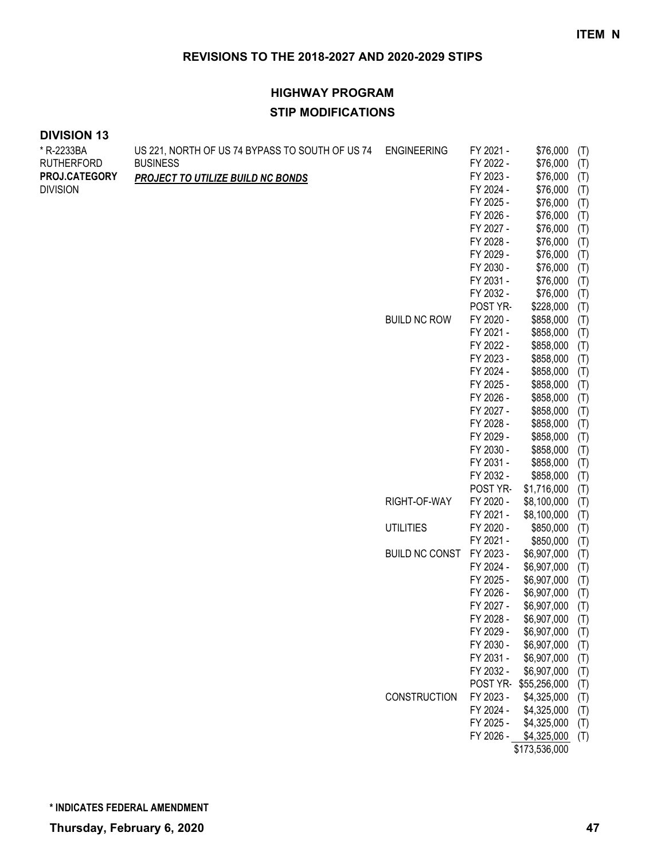# **HIGHWAY PROGRAM STIP MODIFICATIONS**

| * R-2233BA        | US 221, NORTH OF US 74 BYPASS TO SOUTH OF US 74 | <b>ENGINEERING</b>    | FY 2021 - | \$76,000              | (T) |
|-------------------|-------------------------------------------------|-----------------------|-----------|-----------------------|-----|
| <b>RUTHERFORD</b> | <b>BUSINESS</b>                                 |                       | FY 2022 - | \$76,000              | (T) |
| PROJ.CATEGORY     | <b>PROJECT TO UTILIZE BUILD NC BONDS</b>        |                       | FY 2023 - | \$76,000              | (T) |
| <b>DIVISION</b>   |                                                 |                       | FY 2024 - | \$76,000              | (T) |
|                   |                                                 |                       | FY 2025 - | \$76,000              | (T) |
|                   |                                                 |                       | FY 2026 - | \$76,000              | (T) |
|                   |                                                 |                       | FY 2027 - | \$76,000              | (T) |
|                   |                                                 |                       | FY 2028 - | \$76,000              | (T) |
|                   |                                                 |                       | FY 2029 - | \$76,000              | (T) |
|                   |                                                 |                       | FY 2030 - | \$76,000              | (T) |
|                   |                                                 |                       | FY 2031 - | \$76,000              | (T) |
|                   |                                                 |                       | FY 2032 - | \$76,000              | (T) |
|                   |                                                 |                       | POST YR-  | \$228,000             | (T) |
|                   |                                                 | <b>BUILD NC ROW</b>   | FY 2020 - | \$858,000             | (T) |
|                   |                                                 |                       | FY 2021 - | \$858,000             | (T) |
|                   |                                                 |                       | FY 2022 - | \$858,000             | (T) |
|                   |                                                 |                       | FY 2023 - | \$858,000             | (T) |
|                   |                                                 |                       | FY 2024 - | \$858,000             | (T) |
|                   |                                                 |                       | FY 2025 - | \$858,000             | (T) |
|                   |                                                 |                       | FY 2026 - | \$858,000             | (T) |
|                   |                                                 |                       | FY 2027 - | \$858,000             | (T) |
|                   |                                                 |                       | FY 2028 - | \$858,000             | (T) |
|                   |                                                 |                       | FY 2029 - | \$858,000             | (T) |
|                   |                                                 |                       | FY 2030 - | \$858,000             | (T) |
|                   |                                                 |                       | FY 2031 - | \$858,000             | (T) |
|                   |                                                 |                       | FY 2032 - | \$858,000             | (T) |
|                   |                                                 |                       | POST YR-  | \$1,716,000           | (T) |
|                   |                                                 | RIGHT-OF-WAY          | FY 2020 - | \$8,100,000           | (T) |
|                   |                                                 |                       | FY 2021 - | \$8,100,000           | (T) |
|                   |                                                 | <b>UTILITIES</b>      | FY 2020 - | \$850,000             | (T) |
|                   |                                                 |                       | FY 2021 - | \$850,000             | (T) |
|                   |                                                 | <b>BUILD NC CONST</b> | FY 2023 - | \$6,907,000           | (T) |
|                   |                                                 |                       | FY 2024 - | \$6,907,000           | (T) |
|                   |                                                 |                       | FY 2025 - | \$6,907,000           | (T) |
|                   |                                                 |                       | FY 2026 - | \$6,907,000           | (T) |
|                   |                                                 |                       | FY 2027 - | \$6,907,000           | (T) |
|                   |                                                 |                       | FY 2028 - | \$6,907,000           | (T) |
|                   |                                                 |                       | FY 2029 - | \$6,907,000 (T)       |     |
|                   |                                                 |                       | FY 2030 - | \$6,907,000           | (T) |
|                   |                                                 |                       | FY 2031 - | \$6,907,000           | (T) |
|                   |                                                 |                       | FY 2032 - | \$6,907,000           | (T) |
|                   |                                                 |                       |           | POST YR-\$55,256,000  | (T) |
|                   |                                                 | CONSTRUCTION          | FY 2023 - | \$4,325,000           | (T) |
|                   |                                                 |                       | FY 2024 - | \$4,325,000           | (T) |
|                   |                                                 |                       | FY 2025 - | \$4,325,000           | (T) |
|                   |                                                 |                       |           | FY 2026 - \$4,325,000 | (T) |
|                   |                                                 |                       |           | \$173,536,000         |     |
|                   |                                                 |                       |           |                       |     |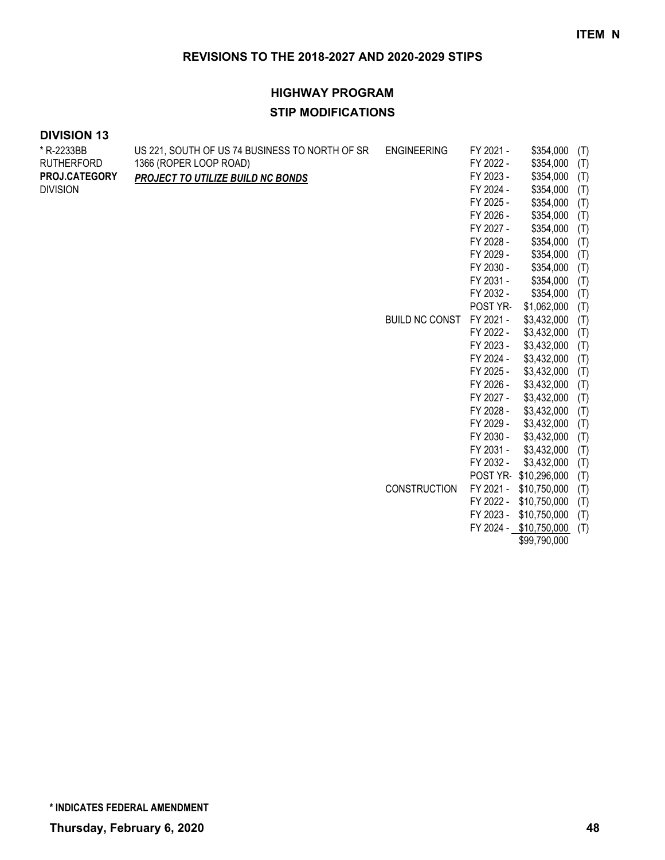# **HIGHWAY PROGRAM STIP MODIFICATIONS**

| * R-2233BB        | US 221, SOUTH OF US 74 BUSINESS TO NORTH OF SR | <b>ENGINEERING</b>    | FY 2021 - | \$354,000              | (T) |
|-------------------|------------------------------------------------|-----------------------|-----------|------------------------|-----|
| <b>RUTHERFORD</b> | 1366 (ROPER LOOP ROAD)                         |                       | FY 2022 - | \$354,000              | (T) |
| PROJ.CATEGORY     | PROJECT TO UTILIZE BUILD NC BONDS              |                       | FY 2023 - | \$354,000              | (T) |
| <b>DIVISION</b>   |                                                |                       | FY 2024 - | \$354,000              | (T) |
|                   |                                                |                       | FY 2025 - | \$354,000              | (T) |
|                   |                                                |                       | FY 2026 - | \$354,000              | (T) |
|                   |                                                |                       | FY 2027 - | \$354,000              | (T) |
|                   |                                                |                       | FY 2028 - | \$354,000              | (T) |
|                   |                                                |                       | FY 2029 - | \$354,000              | (T) |
|                   |                                                |                       | FY 2030 - | \$354,000              | (T) |
|                   |                                                |                       | FY 2031 - | \$354,000              | (T) |
|                   |                                                |                       | FY 2032 - | \$354,000              | (T) |
|                   |                                                |                       | POST YR-  | \$1,062,000            | (T) |
|                   |                                                | <b>BUILD NC CONST</b> | FY 2021 - | \$3,432,000            | (T) |
|                   |                                                |                       | FY 2022 - | \$3,432,000            | (T) |
|                   |                                                |                       | FY 2023 - | \$3,432,000            | (T) |
|                   |                                                |                       | FY 2024 - | \$3,432,000            | (T) |
|                   |                                                |                       | FY 2025 - | \$3,432,000            | (T) |
|                   |                                                |                       | FY 2026 - | \$3,432,000            | (T) |
|                   |                                                |                       | FY 2027 - | \$3,432,000            | (T) |
|                   |                                                |                       | FY 2028 - | \$3,432,000            | (T) |
|                   |                                                |                       | FY 2029 - | \$3,432,000            | (T) |
|                   |                                                |                       | FY 2030 - | \$3,432,000            | (T) |
|                   |                                                |                       | FY 2031 - | \$3,432,000            | (T) |
|                   |                                                |                       | FY 2032 - | \$3,432,000            | (T) |
|                   |                                                |                       |           | POST YR-\$10,296,000   | (T) |
|                   |                                                | <b>CONSTRUCTION</b>   | FY 2021 - | \$10,750,000           | (T) |
|                   |                                                |                       | FY 2022 - | \$10,750,000           | (T) |
|                   |                                                |                       | FY 2023 - | \$10,750,000           | (T) |
|                   |                                                |                       |           | FY 2024 - \$10,750,000 | (T) |
|                   |                                                |                       |           | \$99,790,000           |     |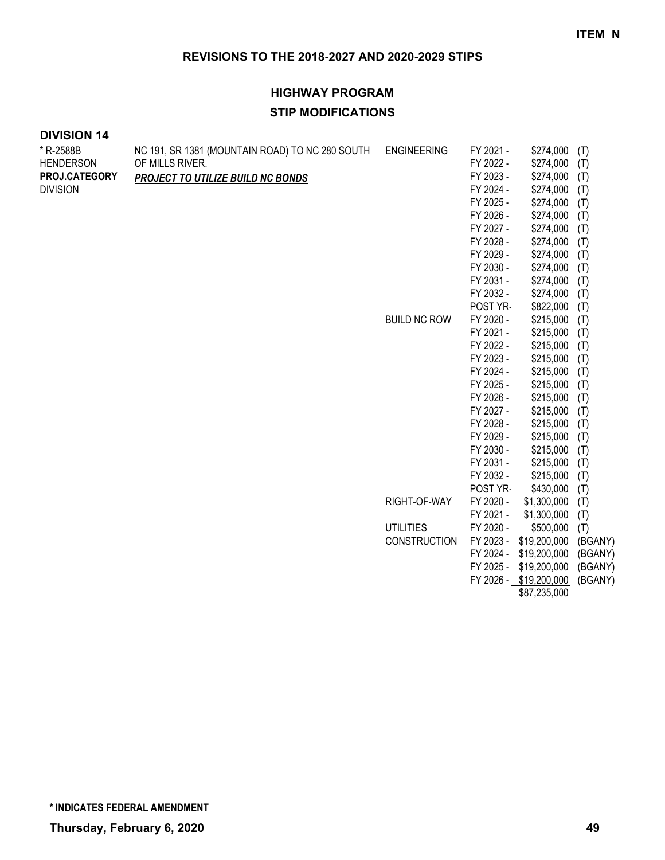# **HIGHWAY PROGRAM STIP MODIFICATIONS**

| * R-2588B        | NC 191, SR 1381 (MOUNTAIN ROAD) TO NC 280 SOUTH | <b>ENGINEERING</b>  | FY 2021 -              | \$274,000              | (T)        |
|------------------|-------------------------------------------------|---------------------|------------------------|------------------------|------------|
| <b>HENDERSON</b> | OF MILLS RIVER.                                 |                     | FY 2022 -              | \$274,000              | (T)        |
| PROJ.CATEGORY    | PROJECT TO UTILIZE BUILD NC BONDS               |                     | FY 2023 -              | \$274,000              | (T)        |
| <b>DIVISION</b>  |                                                 |                     | FY 2024 -              | \$274,000              | (T)        |
|                  |                                                 |                     | FY 2025 -              | \$274,000              | (T)        |
|                  |                                                 |                     | FY 2026 -              | \$274,000              | (T)        |
|                  |                                                 |                     | FY 2027 -              | \$274,000              | (T)        |
|                  |                                                 |                     | FY 2028 -              | \$274,000              | (T)        |
|                  |                                                 |                     | FY 2029 -              | \$274,000              | (T)        |
|                  |                                                 |                     | FY 2030 -              | \$274,000              | (T)        |
|                  |                                                 |                     | FY 2031 -              | \$274,000              | (T)        |
|                  |                                                 |                     | FY 2032 -              | \$274,000              | (T)        |
|                  |                                                 |                     | POST YR-               | \$822,000              | (T)        |
|                  |                                                 | <b>BUILD NC ROW</b> | FY 2020 -              | \$215,000              | (T)        |
|                  |                                                 |                     | FY 2021 -              | \$215,000              | (T)        |
|                  |                                                 |                     | FY 2022 -              | \$215,000              | (T)        |
|                  |                                                 |                     | FY 2023 -              | \$215,000              | (T)        |
|                  |                                                 |                     | FY 2024 -              | \$215,000              | (T)        |
|                  |                                                 |                     | FY 2025 -              | \$215,000              | (T)        |
|                  |                                                 |                     | FY 2026 -<br>FY 2027 - | \$215,000              | (T)        |
|                  |                                                 |                     | FY 2028 -              | \$215,000<br>\$215,000 | (T)        |
|                  |                                                 |                     | FY 2029 -              | \$215,000              | (T)<br>(T) |
|                  |                                                 |                     | FY 2030 -              | \$215,000              | (T)        |
|                  |                                                 |                     | FY 2031 -              | \$215,000              | (T)        |
|                  |                                                 |                     | FY 2032 -              | \$215,000              | (T)        |
|                  |                                                 |                     | POST YR-               | \$430,000              | (T)        |
|                  |                                                 | RIGHT-OF-WAY        | FY 2020 -              | \$1,300,000            | (T)        |
|                  |                                                 |                     | FY 2021 -              | \$1,300,000            | (T)        |
|                  |                                                 | <b>UTILITIES</b>    | FY 2020 -              | \$500,000              | (T)        |
|                  |                                                 | <b>CONSTRUCTION</b> | FY 2023 -              | \$19,200,000           | (BGANY)    |
|                  |                                                 |                     | FY 2024 -              | \$19,200,000           | (BGANY)    |
|                  |                                                 |                     | FY 2025 -              | \$19,200,000           | (BGANY)    |
|                  |                                                 |                     |                        | FY 2026 - \$19,200,000 | (BGANY)    |
|                  |                                                 |                     |                        | \$87,235,000           |            |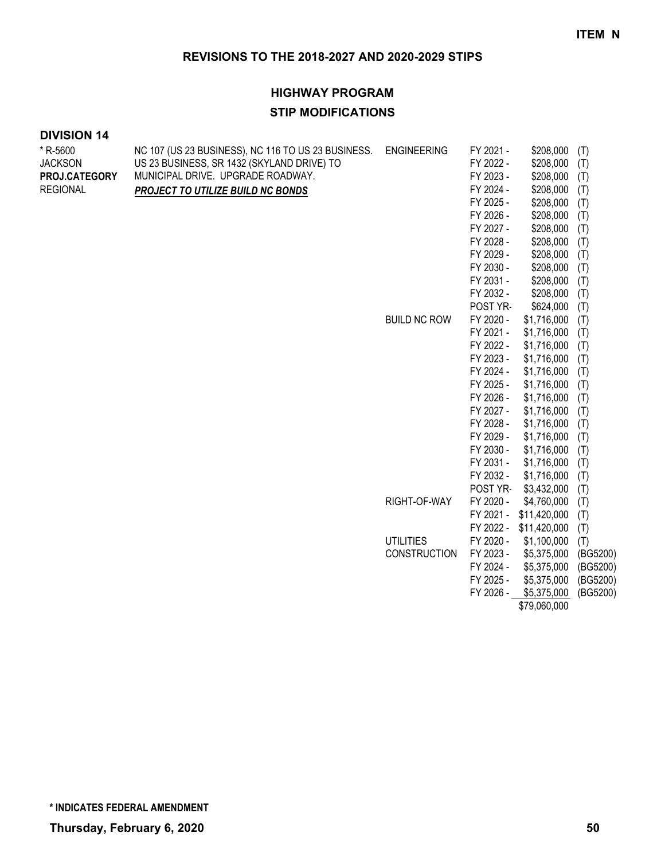#### **HIGHWAY PROGRAM**

#### **STIP MODIFICATIONS**

#### **DIVISION 14**

| * R-5600        | NC 107 (US 23 BUSINESS), NC 116 TO US 23 BUSINESS. | <b>ENGINEERING</b>  | FY 2021 - | \$208,000    | (T)      |
|-----------------|----------------------------------------------------|---------------------|-----------|--------------|----------|
| <b>JACKSON</b>  | US 23 BUSINESS, SR 1432 (SKYLAND DRIVE) TO         |                     | FY 2022 - | \$208,000    | (T)      |
| PROJ.CATEGORY   | MUNICIPAL DRIVE. UPGRADE ROADWAY.                  |                     | FY 2023 - | \$208,000    | (T)      |
| <b>REGIONAL</b> | PROJECT TO UTILIZE BUILD NC BONDS                  |                     | FY 2024 - | \$208,000    | (T)      |
|                 |                                                    |                     | FY 2025 - | \$208,000    | (T)      |
|                 |                                                    |                     | FY 2026 - | \$208,000    | (T)      |
|                 |                                                    |                     | FY 2027 - | \$208,000    | (T)      |
|                 |                                                    |                     | FY 2028 - | \$208,000    | (T)      |
|                 |                                                    |                     | FY 2029 - | \$208,000    | (T)      |
|                 |                                                    |                     | FY 2030 - | \$208,000    | (T)      |
|                 |                                                    |                     | FY 2031 - | \$208,000    | (T)      |
|                 |                                                    |                     | FY 2032 - | \$208,000    | (T)      |
|                 |                                                    |                     | POST YR-  | \$624,000    | (T)      |
|                 |                                                    | <b>BUILD NC ROW</b> | FY 2020 - | \$1,716,000  | (T)      |
|                 |                                                    |                     | FY 2021 - | \$1,716,000  | (T)      |
|                 |                                                    |                     | FY 2022 - | \$1,716,000  | (T)      |
|                 |                                                    |                     | FY 2023 - | \$1,716,000  | (T)      |
|                 |                                                    |                     | FY 2024 - | \$1,716,000  | (T)      |
|                 |                                                    |                     | FY 2025 - | \$1,716,000  | (T)      |
|                 |                                                    |                     | FY 2026 - | \$1,716,000  | (T)      |
|                 |                                                    |                     | FY 2027 - | \$1,716,000  | (T)      |
|                 |                                                    |                     | FY 2028 - | \$1,716,000  | (T)      |
|                 |                                                    |                     | FY 2029 - | \$1,716,000  | (T)      |
|                 |                                                    |                     | FY 2030 - | \$1,716,000  | (T)      |
|                 |                                                    |                     | FY 2031 - | \$1,716,000  | (T)      |
|                 |                                                    |                     | FY 2032 - | \$1,716,000  | (T)      |
|                 |                                                    |                     | POST YR-  | \$3,432,000  | (T)      |
|                 |                                                    | RIGHT-OF-WAY        | FY 2020 - | \$4,760,000  | (T)      |
|                 |                                                    |                     | FY 2021 - | \$11,420,000 | (T)      |
|                 |                                                    |                     | FY 2022 - | \$11,420,000 | (T)      |
|                 |                                                    | <b>UTILITIES</b>    | FY 2020 - | \$1,100,000  | (T)      |
|                 |                                                    | <b>CONSTRUCTION</b> | FY 2023 - | \$5,375,000  | (BG5200) |
|                 |                                                    |                     | FY 2024 - | \$5,375,000  | (BG5200) |
|                 |                                                    |                     | FY 2025 - | \$5,375,000  | (BG5200) |
|                 |                                                    |                     | FY 2026 - | \$5,375,000  | (BG5200) |
|                 |                                                    |                     |           | \$79,060,000 |          |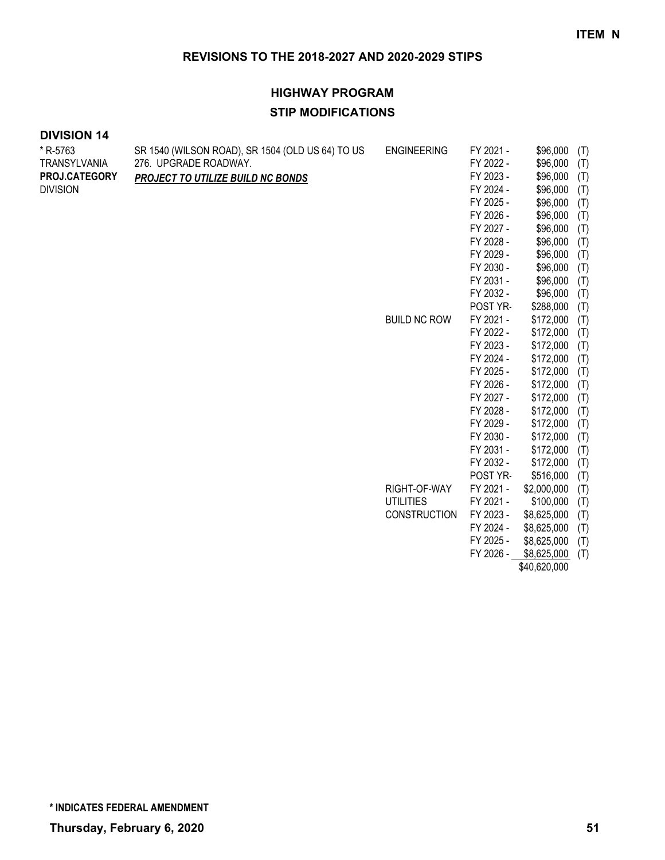# **HIGHWAY PROGRAM STIP MODIFICATIONS**

#### **DIVISION 14**

| * R-5763        | SR 1540 (WILSON ROAD), SR 1504 (OLD US 64) TO US | <b>ENGINEERING</b>  | FY 2021 - | \$96,000    | (T) |
|-----------------|--------------------------------------------------|---------------------|-----------|-------------|-----|
| TRANSYLVANIA    | 276. UPGRADE ROADWAY.                            |                     | FY 2022 - | \$96,000    | (T) |
| PROJ.CATEGORY   | PROJECT TO UTILIZE BUILD NC BONDS                |                     | FY 2023 - | \$96,000    | (T) |
| <b>DIVISION</b> |                                                  |                     | FY 2024 - | \$96,000    | (T) |
|                 |                                                  |                     | FY 2025 - | \$96,000    | (T) |
|                 |                                                  |                     | FY 2026 - | \$96,000    | (T) |
|                 |                                                  |                     | FY 2027 - | \$96,000    | (T) |
|                 |                                                  |                     | FY 2028 - | \$96,000    | (T) |
|                 |                                                  |                     | FY 2029 - | \$96,000    | (T) |
|                 |                                                  |                     | FY 2030 - | \$96,000    | (T) |
|                 |                                                  |                     | FY 2031 - | \$96,000    | (T) |
|                 |                                                  |                     | FY 2032 - | \$96,000    | (T) |
|                 |                                                  |                     | POST YR-  | \$288,000   | (T) |
|                 |                                                  | <b>BUILD NC ROW</b> | FY 2021 - | \$172,000   | (T) |
|                 |                                                  |                     | FY 2022 - | \$172,000   | (T) |
|                 |                                                  |                     | FY 2023 - | \$172,000   | (T) |
|                 |                                                  |                     | FY 2024 - | \$172,000   | (T) |
|                 |                                                  |                     | FY 2025 - | \$172,000   | (T) |
|                 |                                                  |                     | FY 2026 - | \$172,000   | (T) |
|                 |                                                  |                     | FY 2027 - | \$172,000   | (T) |
|                 |                                                  |                     | FY 2028 - | \$172,000   | (T) |
|                 |                                                  |                     | FY 2029 - | \$172,000   | (T) |
|                 |                                                  |                     | FY 2030 - | \$172,000   | (T) |
|                 |                                                  |                     | FY 2031 - | \$172,000   | (T) |
|                 |                                                  |                     | FY 2032 - | \$172,000   | (T) |
|                 |                                                  |                     | POST YR-  | \$516,000   | (T) |
|                 |                                                  | RIGHT-OF-WAY        | FY 2021 - | \$2,000,000 | (T) |
|                 |                                                  | <b>UTILITIES</b>    | FY 2021 - | \$100,000   | (T) |
|                 |                                                  | <b>CONSTRUCTION</b> | FY 2023 - | \$8,625,000 | (T) |
|                 |                                                  |                     | FY 2024 - | \$8,625,000 | (T) |
|                 |                                                  |                     | FY 2025 - | \$8,625,000 | (T) |
|                 |                                                  |                     | FY 2026 - | \$8,625,000 | (T) |

\$40,620,000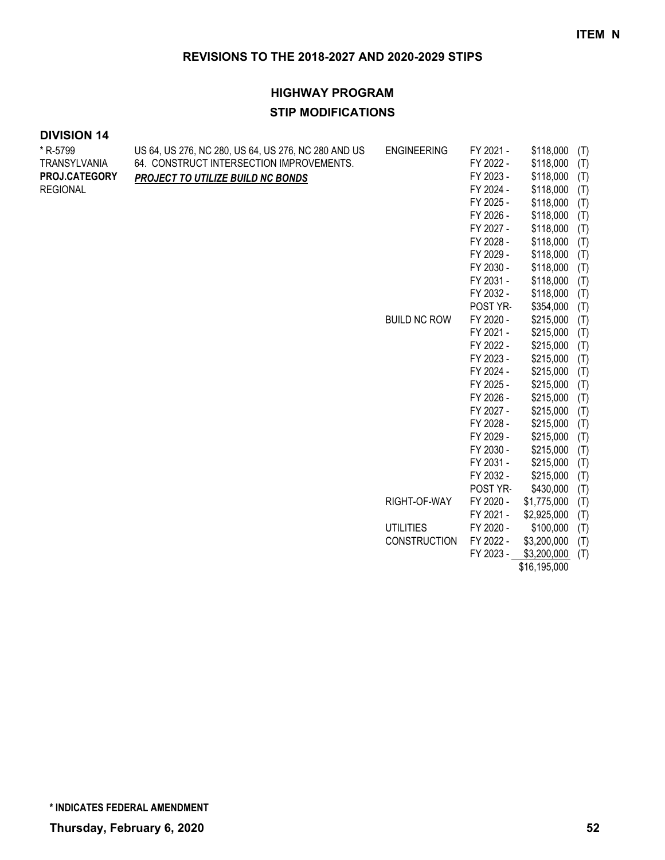# **HIGHWAY PROGRAM STIP MODIFICATIONS**

#### **DIVISION 14**

| * R-5799            | US 64, US 276, NC 280, US 64, US 276, NC 280 AND US | <b>ENGINEERING</b>  | FY 2021 - | \$118,000<br>(T)                                     |
|---------------------|-----------------------------------------------------|---------------------|-----------|------------------------------------------------------|
| <b>TRANSYLVANIA</b> | 64. CONSTRUCT INTERSECTION IMPROVEMENTS.            |                     | FY 2022 - | \$118,000<br>(T)                                     |
| PROJ.CATEGORY       | <b>PROJECT TO UTILIZE BUILD NC BONDS</b>            |                     | FY 2023 - | \$118,000<br>(T)                                     |
| <b>REGIONAL</b>     |                                                     |                     | FY 2024 - | \$118,000<br>(T)                                     |
|                     |                                                     |                     | FY 2025 - | \$118,000<br>(T)                                     |
|                     |                                                     |                     | FY 2026 - | \$118,000<br>(T)                                     |
|                     |                                                     |                     | FY 2027 - | \$118,000<br>(T)                                     |
|                     |                                                     |                     | FY 2028 - | \$118,000<br>(T)                                     |
|                     |                                                     |                     | FY 2029 - | \$118,000<br>(T)                                     |
|                     |                                                     |                     | FY 2030 - | \$118,000<br>(T)                                     |
|                     |                                                     |                     | FY 2031 - | \$118,000<br>(T)                                     |
|                     |                                                     |                     | FY 2032 - | \$118,000<br>(T)                                     |
|                     |                                                     |                     | POST YR-  | \$354,000<br>(T)                                     |
|                     |                                                     | <b>BUILD NC ROW</b> | FY 2020 - | \$215,000<br>(T)                                     |
|                     |                                                     |                     | FY 2021 - | \$215,000<br>(T)                                     |
|                     |                                                     |                     | FY 2022 - | \$215,000<br>(T)                                     |
|                     |                                                     |                     | FY 2023 - | \$215,000<br>(T)                                     |
|                     |                                                     |                     | FY 2024 - | \$215,000<br>(T)                                     |
|                     |                                                     |                     | FY 2025 - | \$215,000<br>(T)                                     |
|                     |                                                     |                     | FY 2026 - | \$215,000<br>(T)                                     |
|                     |                                                     |                     | FY 2027 - | \$215,000<br>(T)                                     |
|                     |                                                     |                     | FY 2028 - | \$215,000<br>(T)                                     |
|                     |                                                     |                     | FY 2029 - | \$215,000<br>(T)                                     |
|                     |                                                     |                     | FY 2030 - | \$215,000<br>(T)                                     |
|                     |                                                     |                     | FY 2031 - | \$215,000<br>(T)                                     |
|                     |                                                     |                     | FY 2032 - | \$215,000<br>(T)                                     |
|                     |                                                     |                     | POST YR-  | \$430,000<br>(T)                                     |
|                     |                                                     | RIGHT-OF-WAY        | FY 2020 - | \$1,775,000<br>(T)                                   |
|                     |                                                     |                     | FY 2021 - | \$2,925,000<br>(T)                                   |
|                     |                                                     | <b>UTILITIES</b>    | FY 2020 - | \$100,000<br>(T)                                     |
|                     |                                                     | <b>CONSTRUCTION</b> | FY 2022 - | \$3,200,000<br>(T)                                   |
|                     |                                                     |                     | FY 2023 - | \$3,200,000<br>(T)<br>$A \wedge A \wedge B \wedge A$ |

\$16,195,000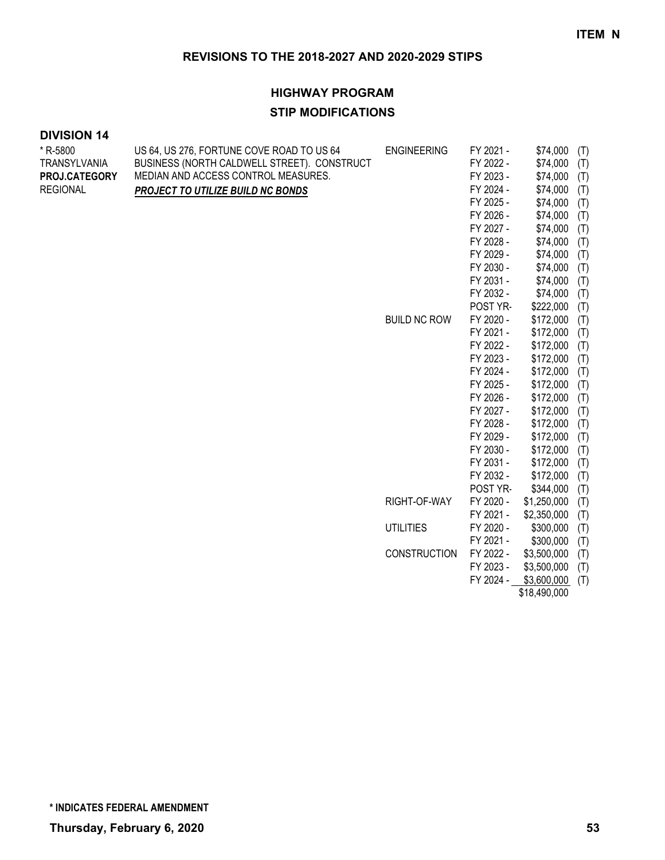#### **HIGHWAY PROGRAM**

#### **STIP MODIFICATIONS**

#### **DIVISION 14**

\* R-5800

| * R-5800        | US 64, US 276, FORTUNE COVE ROAD TO US 64   | <b>ENGINEERING</b>  | FY 2021 - | \$74,000<br>(T)    |  |
|-----------------|---------------------------------------------|---------------------|-----------|--------------------|--|
| TRANSYLVANIA    | BUSINESS (NORTH CALDWELL STREET). CONSTRUCT |                     | FY 2022 - | \$74,000<br>(T)    |  |
| PROJ.CATEGORY   | MEDIAN AND ACCESS CONTROL MEASURES.         |                     | FY 2023 - | \$74,000<br>(T)    |  |
| <b>REGIONAL</b> | PROJECT TO UTILIZE BUILD NC BONDS           |                     | FY 2024 - | \$74,000<br>(T)    |  |
|                 |                                             |                     | FY 2025 - | \$74,000<br>(T)    |  |
|                 |                                             |                     | FY 2026 - | \$74,000<br>(T)    |  |
|                 |                                             |                     | FY 2027 - | \$74,000<br>(T)    |  |
|                 |                                             |                     | FY 2028 - | \$74,000<br>(T)    |  |
|                 |                                             |                     | FY 2029 - | \$74,000<br>(T)    |  |
|                 |                                             |                     | FY 2030 - | \$74,000<br>(T)    |  |
|                 |                                             |                     | FY 2031 - | \$74,000<br>(T)    |  |
|                 |                                             |                     | FY 2032 - | \$74,000<br>(T)    |  |
|                 |                                             |                     | POST YR-  | \$222,000<br>(T)   |  |
|                 |                                             | <b>BUILD NC ROW</b> | FY 2020 - | \$172,000<br>(T)   |  |
|                 |                                             |                     | FY 2021 - | \$172,000<br>(T)   |  |
|                 |                                             |                     | FY 2022 - | \$172,000<br>(T)   |  |
|                 |                                             |                     | FY 2023 - | \$172,000<br>(T)   |  |
|                 |                                             |                     | FY 2024 - | \$172,000<br>(T)   |  |
|                 |                                             |                     | FY 2025 - | \$172,000<br>(T)   |  |
|                 |                                             |                     | FY 2026 - | \$172,000<br>(T)   |  |
|                 |                                             |                     | FY 2027 - | \$172,000<br>(T)   |  |
|                 |                                             |                     | FY 2028 - | \$172,000<br>(T)   |  |
|                 |                                             |                     | FY 2029 - | \$172,000<br>(T)   |  |
|                 |                                             |                     | FY 2030 - | \$172,000<br>(T)   |  |
|                 |                                             |                     | FY 2031 - | \$172,000<br>(T)   |  |
|                 |                                             |                     | FY 2032 - | \$172,000<br>(T)   |  |
|                 |                                             |                     | POST YR-  | \$344,000<br>(T)   |  |
|                 |                                             | RIGHT-OF-WAY        | FY 2020 - | \$1,250,000<br>(T) |  |
|                 |                                             |                     | FY 2021 - | \$2,350,000<br>(T) |  |
|                 |                                             | <b>UTILITIES</b>    | FY 2020 - | \$300,000<br>(T)   |  |
|                 |                                             |                     | FY 2021 - | \$300,000<br>(T)   |  |
|                 |                                             | <b>CONSTRUCTION</b> | FY 2022 - | \$3,500,000<br>(T) |  |
|                 |                                             |                     | FY 2023 - | \$3,500,000<br>(T) |  |
|                 |                                             |                     | FY 2024 - | \$3,600,000<br>(T) |  |

\$18,490,000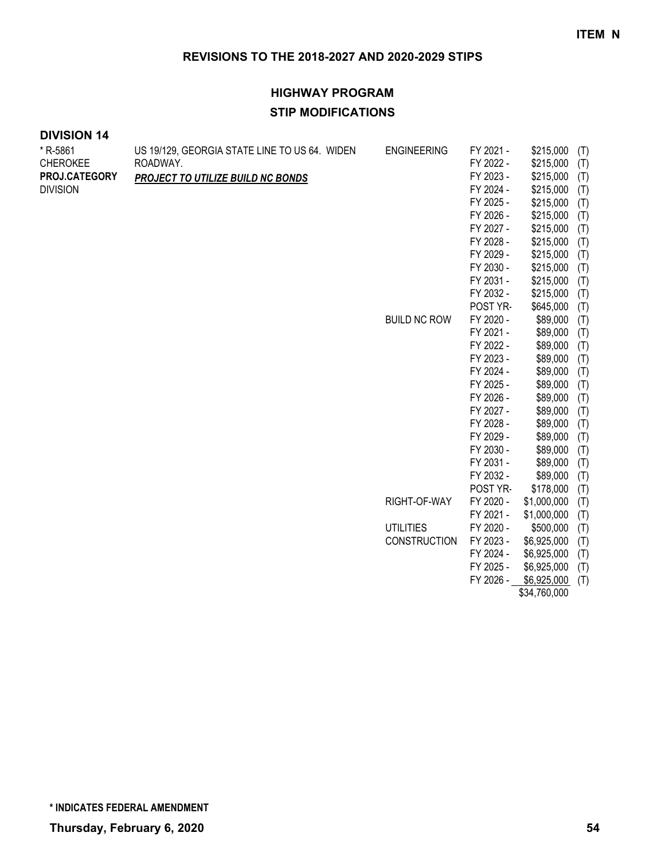# **HIGHWAY PROGRAM STIP MODIFICATIONS**

| * R-5861        | US 19/129, GEORGIA STATE LINE TO US 64. WIDEN | <b>ENGINEERING</b>  | FY 2021 - | \$215,000    | (T) |
|-----------------|-----------------------------------------------|---------------------|-----------|--------------|-----|
| <b>CHEROKEE</b> | ROADWAY.                                      |                     | FY 2022 - | \$215,000    | (T) |
| PROJ.CATEGORY   | PROJECT TO UTILIZE BUILD NC BONDS             |                     | FY 2023 - | \$215,000    | (T) |
| <b>DIVISION</b> |                                               |                     | FY 2024 - | \$215,000    | (T) |
|                 |                                               |                     | FY 2025 - | \$215,000    | (T) |
|                 |                                               |                     | FY 2026 - | \$215,000    | (T) |
|                 |                                               |                     | FY 2027 - | \$215,000    | (T) |
|                 |                                               |                     | FY 2028 - | \$215,000    | (T) |
|                 |                                               |                     | FY 2029 - | \$215,000    | (T) |
|                 |                                               |                     | FY 2030 - | \$215,000    | (T) |
|                 |                                               |                     | FY 2031 - | \$215,000    | (T) |
|                 |                                               |                     | FY 2032 - | \$215,000    | (T) |
|                 |                                               |                     | POST YR-  | \$645,000    | (T) |
|                 |                                               | <b>BUILD NC ROW</b> | FY 2020 - | \$89,000     | (T) |
|                 |                                               |                     | FY 2021 - | \$89,000     | (T) |
|                 |                                               |                     | FY 2022 - | \$89,000     | (T) |
|                 |                                               |                     | FY 2023 - | \$89,000     | (T) |
|                 |                                               |                     | FY 2024 - | \$89,000     | (T) |
|                 |                                               |                     | FY 2025 - | \$89,000     | (T) |
|                 |                                               |                     | FY 2026 - | \$89,000     | (T) |
|                 |                                               |                     | FY 2027 - | \$89,000     | (T) |
|                 |                                               |                     | FY 2028 - | \$89,000     | (T) |
|                 |                                               |                     | FY 2029 - | \$89,000     | (T) |
|                 |                                               |                     | FY 2030 - | \$89,000     | (T) |
|                 |                                               |                     | FY 2031 - | \$89,000     | (T) |
|                 |                                               |                     | FY 2032 - | \$89,000     | (T) |
|                 |                                               |                     | POST YR-  | \$178,000    | (T) |
|                 |                                               | RIGHT-OF-WAY        | FY 2020 - | \$1,000,000  | (T) |
|                 |                                               |                     | FY 2021 - | \$1,000,000  | (T) |
|                 |                                               | <b>UTILITIES</b>    | FY 2020 - | \$500,000    | (T) |
|                 |                                               | <b>CONSTRUCTION</b> | FY 2023 - | \$6,925,000  | (T) |
|                 |                                               |                     | FY 2024 - | \$6,925,000  | (T) |
|                 |                                               |                     | FY 2025 - | \$6,925,000  | (T) |
|                 |                                               |                     | FY 2026 - | \$6,925,000  | (T) |
|                 |                                               |                     |           | \$34,760,000 |     |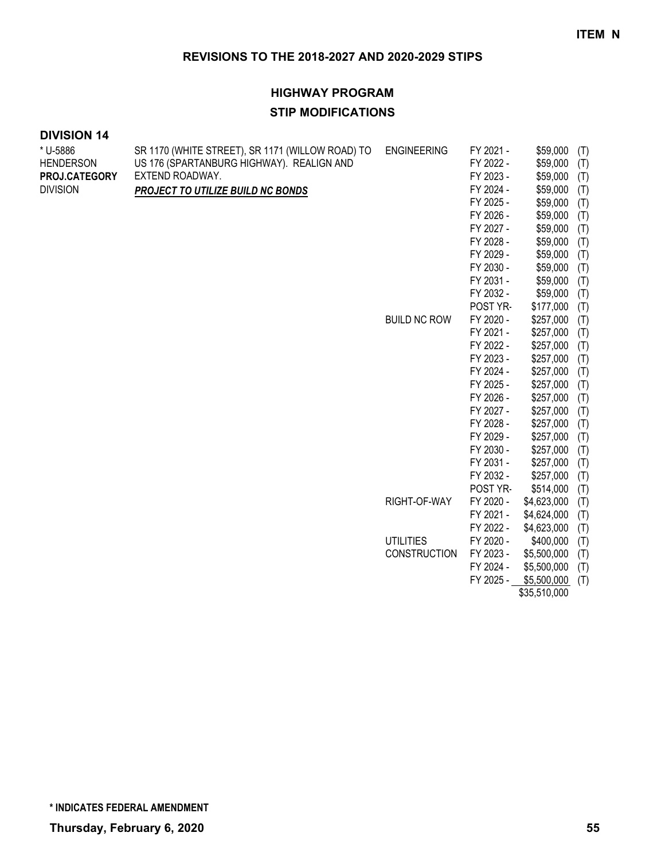# **HIGHWAY PROGRAM**

#### **STIP MODIFICATIONS**

#### **DIVISION 14**

\* U-5886

| * U-5886         | SR 1170 (WHITE STREET), SR 1171 (WILLOW ROAD) TO | <b>ENGINEERING</b>  | FY 2021 - | \$59,000     | (T) |
|------------------|--------------------------------------------------|---------------------|-----------|--------------|-----|
| <b>HENDERSON</b> | US 176 (SPARTANBURG HIGHWAY). REALIGN AND        |                     | FY 2022 - | \$59,000     | (T) |
| PROJ.CATEGORY    | EXTEND ROADWAY.                                  |                     | FY 2023 - | \$59,000     | (T) |
| <b>DIVISION</b>  | <b>PROJECT TO UTILIZE BUILD NC BONDS</b>         |                     | FY 2024 - | \$59,000     | (T) |
|                  |                                                  |                     | FY 2025 - | \$59,000     | (T) |
|                  |                                                  |                     | FY 2026 - | \$59,000     | (T) |
|                  |                                                  |                     | FY 2027 - | \$59,000     | (T) |
|                  |                                                  |                     | FY 2028 - | \$59,000     | (T) |
|                  |                                                  |                     | FY 2029 - | \$59,000     | (T) |
|                  |                                                  |                     | FY 2030 - | \$59,000     | (T) |
|                  |                                                  |                     | FY 2031 - | \$59,000     | (T) |
|                  |                                                  |                     | FY 2032 - | \$59,000     | (T) |
|                  |                                                  |                     | POST YR-  | \$177,000    | (T) |
|                  |                                                  | <b>BUILD NC ROW</b> | FY 2020 - | \$257,000    | (T) |
|                  |                                                  |                     | FY 2021 - | \$257,000    | (T) |
|                  |                                                  |                     | FY 2022 - | \$257,000    | (T) |
|                  |                                                  |                     | FY 2023 - | \$257,000    | (T) |
|                  |                                                  |                     | FY 2024 - | \$257,000    | (T) |
|                  |                                                  |                     | FY 2025 - | \$257,000    | (T) |
|                  |                                                  |                     | FY 2026 - | \$257,000    | (T) |
|                  |                                                  |                     | FY 2027 - | \$257,000    | (T) |
|                  |                                                  |                     | FY 2028 - | \$257,000    | (T) |
|                  |                                                  |                     | FY 2029 - | \$257,000    | (T) |
|                  |                                                  |                     | FY 2030 - | \$257,000    | (T) |
|                  |                                                  |                     | FY 2031 - | \$257,000    | (T) |
|                  |                                                  |                     | FY 2032 - | \$257,000    | (T) |
|                  |                                                  |                     | POST YR-  | \$514,000    | (T) |
|                  |                                                  | RIGHT-OF-WAY        | FY 2020 - | \$4,623,000  | (T) |
|                  |                                                  |                     | FY 2021 - | \$4,624,000  | (T) |
|                  |                                                  |                     | FY 2022 - | \$4,623,000  | (T) |
|                  |                                                  | <b>UTILITIES</b>    | FY 2020 - | \$400,000    | (T) |
|                  |                                                  | <b>CONSTRUCTION</b> | FY 2023 - | \$5,500,000  | (T) |
|                  |                                                  |                     | FY 2024 - | \$5,500,000  | (T) |
|                  |                                                  |                     | FY 2025 - | \$5,500,000  | (T) |
|                  |                                                  |                     |           | \$35,510,000 |     |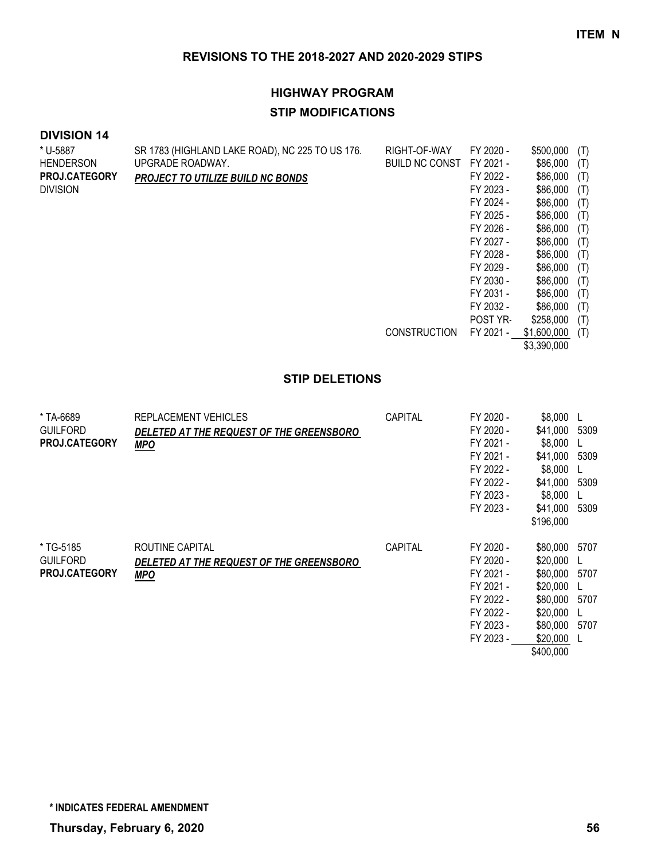# **HIGHWAY PROGRAM STIP MODIFICATIONS**

#### **DIVISION 14**

| * U-5887             | SR 1783 (HIGHLAND LAKE ROAD), NC 225 TO US 176. | RIGHT-OF-WAY          | FY 2020 - | \$500,000   | (T) |
|----------------------|-------------------------------------------------|-----------------------|-----------|-------------|-----|
| <b>HENDERSON</b>     | UPGRADE ROADWAY.                                | <b>BUILD NC CONST</b> | FY 2021 - | \$86,000    | (T) |
| <b>PROJ.CATEGORY</b> | <b>PROJECT TO UTILIZE BUILD NC BONDS</b>        |                       | FY 2022 - | \$86,000    | (T) |
| <b>DIVISION</b>      |                                                 |                       | FY 2023 - | \$86,000    | (T) |
|                      |                                                 |                       | FY 2024 - | \$86,000    | (T) |
|                      |                                                 |                       | FY 2025 - | \$86,000    | (T) |
|                      |                                                 |                       | FY 2026 - | \$86,000    | (T) |
|                      |                                                 |                       | FY 2027 - | \$86,000    | (T) |
|                      |                                                 |                       | FY 2028 - | \$86,000    | (T) |
|                      |                                                 |                       | FY 2029 - | \$86,000    | (T) |
|                      |                                                 |                       | FY 2030 - | \$86,000    | (T) |
|                      |                                                 |                       | FY 2031 - | \$86,000    | (T) |
|                      |                                                 |                       | FY 2032 - | \$86,000    | (T) |
|                      |                                                 |                       | POST YR-  | \$258,000   | (T) |
|                      |                                                 | <b>CONSTRUCTION</b>   | FY 2021 - | \$1,600,000 | (T) |
|                      |                                                 |                       |           | \$3,390,000 |     |

#### **STIP DELETIONS**

| * TA-6689<br><b>GUILFORD</b><br><b>PROJ.CATEGORY</b> | REPLACEMENT VEHICLES<br>DELETED AT THE REQUEST OF THE GREENSBORO<br><b>MPO</b> | CAPITAL        | FY 2020 -<br>FY 2020 -<br>FY 2021 -<br>FY 2021 -<br>FY 2022 -<br>FY 2022 -<br>FY 2023 -<br>FY 2023 - | \$8,000<br>\$41,000<br>\$8,000<br>\$41,000<br>\$8,000<br>\$41,000<br>\$8,000<br>\$41,000<br>\$196,000     | 5309<br>5309<br>5309<br>5309 |
|------------------------------------------------------|--------------------------------------------------------------------------------|----------------|------------------------------------------------------------------------------------------------------|-----------------------------------------------------------------------------------------------------------|------------------------------|
| * TG-5185<br><b>GUILFORD</b><br><b>PROJ.CATEGORY</b> | ROUTINE CAPITAL<br>DELETED AT THE REQUEST OF THE GREENSBORO<br><b>MPO</b>      | <b>CAPITAL</b> | FY 2020 -<br>FY 2020 -<br>FY 2021 -<br>FY 2021 -<br>FY 2022 -<br>FY 2022 -<br>FY 2023 -<br>FY 2023 - | \$80,000<br>\$20,000<br>\$80,000<br>\$20,000<br>\$80,000<br>\$20,000<br>\$80,000<br>\$20,000<br>\$400,000 | 5707<br>5707<br>5707<br>5707 |